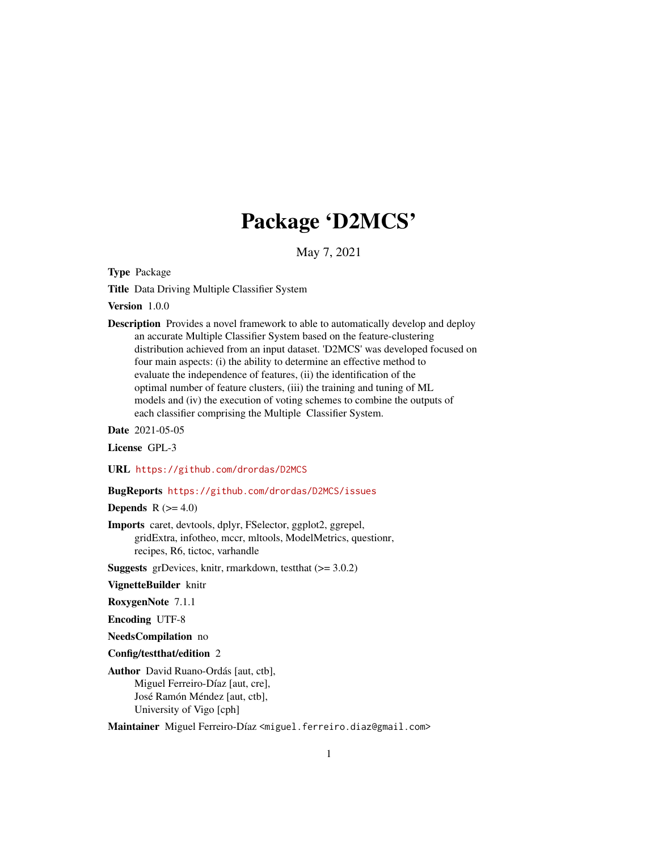# Package 'D2MCS'

May 7, 2021

<span id="page-0-0"></span>Type Package

Title Data Driving Multiple Classifier System

Version 1.0.0

Description Provides a novel framework to able to automatically develop and deploy an accurate Multiple Classifier System based on the feature-clustering distribution achieved from an input dataset. 'D2MCS' was developed focused on four main aspects: (i) the ability to determine an effective method to evaluate the independence of features, (ii) the identification of the optimal number of feature clusters, (iii) the training and tuning of ML models and (iv) the execution of voting schemes to combine the outputs of each classifier comprising the Multiple Classifier System.

Date 2021-05-05

License GPL-3

URL <https://github.com/drordas/D2MCS>

# BugReports <https://github.com/drordas/D2MCS/issues>

Depends  $R$  ( $>= 4.0$ )

Imports caret, devtools, dplyr, FSelector, ggplot2, ggrepel, gridExtra, infotheo, mccr, mltools, ModelMetrics, questionr, recipes, R6, tictoc, varhandle

**Suggests** grDevices, knitr, rmarkdown, test that  $(>= 3.0.2)$ 

VignetteBuilder knitr

RoxygenNote 7.1.1

Encoding UTF-8

NeedsCompilation no

Config/testthat/edition 2

Author David Ruano-Ordás [aut, ctb], Miguel Ferreiro-Díaz [aut, cre], José Ramón Méndez [aut, ctb], University of Vigo [cph]

Maintainer Miguel Ferreiro-Díaz <miguel.ferreiro.diaz@gmail.com>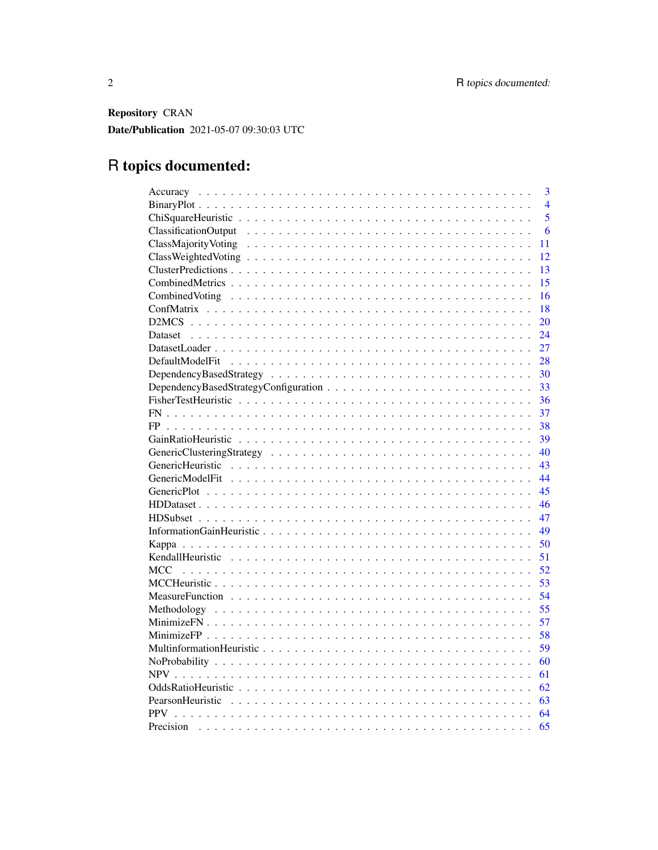Repository CRAN Date/Publication 2021-05-07 09:30:03 UTC

# R topics documented:

| 3                                                                                                                                                                                                                                    |
|--------------------------------------------------------------------------------------------------------------------------------------------------------------------------------------------------------------------------------------|
| $\overline{4}$                                                                                                                                                                                                                       |
| $\overline{5}$                                                                                                                                                                                                                       |
| 6                                                                                                                                                                                                                                    |
| 11                                                                                                                                                                                                                                   |
| 12                                                                                                                                                                                                                                   |
| 13                                                                                                                                                                                                                                   |
| 15                                                                                                                                                                                                                                   |
| 16<br>Combined Voting run in the contract of the contract of the contract of the contract of the contract of the contract of the contract of the contract of the contract of the contract of the contract of the contract of the con |
| 18                                                                                                                                                                                                                                   |
| 20                                                                                                                                                                                                                                   |
| 24                                                                                                                                                                                                                                   |
| 27                                                                                                                                                                                                                                   |
| 28                                                                                                                                                                                                                                   |
| 30                                                                                                                                                                                                                                   |
| 33                                                                                                                                                                                                                                   |
| 36                                                                                                                                                                                                                                   |
| 37                                                                                                                                                                                                                                   |
| 38<br>FP                                                                                                                                                                                                                             |
| 39                                                                                                                                                                                                                                   |
| 40                                                                                                                                                                                                                                   |
| 43                                                                                                                                                                                                                                   |
| 44                                                                                                                                                                                                                                   |
| 45                                                                                                                                                                                                                                   |
| 46                                                                                                                                                                                                                                   |
| 47                                                                                                                                                                                                                                   |
| 49                                                                                                                                                                                                                                   |
| 50                                                                                                                                                                                                                                   |
| 51                                                                                                                                                                                                                                   |
| 52<br><b>MCC</b>                                                                                                                                                                                                                     |
| 53                                                                                                                                                                                                                                   |
| 54                                                                                                                                                                                                                                   |
| 55                                                                                                                                                                                                                                   |
| 57                                                                                                                                                                                                                                   |
| 58                                                                                                                                                                                                                                   |
| 59                                                                                                                                                                                                                                   |
| 60                                                                                                                                                                                                                                   |
| <b>NPV</b><br>61                                                                                                                                                                                                                     |
| 62                                                                                                                                                                                                                                   |
| 63                                                                                                                                                                                                                                   |
| 64                                                                                                                                                                                                                                   |
| 65<br>Precision                                                                                                                                                                                                                      |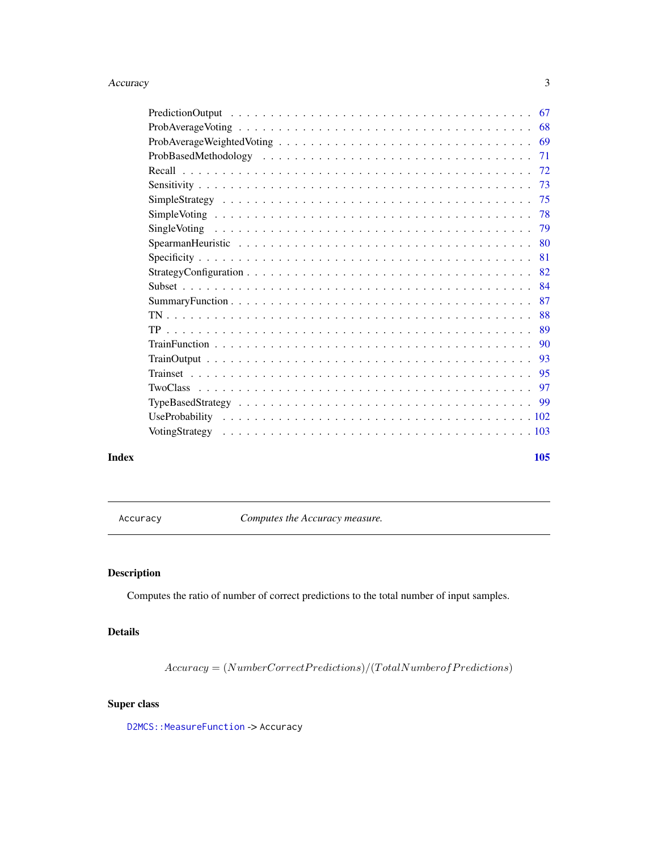#### <span id="page-2-0"></span>Accuracy 3

| Index | 105 |  |
|-------|-----|--|
|       |     |  |

Accuracy *Computes the Accuracy measure.*

# Description

Computes the ratio of number of correct predictions to the total number of input samples.

# Details

 $Accuracy = (NumberCorrect Predictions)/(TotalNumber of Predictions)$ 

# Super class

D2MCS:: MeasureFunction -> Accuracy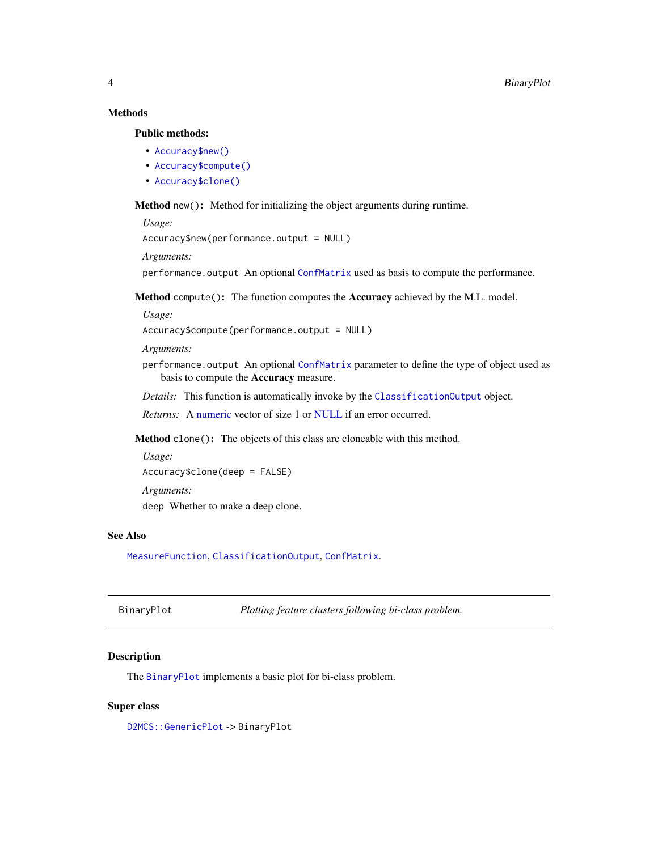# <span id="page-3-0"></span>Methods

#### Public methods:

- [Accuracy\\$new\(\)](#page-3-1)
- [Accuracy\\$compute\(\)](#page-3-2)
- [Accuracy\\$clone\(\)](#page-3-3)

<span id="page-3-1"></span>Method new(): Method for initializing the object arguments during runtime.

```
Usage:
```

```
Accuracy$new(performance.output = NULL)
```
*Arguments:*

performance.output An optional [ConfMatrix](#page-17-1) used as basis to compute the performance.

<span id="page-3-2"></span>Method compute(): The function computes the Accuracy achieved by the M.L. model.

*Usage:*

Accuracy\$compute(performance.output = NULL)

*Arguments:*

performance.output An optional [ConfMatrix](#page-17-1) parameter to define the type of object used as basis to compute the Accuracy measure.

*Details:* This function is automatically invoke by the [ClassificationOutput](#page-5-1) object.

*Returns:* A [numeric](#page-0-0) vector of size 1 or [NULL](#page-0-0) if an error occurred.

<span id="page-3-3"></span>Method clone(): The objects of this class are cloneable with this method.

*Usage:*

Accuracy\$clone(deep = FALSE)

*Arguments:*

deep Whether to make a deep clone.

#### See Also

[MeasureFunction](#page-53-1), [ClassificationOutput](#page-5-1), [ConfMatrix](#page-17-1).

<span id="page-3-4"></span>

| BinaryPlot | Plotting feature clusters following bi-class problem. |
|------------|-------------------------------------------------------|
|------------|-------------------------------------------------------|

# Description

The [BinaryPlot](#page-3-4) implements a basic plot for bi-class problem.

#### Super class

[D2MCS::GenericPlot](#page-0-0) -> BinaryPlot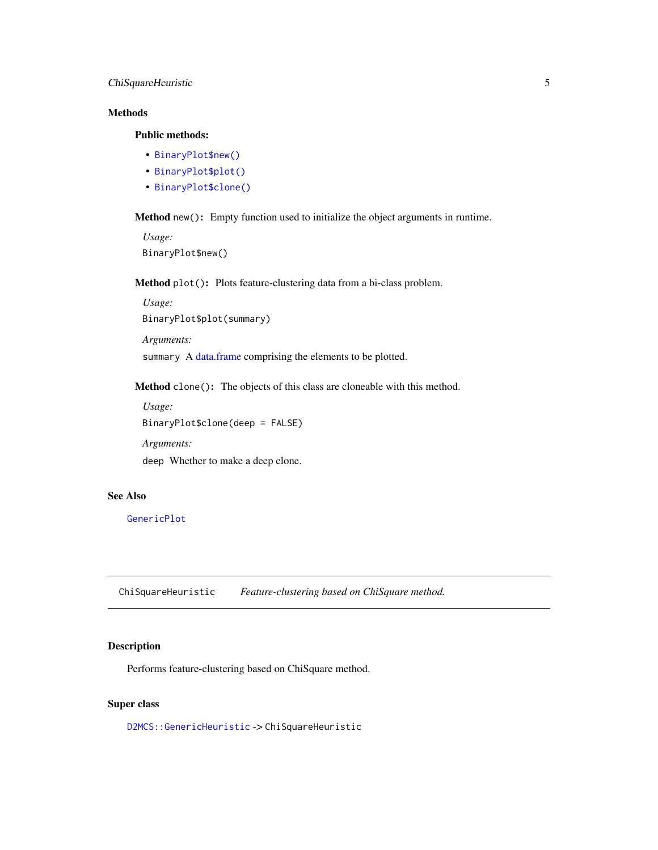# <span id="page-4-0"></span>ChiSquareHeuristic 5

# Methods

# Public methods:

- [BinaryPlot\\$new\(\)](#page-3-1)
- [BinaryPlot\\$plot\(\)](#page-4-1)
- [BinaryPlot\\$clone\(\)](#page-3-3)

Method new(): Empty function used to initialize the object arguments in runtime.

*Usage:* BinaryPlot\$new()

<span id="page-4-1"></span>Method plot(): Plots feature-clustering data from a bi-class problem.

*Usage:* BinaryPlot\$plot(summary)

*Arguments:*

summary A [data.frame](#page-0-0) comprising the elements to be plotted.

Method clone(): The objects of this class are cloneable with this method.

*Usage:* BinaryPlot\$clone(deep = FALSE) *Arguments:*

deep Whether to make a deep clone.

# See Also

[GenericPlot](#page-44-1)

ChiSquareHeuristic *Feature-clustering based on ChiSquare method.*

# Description

Performs feature-clustering based on ChiSquare method.

# Super class

[D2MCS::GenericHeuristic](#page-0-0) -> ChiSquareHeuristic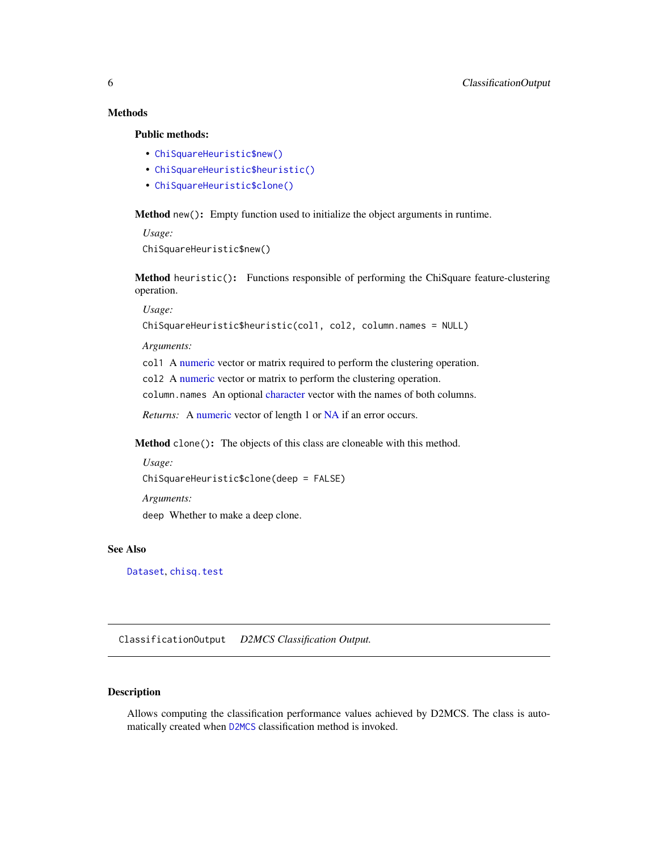# <span id="page-5-0"></span>**Methods**

# Public methods:

- [ChiSquareHeuristic\\$new\(\)](#page-3-1)
- [ChiSquareHeuristic\\$heuristic\(\)](#page-5-2)
- [ChiSquareHeuristic\\$clone\(\)](#page-3-3)

Method new(): Empty function used to initialize the object arguments in runtime.

*Usage:* ChiSquareHeuristic\$new()

<span id="page-5-2"></span>Method heuristic(): Functions responsible of performing the ChiSquare feature-clustering operation.

*Usage:*

```
ChiSquareHeuristic$heuristic(col1, col2, column.names = NULL)
```
*Arguments:*

col1 A [numeric](#page-0-0) vector or matrix required to perform the clustering operation.

col2 A [numeric](#page-0-0) vector or matrix to perform the clustering operation.

column.names An optional [character](#page-0-0) vector with the names of both columns.

*Returns:* A [numeric](#page-0-0) vector of length 1 or [NA](#page-0-0) if an error occurs.

Method clone(): The objects of this class are cloneable with this method.

```
Usage:
ChiSquareHeuristic$clone(deep = FALSE)
Arguments:
deep Whether to make a deep clone.
```
# See Also

[Dataset](#page-23-1), [chisq.test](#page-0-0)

<span id="page-5-1"></span>ClassificationOutput *D2MCS Classification Output.*

# Description

Allows computing the classification performance values achieved by D2MCS. The class is automatically created when [D2MCS](#page-19-1) classification method is invoked.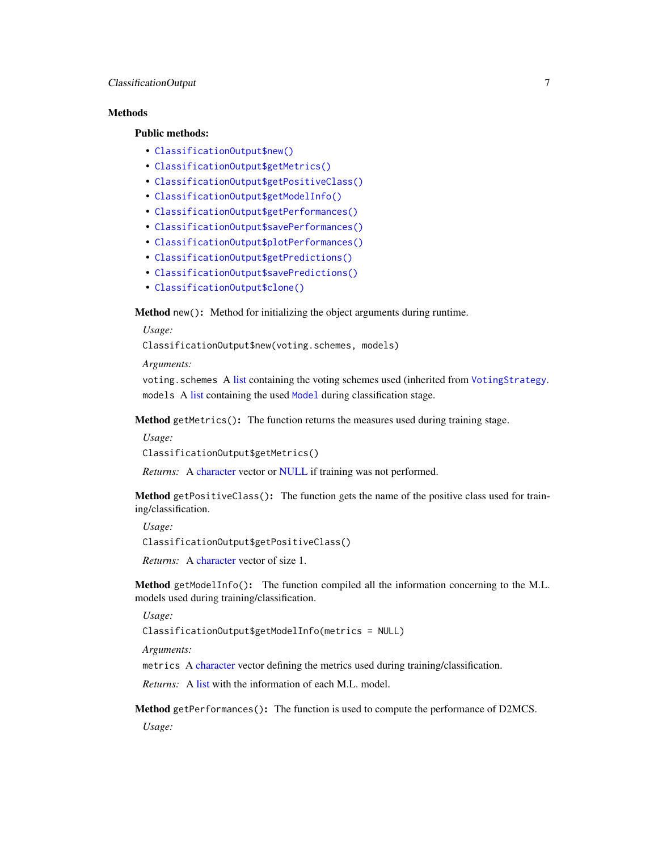# ClassificationOutput 7

# **Methods**

# Public methods:

- [ClassificationOutput\\$new\(\)](#page-3-1)
- [ClassificationOutput\\$getMetrics\(\)](#page-6-0)
- [ClassificationOutput\\$getPositiveClass\(\)](#page-6-1)
- [ClassificationOutput\\$getModelInfo\(\)](#page-6-2)
- [ClassificationOutput\\$getPerformances\(\)](#page-6-3)
- [ClassificationOutput\\$savePerformances\(\)](#page-7-0)
- [ClassificationOutput\\$plotPerformances\(\)](#page-7-1)
- [ClassificationOutput\\$getPredictions\(\)](#page-8-0)
- [ClassificationOutput\\$savePredictions\(\)](#page-9-0)
- [ClassificationOutput\\$clone\(\)](#page-3-3)

Method new(): Method for initializing the object arguments during runtime.

*Usage:*

ClassificationOutput\$new(voting.schemes, models)

*Arguments:*

voting.schemes A [list](#page-0-0) containing the voting schemes used (inherited from [VotingStrategy](#page-102-1). models A [list](#page-0-0) containing the used [Model](#page-0-0) during classification stage.

<span id="page-6-0"></span>Method getMetrics(): The function returns the measures used during training stage.

*Usage:*

ClassificationOutput\$getMetrics()

*Returns:* A [character](#page-0-0) vector or [NULL](#page-0-0) if training was not performed.

<span id="page-6-1"></span>Method getPositiveClass(): The function gets the name of the positive class used for training/classification.

*Usage:*

ClassificationOutput\$getPositiveClass()

*Returns:* A [character](#page-0-0) vector of size 1.

<span id="page-6-2"></span>Method getModelInfo(): The function compiled all the information concerning to the M.L. models used during training/classification.

*Usage:*

ClassificationOutput\$getModelInfo(metrics = NULL)

*Arguments:*

metrics A [character](#page-0-0) vector defining the metrics used during training/classification.

*Returns:* A [list](#page-0-0) with the information of each M.L. model.

<span id="page-6-3"></span>Method getPerformances(): The function is used to compute the performance of D2MCS.

*Usage:*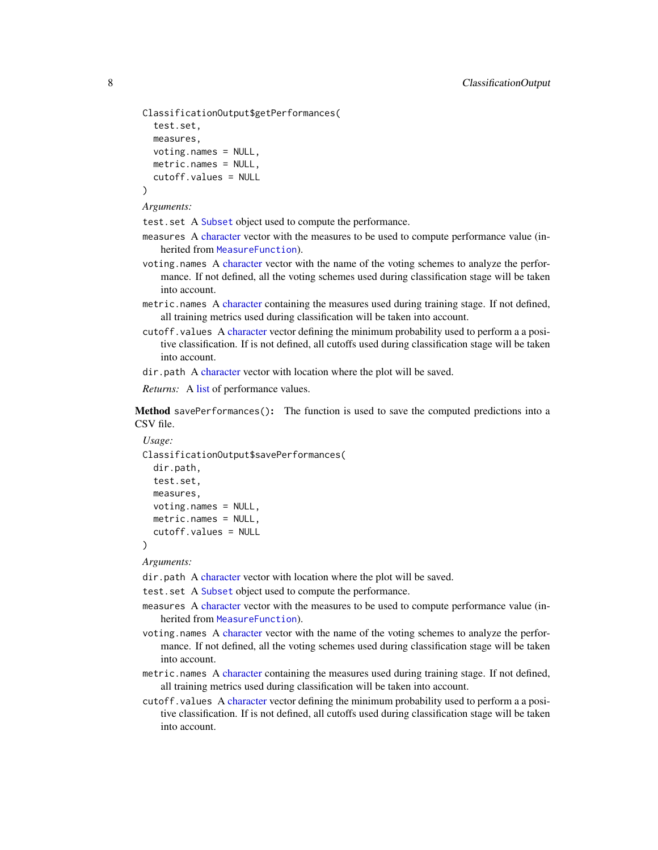```
ClassificationOutput$getPerformances(
  test.set,
  measures,
  voting.names = NULL,
  metric.names = NULL,
  cutoff.values = NULL
)
```
*Arguments:*

test. set A [Subset](#page-83-1) object used to compute the performance.

- measures A [character](#page-0-0) vector with the measures to be used to compute performance value (inherited from [MeasureFunction](#page-53-1)).
- voting.names A [character](#page-0-0) vector with the name of the voting schemes to analyze the performance. If not defined, all the voting schemes used during classification stage will be taken into account.
- metric.names A [character](#page-0-0) containing the measures used during training stage. If not defined, all training metrics used during classification will be taken into account.
- cutoff.values A [character](#page-0-0) vector defining the minimum probability used to perform a a positive classification. If is not defined, all cutoffs used during classification stage will be taken into account.

dir.path A [character](#page-0-0) vector with location where the plot will be saved.

*Returns:* A [list](#page-0-0) of performance values.

<span id="page-7-0"></span>Method savePerformances(): The function is used to save the computed predictions into a CSV file.

```
Usage:
ClassificationOutput$savePerformances(
  dir.path,
  test.set,
 measures,
 voting.names = NULL,
 metric.names = NULL,
  cutoff.values = NULL
)
```
*Arguments:*

dir.path A [character](#page-0-0) vector with location where the plot will be saved.

test. set A [Subset](#page-83-1) object used to compute the performance.

- measures A [character](#page-0-0) vector with the measures to be used to compute performance value (inherited from [MeasureFunction](#page-53-1)).
- voting.names A [character](#page-0-0) vector with the name of the voting schemes to analyze the performance. If not defined, all the voting schemes used during classification stage will be taken into account.
- metric.names A [character](#page-0-0) containing the measures used during training stage. If not defined, all training metrics used during classification will be taken into account.
- <span id="page-7-1"></span>cutoff.values A [character](#page-0-0) vector defining the minimum probability used to perform a a positive classification. If is not defined, all cutoffs used during classification stage will be taken into account.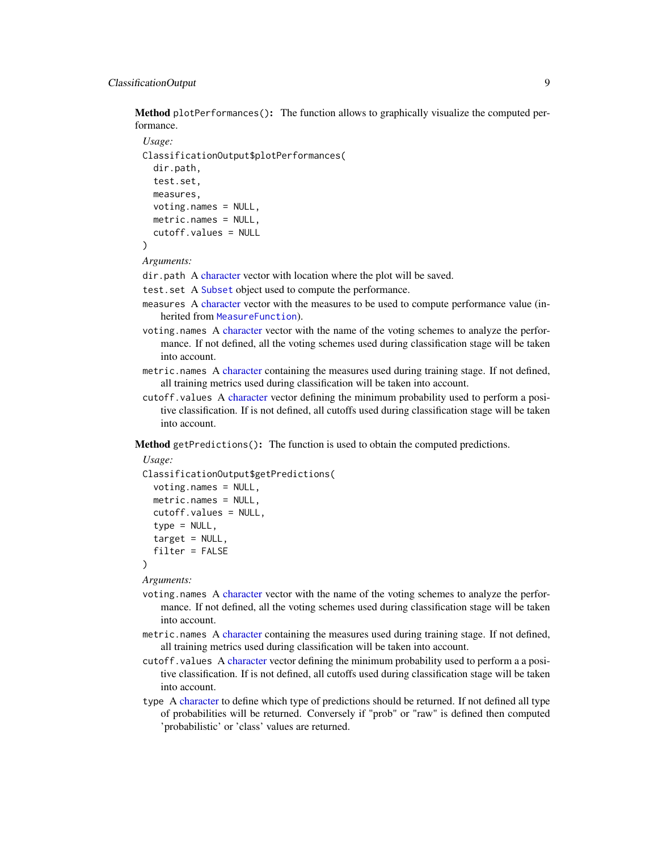# ClassificationOutput 9

Method plotPerformances(): The function allows to graphically visualize the computed performance.

```
Usage:
ClassificationOutput$plotPerformances(
  dir.path,
  test.set,
 measures,
  voting.names = NULL,
 metric.names = NULL,
  cutoff.values = NULL
)
```
*Arguments:*

dir.path A [character](#page-0-0) vector with location where the plot will be saved.

- test. set A [Subset](#page-83-1) object used to compute the performance.
- measures A [character](#page-0-0) vector with the measures to be used to compute performance value (inherited from [MeasureFunction](#page-53-1)).
- voting.names A [character](#page-0-0) vector with the name of the voting schemes to analyze the performance. If not defined, all the voting schemes used during classification stage will be taken into account.
- metric.names A [character](#page-0-0) containing the measures used during training stage. If not defined, all training metrics used during classification will be taken into account.
- cutoff.values A [character](#page-0-0) vector defining the minimum probability used to perform a positive classification. If is not defined, all cutoffs used during classification stage will be taken into account.

<span id="page-8-0"></span>Method getPredictions(): The function is used to obtain the computed predictions.

```
Usage:
ClassificationOutput$getPredictions(
  voting.names = NULL,
 metric.names = NULL,
  cutoff.values = NULL,
  type = NULL,
  target = NULL,filter = FALSE
\lambda
```
*Arguments:*

- voting.names A [character](#page-0-0) vector with the name of the voting schemes to analyze the performance. If not defined, all the voting schemes used during classification stage will be taken into account.
- metric.names A [character](#page-0-0) containing the measures used during training stage. If not defined, all training metrics used during classification will be taken into account.
- cutoff.values A [character](#page-0-0) vector defining the minimum probability used to perform a a positive classification. If is not defined, all cutoffs used during classification stage will be taken into account.
- type A [character](#page-0-0) to define which type of predictions should be returned. If not defined all type of probabilities will be returned. Conversely if "prob" or "raw" is defined then computed 'probabilistic' or 'class' values are returned.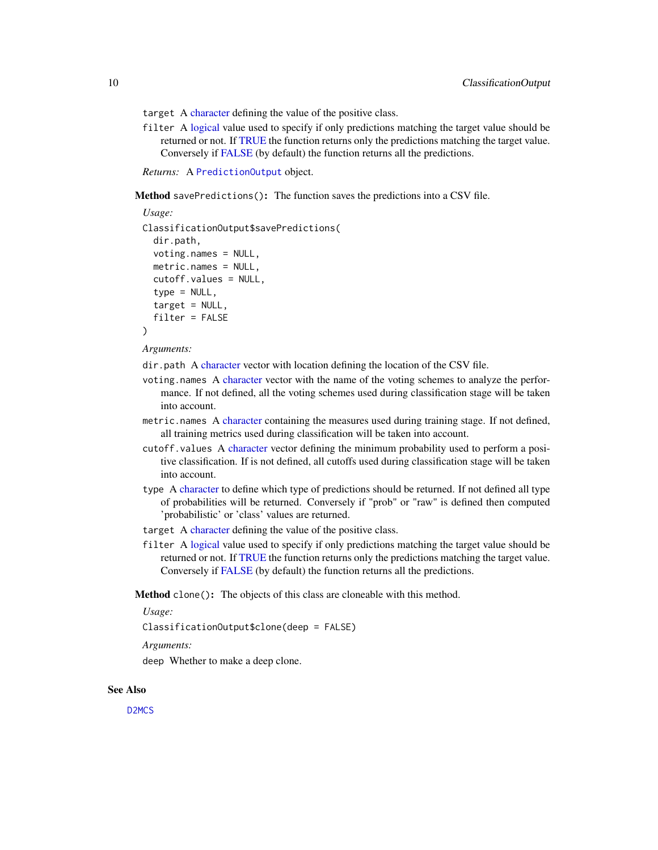target A [character](#page-0-0) defining the value of the positive class.

filter A [logical](#page-0-0) value used to specify if only predictions matching the target value should be returned or not. If [TRUE](#page-0-0) the function returns only the predictions matching the target value. Conversely if [FALSE](#page-0-0) (by default) the function returns all the predictions.

*Returns:* A [PredictionOutput](#page-66-1) object.

<span id="page-9-0"></span>Method savePredictions(): The function saves the predictions into a CSV file.

```
Usage:
ClassificationOutput$savePredictions(
  dir.path,
  voting.names = NULL,
  metric.names = NULL,
  cutoff.values = NULL,
  type = NULL,target = NULL,filter = FALSE
)
```
*Arguments:*

dir.path A [character](#page-0-0) vector with location defining the location of the CSV file.

- voting.names A [character](#page-0-0) vector with the name of the voting schemes to analyze the performance. If not defined, all the voting schemes used during classification stage will be taken into account.
- metric.names A [character](#page-0-0) containing the measures used during training stage. If not defined, all training metrics used during classification will be taken into account.
- cutoff.values A [character](#page-0-0) vector defining the minimum probability used to perform a positive classification. If is not defined, all cutoffs used during classification stage will be taken into account.
- type A [character](#page-0-0) to define which type of predictions should be returned. If not defined all type of probabilities will be returned. Conversely if "prob" or "raw" is defined then computed 'probabilistic' or 'class' values are returned.
- target A [character](#page-0-0) defining the value of the positive class.
- filter A [logical](#page-0-0) value used to specify if only predictions matching the target value should be returned or not. If [TRUE](#page-0-0) the function returns only the predictions matching the target value. Conversely if [FALSE](#page-0-0) (by default) the function returns all the predictions.

Method clone(): The objects of this class are cloneable with this method.

*Usage:*

ClassificationOutput\$clone(deep = FALSE)

*Arguments:*

deep Whether to make a deep clone.

#### See Also

[D2MCS](#page-19-1)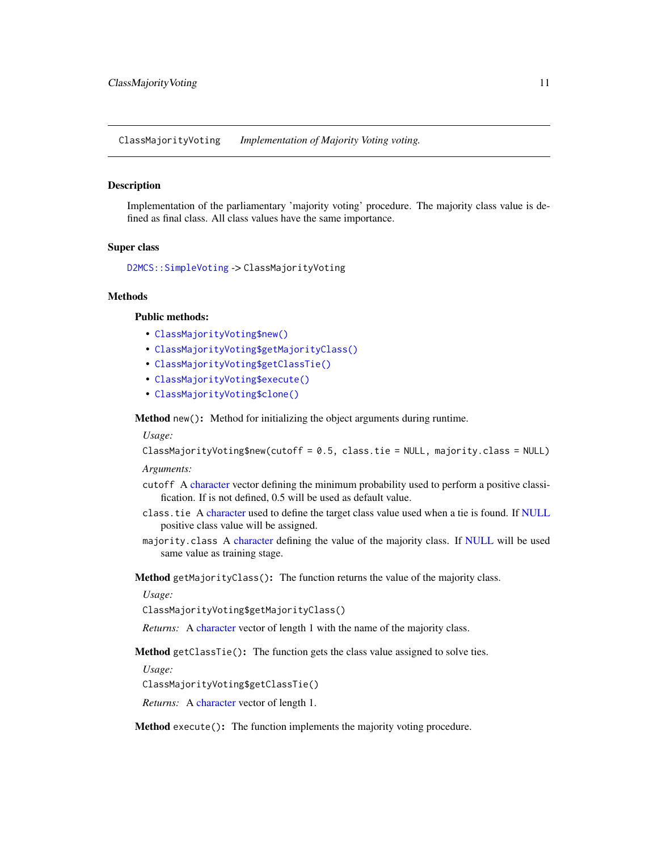<span id="page-10-4"></span><span id="page-10-0"></span>ClassMajorityVoting *Implementation of Majority Voting voting.*

#### Description

Implementation of the parliamentary 'majority voting' procedure. The majority class value is defined as final class. All class values have the same importance.

#### Super class

```
D2MCS::SimpleVoting -> ClassMajorityVoting
```
#### Methods

#### Public methods:

- [ClassMajorityVoting\\$new\(\)](#page-3-1)
- [ClassMajorityVoting\\$getMajorityClass\(\)](#page-10-1)
- [ClassMajorityVoting\\$getClassTie\(\)](#page-10-2)
- [ClassMajorityVoting\\$execute\(\)](#page-10-3)
- [ClassMajorityVoting\\$clone\(\)](#page-3-3)

Method new(): Method for initializing the object arguments during runtime.

*Usage:*

ClassMajorityVoting\$new(cutoff = 0.5, class.tie = NULL, majority.class = NULL)

*Arguments:*

- cutoff A [character](#page-0-0) vector defining the minimum probability used to perform a positive classification. If is not defined, 0.5 will be used as default value.
- class.tie A [character](#page-0-0) used to define the target class value used when a tie is found. If [NULL](#page-0-0) positive class value will be assigned.
- majority.class A [character](#page-0-0) defining the value of the majority class. If [NULL](#page-0-0) will be used same value as training stage.

<span id="page-10-1"></span>Method getMajorityClass(): The function returns the value of the majority class.

#### *Usage:*

ClassMajorityVoting\$getMajorityClass()

*Returns:* A [character](#page-0-0) vector of length 1 with the name of the majority class.

<span id="page-10-2"></span>Method getClassTie(): The function gets the class value assigned to solve ties.

*Usage:*

ClassMajorityVoting\$getClassTie()

*Returns:* A [character](#page-0-0) vector of length 1.

<span id="page-10-3"></span>Method execute(): The function implements the majority voting procedure.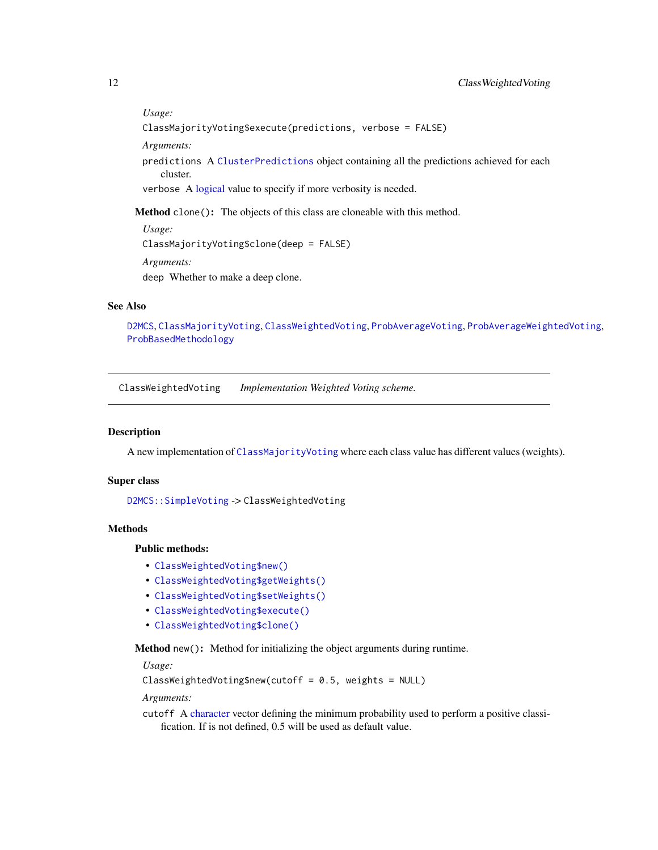<span id="page-11-0"></span>*Usage:* ClassMajorityVoting\$execute(predictions, verbose = FALSE) *Arguments:* predictions A [ClusterPredictions](#page-12-1) object containing all the predictions achieved for each cluster. verbose A [logical](#page-0-0) value to specify if more verbosity is needed.

Method clone(): The objects of this class are cloneable with this method.

*Usage:* ClassMajorityVoting\$clone(deep = FALSE) *Arguments:* deep Whether to make a deep clone.

#### See Also

[D2MCS](#page-19-1), [ClassMajorityVoting](#page-10-4), [ClassWeightedVoting](#page-11-1), [ProbAverageVoting](#page-67-1), [ProbAverageWeightedVoting](#page-68-1), [ProbBasedMethodology](#page-70-1)

<span id="page-11-1"></span>ClassWeightedVoting *Implementation Weighted Voting scheme.*

#### Description

A new implementation of [ClassMajorityVoting](#page-10-4) where each class value has different values (weights).

#### Super class

[D2MCS::SimpleVoting](#page-0-0) -> ClassWeightedVoting

# **Methods**

# Public methods:

- [ClassWeightedVoting\\$new\(\)](#page-3-1)
- [ClassWeightedVoting\\$getWeights\(\)](#page-12-2)
- [ClassWeightedVoting\\$setWeights\(\)](#page-12-3)
- [ClassWeightedVoting\\$execute\(\)](#page-10-3)
- [ClassWeightedVoting\\$clone\(\)](#page-3-3)

Method new(): Method for initializing the object arguments during runtime.

*Usage:*

```
ClassWeightedVoting$new(cutoff = 0.5, weights = NULL)
```
*Arguments:*

cutoff A [character](#page-0-0) vector defining the minimum probability used to perform a positive classification. If is not defined, 0.5 will be used as default value.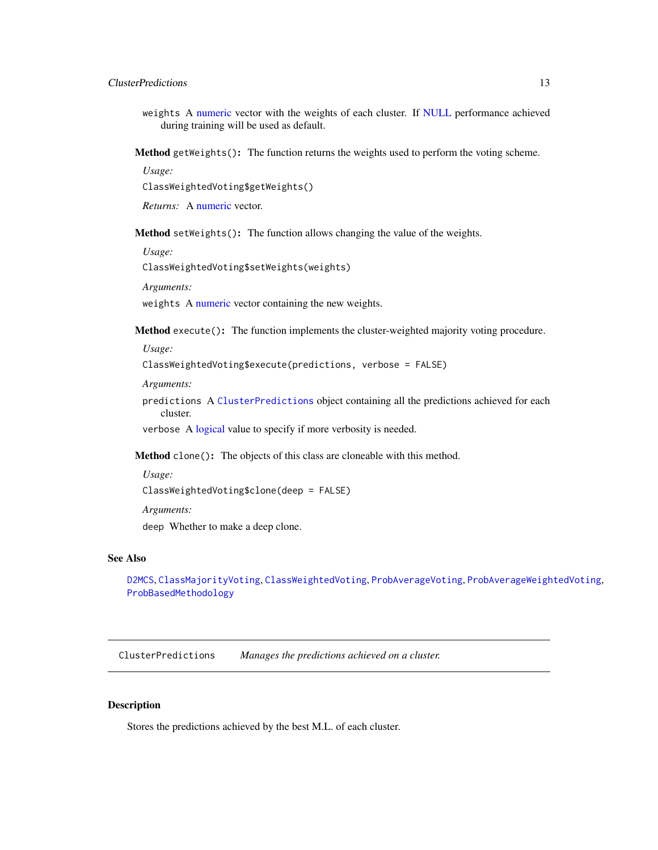# <span id="page-12-0"></span>ClusterPredictions 13

weights A [numeric](#page-0-0) vector with the weights of each cluster. If [NULL](#page-0-0) performance achieved during training will be used as default.

<span id="page-12-2"></span>Method getWeights(): The function returns the weights used to perform the voting scheme.

*Usage:*

ClassWeightedVoting\$getWeights()

*Returns:* A [numeric](#page-0-0) vector.

<span id="page-12-3"></span>Method setWeights(): The function allows changing the value of the weights.

*Usage:*

ClassWeightedVoting\$setWeights(weights)

*Arguments:*

weights A [numeric](#page-0-0) vector containing the new weights.

Method execute(): The function implements the cluster-weighted majority voting procedure.

*Usage:*

```
ClassWeightedVoting$execute(predictions, verbose = FALSE)
```
*Arguments:*

predictions A [ClusterPredictions](#page-12-1) object containing all the predictions achieved for each cluster.

verbose A [logical](#page-0-0) value to specify if more verbosity is needed.

Method clone(): The objects of this class are cloneable with this method.

```
Usage:
ClassWeightedVoting$clone(deep = FALSE)
Arguments:
```
deep Whether to make a deep clone.

#### See Also

[D2MCS](#page-19-1), [ClassMajorityVoting](#page-10-4), [ClassWeightedVoting](#page-11-1), [ProbAverageVoting](#page-67-1), [ProbAverageWeightedVoting](#page-68-1), [ProbBasedMethodology](#page-70-1)

<span id="page-12-1"></span>ClusterPredictions *Manages the predictions achieved on a cluster.*

# Description

Stores the predictions achieved by the best M.L. of each cluster.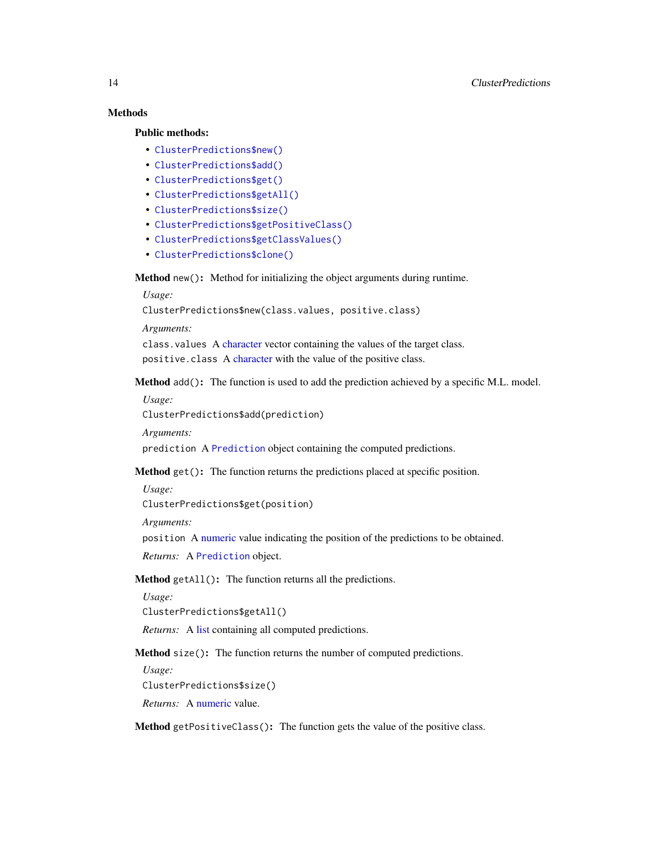# Methods

# Public methods:

- [ClusterPredictions\\$new\(\)](#page-3-1)
- [ClusterPredictions\\$add\(\)](#page-13-0)
- [ClusterPredictions\\$get\(\)](#page-13-1)
- [ClusterPredictions\\$getAll\(\)](#page-13-2)
- [ClusterPredictions\\$size\(\)](#page-13-3)
- [ClusterPredictions\\$getPositiveClass\(\)](#page-6-1)
- [ClusterPredictions\\$getClassValues\(\)](#page-14-1)
- [ClusterPredictions\\$clone\(\)](#page-3-3)

Method new(): Method for initializing the object arguments during runtime.

*Usage:*

ClusterPredictions\$new(class.values, positive.class)

*Arguments:*

class.values A [character](#page-0-0) vector containing the values of the target class. positive.class A [character](#page-0-0) with the value of the positive class.

<span id="page-13-0"></span>Method add(): The function is used to add the prediction achieved by a specific M.L. model.

*Usage:*

ClusterPredictions\$add(prediction)

*Arguments:*

prediction A [Prediction](#page-0-0) object containing the computed predictions.

<span id="page-13-1"></span>Method get(): The function returns the predictions placed at specific position.

*Usage:*

ClusterPredictions\$get(position)

*Arguments:*

position A [numeric](#page-0-0) value indicating the position of the predictions to be obtained.

*Returns:* A [Prediction](#page-0-0) object.

# <span id="page-13-2"></span>Method getAll(): The function returns all the predictions.

*Usage:*

ClusterPredictions\$getAll()

*Returns:* A [list](#page-0-0) containing all computed predictions.

<span id="page-13-3"></span>Method size(): The function returns the number of computed predictions.

*Usage:* ClusterPredictions\$size()

*Returns:* A [numeric](#page-0-0) value.

Method getPositiveClass(): The function gets the value of the positive class.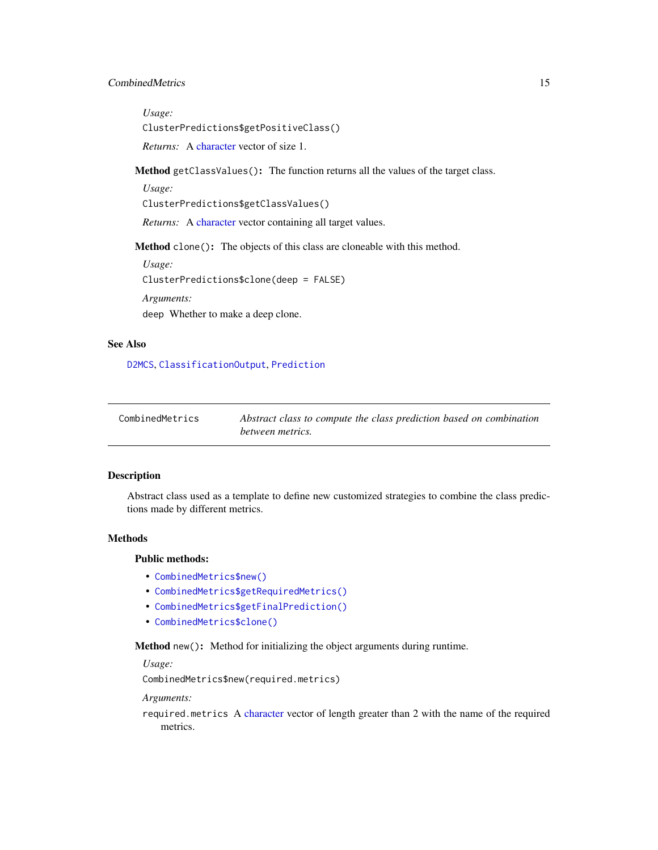# <span id="page-14-0"></span>CombinedMetrics 15

*Usage:* ClusterPredictions\$getPositiveClass() *Returns:* A [character](#page-0-0) vector of size 1.

<span id="page-14-1"></span>Method getClassValues(): The function returns all the values of the target class.

*Usage:*

ClusterPredictions\$getClassValues()

*Returns:* A [character](#page-0-0) vector containing all target values.

Method clone(): The objects of this class are cloneable with this method.

*Usage:* ClusterPredictions\$clone(deep = FALSE)

*Arguments:*

deep Whether to make a deep clone.

# See Also

[D2MCS](#page-19-1), [ClassificationOutput](#page-5-1), [Prediction](#page-0-0)

<span id="page-14-3"></span>

| CombinedMetrics | Abstract class to compute the class prediction based on combination |
|-----------------|---------------------------------------------------------------------|
|                 | between metrics.                                                    |

#### Description

Abstract class used as a template to define new customized strategies to combine the class predictions made by different metrics.

### Methods

#### Public methods:

- [CombinedMetrics\\$new\(\)](#page-3-1)
- [CombinedMetrics\\$getRequiredMetrics\(\)](#page-14-2)
- [CombinedMetrics\\$getFinalPrediction\(\)](#page-15-1)
- [CombinedMetrics\\$clone\(\)](#page-3-3)

Method new(): Method for initializing the object arguments during runtime.

*Usage:*

CombinedMetrics\$new(required.metrics)

*Arguments:*

<span id="page-14-2"></span>required.metrics A [character](#page-0-0) vector of length greater than 2 with the name of the required metrics.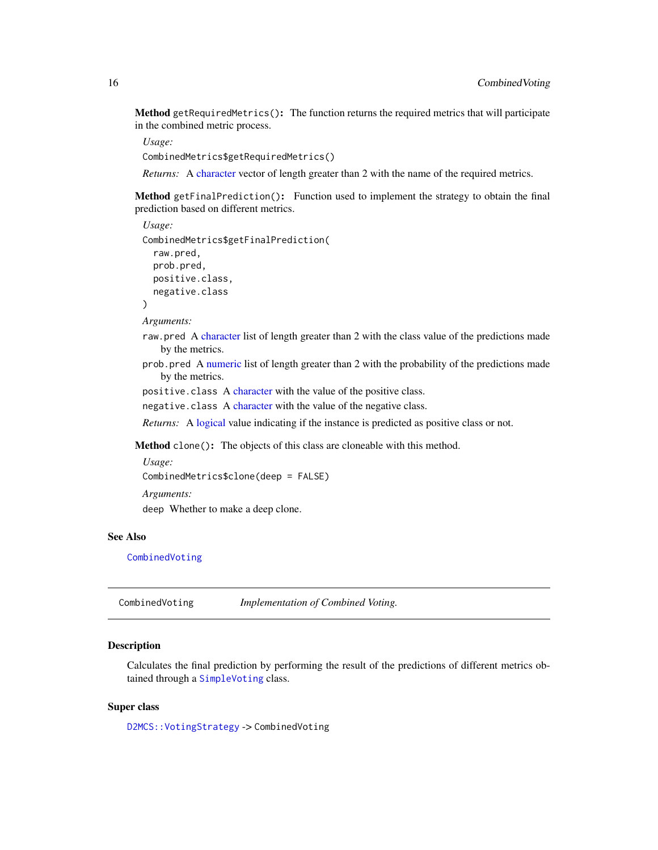<span id="page-15-0"></span>Method getRequiredMetrics(): The function returns the required metrics that will participate in the combined metric process.

*Usage:* CombinedMetrics\$getRequiredMetrics()

*Returns:* A [character](#page-0-0) vector of length greater than 2 with the name of the required metrics.

<span id="page-15-1"></span>Method getFinalPrediction(): Function used to implement the strategy to obtain the final prediction based on different metrics.

```
Usage:
CombinedMetrics$getFinalPrediction(
  raw.pred,
 prob.pred,
 positive.class,
  negative.class
)
```
*Arguments:*

- raw.pred A [character](#page-0-0) list of length greater than 2 with the class value of the predictions made by the metrics.
- prob.pred A [numeric](#page-0-0) list of length greater than 2 with the probability of the predictions made by the metrics.

positive.class A [character](#page-0-0) with the value of the positive class.

negative.class A [character](#page-0-0) with the value of the negative class.

*Returns:* A [logical](#page-0-0) value indicating if the instance is predicted as positive class or not.

Method clone(): The objects of this class are cloneable with this method.

```
Usage:
CombinedMetrics$clone(deep = FALSE)
Arguments:
deep Whether to make a deep clone.
```
# See Also

[CombinedVoting](#page-15-2)

<span id="page-15-2"></span>CombinedVoting *Implementation of Combined Voting.*

# **Description**

Calculates the final prediction by performing the result of the predictions of different metrics obtained through a [SimpleVoting](#page-77-1) class.

# Super class

[D2MCS::VotingStrategy](#page-0-0) -> CombinedVoting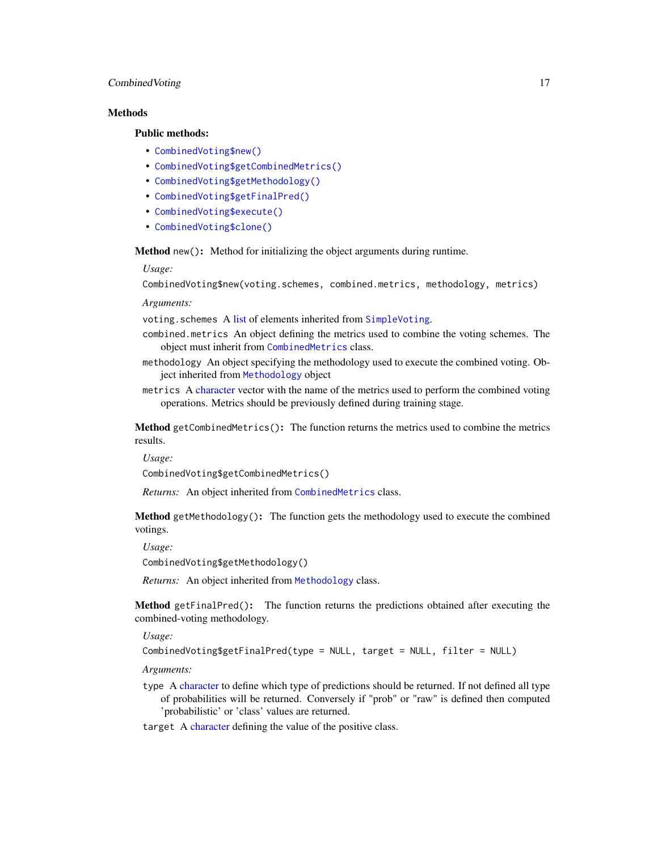# CombinedVoting 17

#### **Methods**

# Public methods:

- [CombinedVoting\\$new\(\)](#page-3-1)
- [CombinedVoting\\$getCombinedMetrics\(\)](#page-16-0)
- [CombinedVoting\\$getMethodology\(\)](#page-16-1)
- [CombinedVoting\\$getFinalPred\(\)](#page-16-2)
- [CombinedVoting\\$execute\(\)](#page-10-3)
- [CombinedVoting\\$clone\(\)](#page-3-3)

Method new(): Method for initializing the object arguments during runtime.

#### *Usage:*

CombinedVoting\$new(voting.schemes, combined.metrics, methodology, metrics)

*Arguments:*

voting.schemes A [list](#page-0-0) of elements inherited from [SimpleVoting](#page-77-1).

- combined.metrics An object defining the metrics used to combine the voting schemes. The object must inherit from [CombinedMetrics](#page-14-3) class.
- methodology An object specifying the methodology used to execute the combined voting. Object inherited from [Methodology](#page-54-1) object
- metrics A [character](#page-0-0) vector with the name of the metrics used to perform the combined voting operations. Metrics should be previously defined during training stage.

<span id="page-16-0"></span>Method getCombinedMetrics(): The function returns the metrics used to combine the metrics results.

*Usage:*

CombinedVoting\$getCombinedMetrics()

*Returns:* An object inherited from [CombinedMetrics](#page-14-3) class.

<span id="page-16-1"></span>Method getMethodology(): The function gets the methodology used to execute the combined votings.

*Usage:*

CombinedVoting\$getMethodology()

*Returns:* An object inherited from [Methodology](#page-54-1) class.

<span id="page-16-2"></span>Method getFinalPred(): The function returns the predictions obtained after executing the combined-voting methodology.

*Usage:*

CombinedVoting\$getFinalPred(type = NULL, target = NULL, filter = NULL)

*Arguments:*

type A [character](#page-0-0) to define which type of predictions should be returned. If not defined all type of probabilities will be returned. Conversely if "prob" or "raw" is defined then computed 'probabilistic' or 'class' values are returned.

target A [character](#page-0-0) defining the value of the positive class.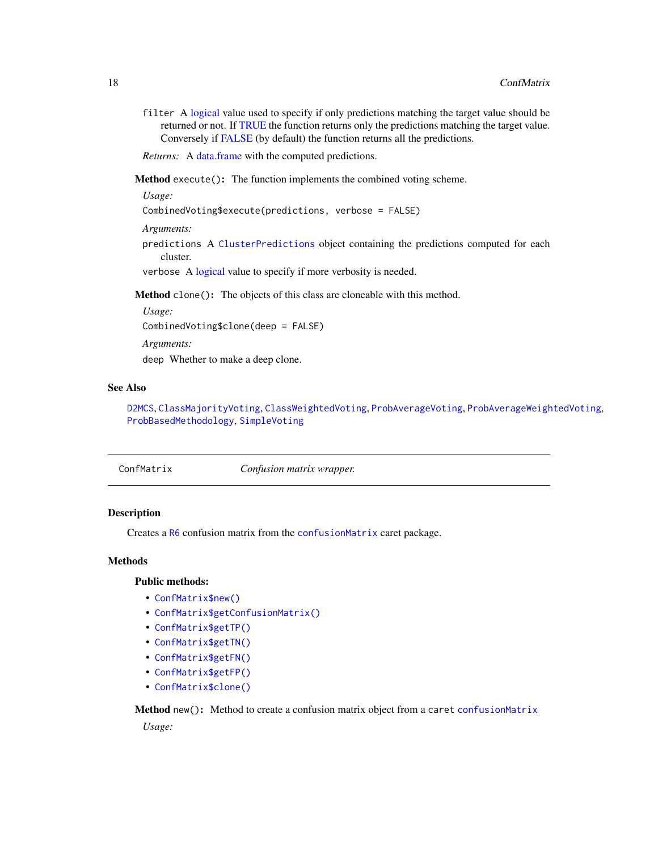<span id="page-17-0"></span>filter A [logical](#page-0-0) value used to specify if only predictions matching the target value should be returned or not. If [TRUE](#page-0-0) the function returns only the predictions matching the target value. Conversely if [FALSE](#page-0-0) (by default) the function returns all the predictions.

*Returns:* A [data.frame](#page-0-0) with the computed predictions.

Method execute(): The function implements the combined voting scheme.

*Usage:*

CombinedVoting\$execute(predictions, verbose = FALSE)

*Arguments:*

predictions A [ClusterPredictions](#page-12-1) object containing the predictions computed for each cluster.

verbose A [logical](#page-0-0) value to specify if more verbosity is needed.

Method clone(): The objects of this class are cloneable with this method.

*Usage:*

CombinedVoting\$clone(deep = FALSE)

*Arguments:*

deep Whether to make a deep clone.

# See Also

[D2MCS](#page-19-1), [ClassMajorityVoting](#page-10-4), [ClassWeightedVoting](#page-11-1), [ProbAverageVoting](#page-67-1), [ProbAverageWeightedVoting](#page-68-1), [ProbBasedMethodology](#page-70-1), [SimpleVoting](#page-77-1)

<span id="page-17-1"></span>

| Confusion matrix wrapper. |
|---------------------------|
|---------------------------|

# Description

Creates a [R6](#page-0-0) confusion matrix from the [confusionMatrix](#page-0-0) caret package.

# Methods

# Public methods:

- [ConfMatrix\\$new\(\)](#page-3-1)
- [ConfMatrix\\$getConfusionMatrix\(\)](#page-18-0)
- [ConfMatrix\\$getTP\(\)](#page-18-1)
- [ConfMatrix\\$getTN\(\)](#page-18-2)
- [ConfMatrix\\$getFN\(\)](#page-18-3)
- [ConfMatrix\\$getFP\(\)](#page-18-4)
- [ConfMatrix\\$clone\(\)](#page-3-3)

Method new(): Method to create a confusion matrix object from a caret confusion Matrix *Usage:*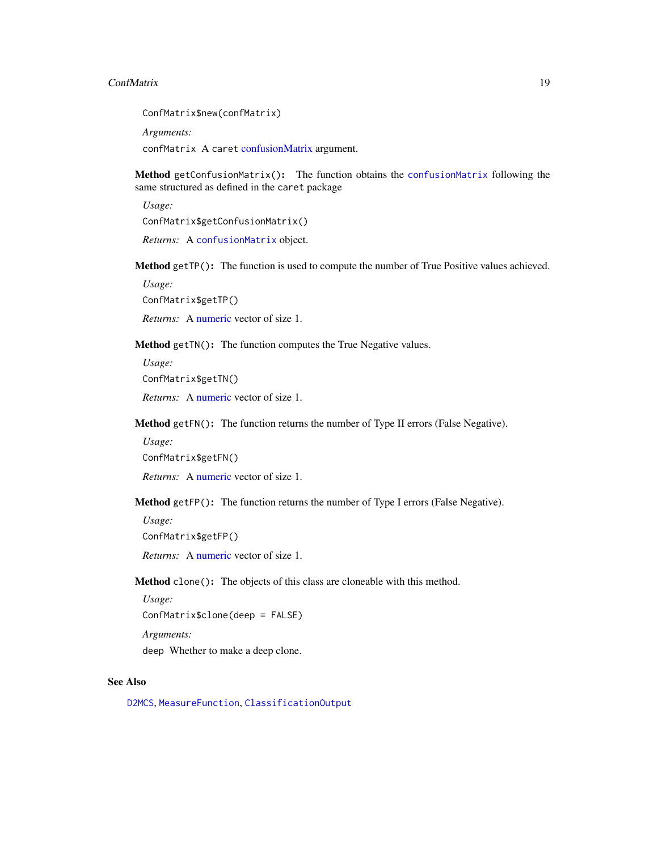#### ConfMatrix 19

ConfMatrix\$new(confMatrix) *Arguments:*

confMatrix A caret [confusionMatrix](#page-0-0) argument.

<span id="page-18-0"></span>Method getConfusionMatrix(): The function obtains the [confusionMatrix](#page-0-0) following the same structured as defined in the caret package

*Usage:*

ConfMatrix\$getConfusionMatrix()

*Returns:* A [confusionMatrix](#page-0-0) object.

<span id="page-18-1"></span>Method getTP(): The function is used to compute the number of True Positive values achieved.

*Usage:*

ConfMatrix\$getTP()

*Returns:* A [numeric](#page-0-0) vector of size 1.

<span id="page-18-2"></span>Method getTN(): The function computes the True Negative values.

*Usage:*

ConfMatrix\$getTN()

*Returns:* A [numeric](#page-0-0) vector of size 1.

<span id="page-18-3"></span>Method getFN(): The function returns the number of Type II errors (False Negative).

*Usage:* ConfMatrix\$getFN()

*Returns:* A [numeric](#page-0-0) vector of size 1.

<span id="page-18-4"></span>Method getFP(): The function returns the number of Type I errors (False Negative).

*Usage:* ConfMatrix\$getFP()

*Returns:* A [numeric](#page-0-0) vector of size 1.

Method clone(): The objects of this class are cloneable with this method.

*Usage:* ConfMatrix\$clone(deep = FALSE) *Arguments:* deep Whether to make a deep clone.

# See Also

[D2MCS](#page-19-1), [MeasureFunction](#page-53-1), [ClassificationOutput](#page-5-1)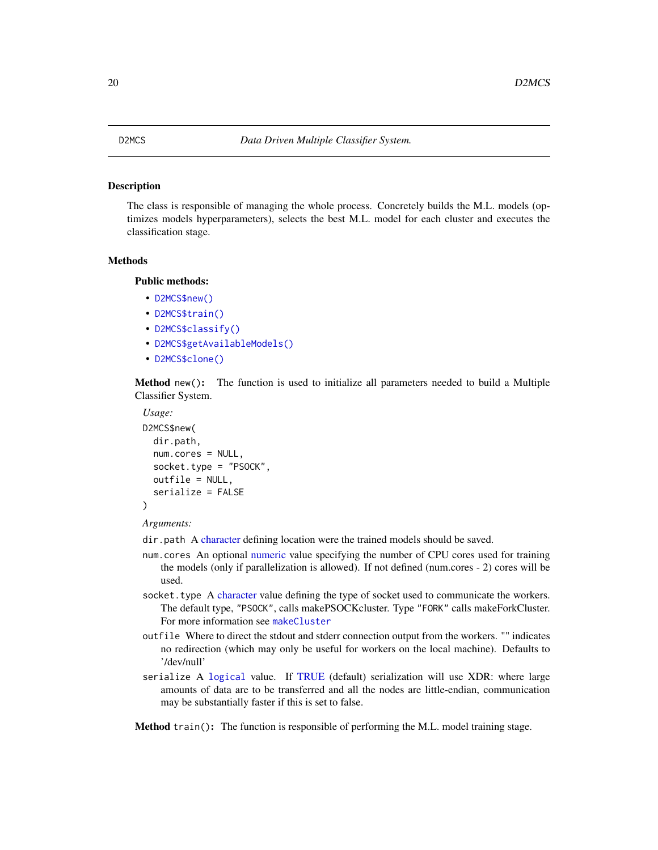#### <span id="page-19-1"></span><span id="page-19-0"></span>Description

The class is responsible of managing the whole process. Concretely builds the M.L. models (optimizes models hyperparameters), selects the best M.L. model for each cluster and executes the classification stage.

#### Methods

# Public methods:

- [D2MCS\\$new\(\)](#page-3-1)
- [D2MCS\\$train\(\)](#page-19-2)
- [D2MCS\\$classify\(\)](#page-20-0)
- [D2MCS\\$getAvailableModels\(\)](#page-20-1)
- [D2MCS\\$clone\(\)](#page-3-3)

Method new(): The function is used to initialize all parameters needed to build a Multiple Classifier System.

```
Usage:
D2MCS$new(
  dir.path,
  num.cores = NULL,
  socket.type = "PSOCK",
  outfile = NULL,
  serialize = FALSE
)
```
*Arguments:*

- dir.path A [character](#page-0-0) defining location were the trained models should be saved.
- num.cores An optional [numeric](#page-0-0) value specifying the number of CPU cores used for training the models (only if parallelization is allowed). If not defined (num.cores - 2) cores will be used.
- socket.type A [character](#page-0-0) value defining the type of socket used to communicate the workers. The default type, "PSOCK", calls makePSOCKcluster. Type "FORK" calls makeForkCluster. For more information see [makeCluster](#page-0-0)
- outfile Where to direct the stdout and stderr connection output from the workers. "" indicates no redirection (which may only be useful for workers on the local machine). Defaults to '/dev/null'
- serialize A [logical](#page-0-0) value. If [TRUE](#page-0-0) (default) serialization will use XDR: where large amounts of data are to be transferred and all the nodes are little-endian, communication may be substantially faster if this is set to false.

<span id="page-19-2"></span>Method train(): The function is responsible of performing the M.L. model training stage.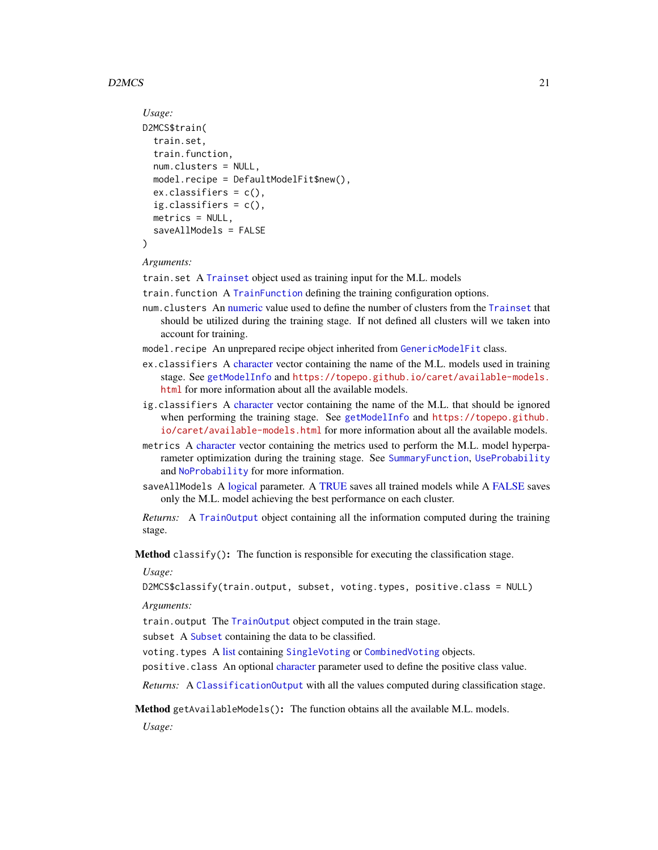# $D2MCS$  21

```
Usage:
D2MCS$train(
  train.set,
  train.function,
 num.clusters = NULL,
 model.recipe = DefaultModelFit$new(),
  ex.classifiers = c(),
  ig.classifiers = c(),
 metrics = NULL,
  saveAllModels = FALSE
)
```
*Arguments:*

train.set A [Trainset](#page-94-1) object used as training input for the M.L. models

train.function A [TrainFunction](#page-89-1) defining the training configuration options.

- num.clusters An [numeric](#page-0-0) value used to define the number of clusters from the [Trainset](#page-94-1) that should be utilized during the training stage. If not defined all clusters will we taken into account for training.
- model.recipe An unprepared recipe object inherited from [GenericModelFit](#page-43-1) class.
- ex.classifiers A [character](#page-0-0) vector containing the name of the M.L. models used in training stage. See [getModelInfo](#page-0-0) and [https://topepo.github.io/caret/available-models.](https://topepo.github.io/caret/available-models.html) [html](https://topepo.github.io/caret/available-models.html) for more information about all the available models.
- ig.classifiers A [character](#page-0-0) vector containing the name of the M.L. that should be ignored when performing the training stage. See [getModelInfo](#page-0-0) and [https://topepo.github.](https://topepo.github.io/caret/available-models.html) [io/caret/available-models.html](https://topepo.github.io/caret/available-models.html) for more information about all the available models.
- metrics A [character](#page-0-0) vector containing the metrics used to perform the M.L. model hyperparameter optimization during the training stage. See [SummaryFunction](#page-86-1), [UseProbability](#page-101-1) and [NoProbability](#page-59-1) for more information.
- saveAllModels A [logical](#page-0-0) parameter. A [TRUE](#page-0-0) saves all trained models while A [FALSE](#page-0-0) saves only the M.L. model achieving the best performance on each cluster.

*Returns:* A [TrainOutput](#page-92-1) object containing all the information computed during the training stage.

<span id="page-20-0"></span>**Method** classify(): The function is responsible for executing the classification stage.

*Usage:*

D2MCS\$classify(train.output, subset, voting.types, positive.class = NULL)

*Arguments:*

train.output The [TrainOutput](#page-92-1) object computed in the train stage.

subset A [Subset](#page-83-1) containing the data to be classified.

voting.types A [list](#page-0-0) containing [SingleVoting](#page-78-1) or [CombinedVoting](#page-15-2) objects.

positive.class An optional [character](#page-0-0) parameter used to define the positive class value.

*Returns:* A [ClassificationOutput](#page-5-1) with all the values computed during classification stage.

<span id="page-20-1"></span>Method getAvailableModels(): The function obtains all the available M.L. models.

*Usage:*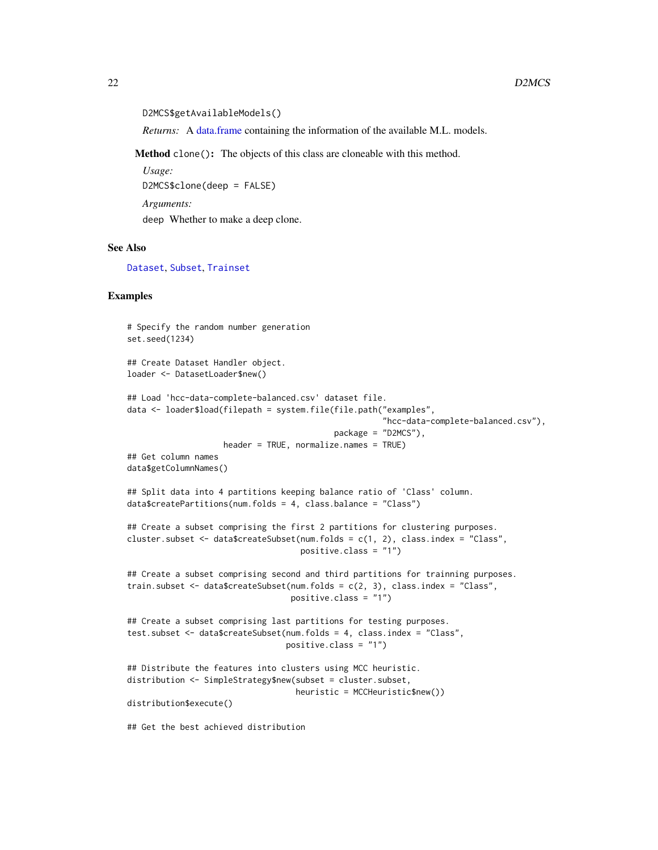```
D2MCS$getAvailableModels()
```
*Returns:* A [data.frame](#page-0-0) containing the information of the available M.L. models.

Method clone(): The objects of this class are cloneable with this method.

*Usage:* D2MCS\$clone(deep = FALSE) *Arguments:* deep Whether to make a deep clone.

# See Also

[Dataset](#page-23-1), [Subset](#page-83-1), [Trainset](#page-94-1)

#### Examples

```
# Specify the random number generation
set.seed(1234)
## Create Dataset Handler object.
loader <- DatasetLoader$new()
## Load 'hcc-data-complete-balanced.csv' dataset file.
data <- loader$load(filepath = system.file(file.path("examples",
                                                     "hcc-data-complete-balanced.csv"),
                                           package = "D2MCS"),
                    header = TRUE, normalize.names = TRUE)
## Get column names
data$getColumnNames()
## Split data into 4 partitions keeping balance ratio of 'Class' column.
data$createPartitions(num.folds = 4, class.balance = "Class")
## Create a subset comprising the first 2 partitions for clustering purposes.
cluster.subset <- data$createSubset(num.folds = c(1, 2), class.index = "Class",
                                    positive.class = "1")
## Create a subset comprising second and third partitions for trainning purposes.
train.subset \leq data$createSubset(num.folds = c(2, 3), class.index = "Class",
                                  positive.class = "1")
## Create a subset comprising last partitions for testing purposes.
test.subset <- data$createSubset(num.folds = 4, class.index = "Class",
                                 positive.class = "1")
## Distribute the features into clusters using MCC heuristic.
distribution <- SimpleStrategy$new(subset = cluster.subset,
                                   heuristic = MCCHeuristic$new())
distribution$execute()
## Get the best achieved distribution
```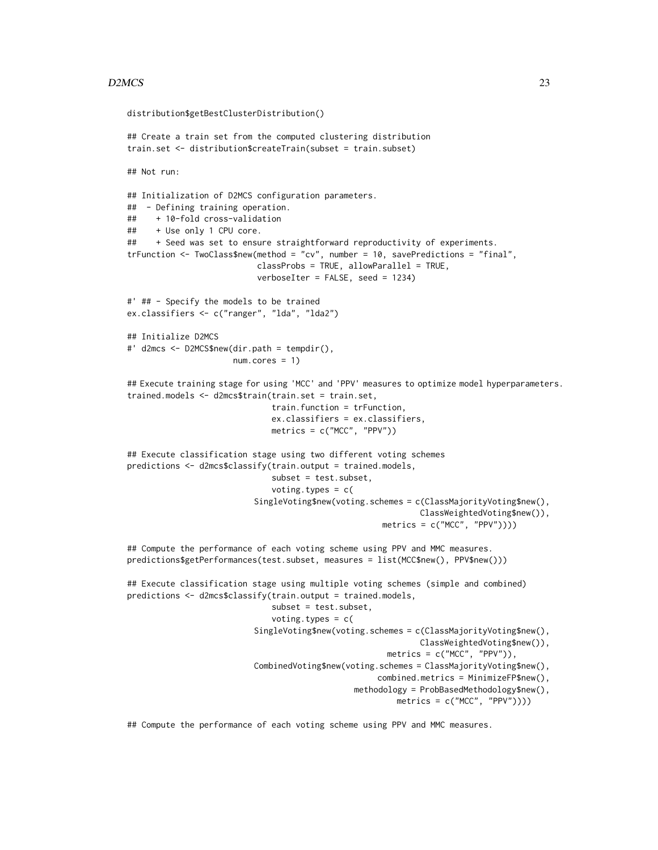#### $D2MCS$  23

```
distribution$getBestClusterDistribution()
## Create a train set from the computed clustering distribution
train.set <- distribution$createTrain(subset = train.subset)
## Not run:
## Initialization of D2MCS configuration parameters.
## - Defining training operation.
## + 10-fold cross-validation
## + Use only 1 CPU core.
## + Seed was set to ensure straightforward reproductivity of experiments.
trFunction <- TwoClass$new(method = "cv", number = 10, savePredictions = "final",
                           classProbs = TRUE, allowParallel = TRUE,
                           verboseIter = FALSE, seed = 1234)
#' ## - Specify the models to be trained
ex.classifiers <- c("ranger", "lda", "lda2")
## Initialize D2MCS
#' d2mcs <- D2MCS$new(dir.path = tempdir(),
                     num.cores = 1)## Execute training stage for using 'MCC' and 'PPV' measures to optimize model hyperparameters.
trained.models <- d2mcs$train(train.set = train.set,
                              train.function = trFunction,
                              ex.classifiers = ex.classifiers,
                              metrics = c("MCC", "PPV"))
## Execute classification stage using two different voting schemes
predictions <- d2mcs$classify(train.output = trained.models,
                              subset = test.subset,
                              voting.types = c(SingleVoting$new(voting.schemes = c(ClassMajorityVoting$new(),
                                                             ClassWeightedVoting$new()),
                                                     metrics = c("MCC", "PPV"))))
## Compute the performance of each voting scheme using PPV and MMC measures.
predictions$getPerformances(test.subset, measures = list(MCC$new(), PPV$new()))
## Execute classification stage using multiple voting schemes (simple and combined)
predictions <- d2mcs$classify(train.output = trained.models,
                              subset = test.subset,
                              voting.types = c(
                          SingleVoting$new(voting.schemes = c(ClassMajorityVoting$new(),
                                                             ClassWeightedVoting$new()),
                                                      metrics = c("MCC", "PPV"),
                          CombinedVoting$new(voting.schemes = ClassMajorityVoting$new(),
                                                    combined.metrics = MinimizeFP$new(),
                                               methodology = ProbBasedMethodology$new(),
                                                        metrics = c("MCC", "PPV"))))
```
## Compute the performance of each voting scheme using PPV and MMC measures.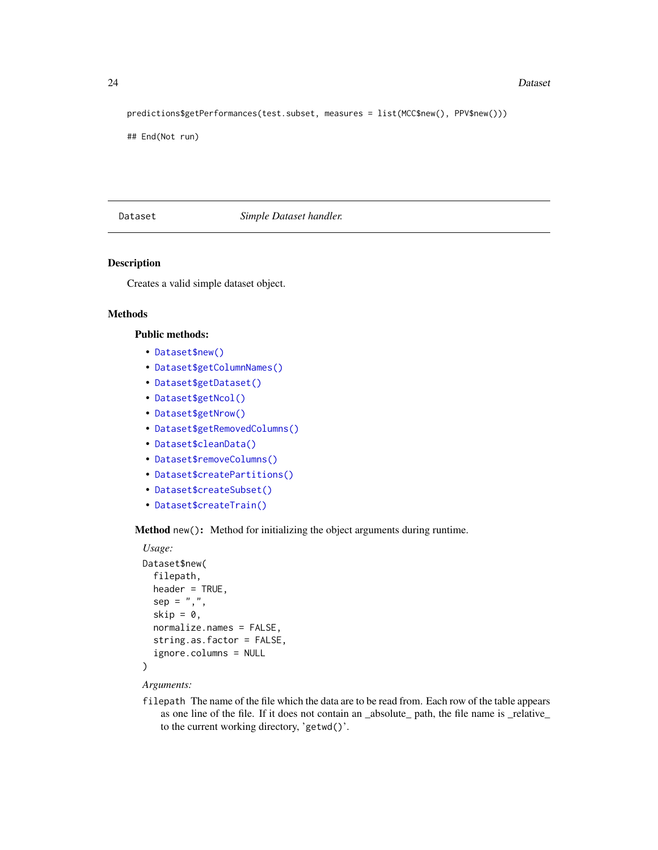#### 24 Dataset

predictions\$getPerformances(test.subset, measures = list(MCC\$new(), PPV\$new()))

## End(Not run)

#### <span id="page-23-1"></span>Dataset *Simple Dataset handler.*

#### Description

Creates a valid simple dataset object.

# Methods

# Public methods:

- [Dataset\\$new\(\)](#page-3-1)
- [Dataset\\$getColumnNames\(\)](#page-24-0)
- [Dataset\\$getDataset\(\)](#page-24-1)
- [Dataset\\$getNcol\(\)](#page-24-2)
- [Dataset\\$getNrow\(\)](#page-24-3)
- [Dataset\\$getRemovedColumns\(\)](#page-24-4)
- [Dataset\\$cleanData\(\)](#page-24-5)
- [Dataset\\$removeColumns\(\)](#page-24-6)
- [Dataset\\$createPartitions\(\)](#page-25-0)
- [Dataset\\$createSubset\(\)](#page-25-1)
- [Dataset\\$createTrain\(\)](#page-25-2)

Method new(): Method for initializing the object arguments during runtime.

```
Usage:
Dataset$new(
  filepath,
  header = TRUE,
  sep = ","skip = 0,normalize.names = FALSE,
  string.as.factor = FALSE,
  ignore.columns = NULL
)
```
#### *Arguments:*

filepath The name of the file which the data are to be read from. Each row of the table appears as one line of the file. If it does not contain an \_absolute\_ path, the file name is \_relative\_ to the current working directory, 'getwd()'.

<span id="page-23-0"></span>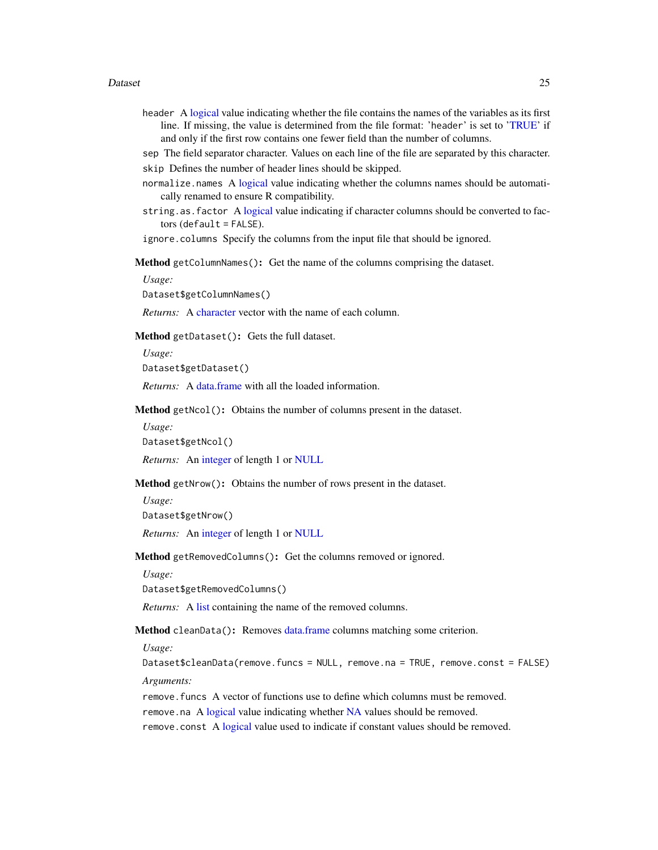#### Dataset 25

- header A [logical](#page-0-0) value indicating whether the file contains the names of the variables as its first line. If missing, the value is determined from the file format: 'header' is set to ['TRUE'](#page-0-0) if and only if the first row contains one fewer field than the number of columns.
- sep The field separator character. Values on each line of the file are separated by this character. skip Defines the number of header lines should be skipped.
- normalize.names A [logical](#page-0-0) value indicating whether the columns names should be automatically renamed to ensure R compatibility.
- string.as.factor A [logical](#page-0-0) value indicating if character columns should be converted to fac $tors$  (default = FALSE).

ignore.columns Specify the columns from the input file that should be ignored.

<span id="page-24-0"></span>Method getColumnNames(): Get the name of the columns comprising the dataset.

*Usage:*

Dataset\$getColumnNames()

*Returns:* A [character](#page-0-0) vector with the name of each column.

<span id="page-24-1"></span>Method getDataset(): Gets the full dataset.

*Usage:*

Dataset\$getDataset()

*Returns:* A [data.frame](#page-0-0) with all the loaded information.

<span id="page-24-2"></span>Method getNcol(): Obtains the number of columns present in the dataset.

*Usage:*

Dataset\$getNcol()

*Returns:* An [integer](#page-0-0) of length 1 or [NULL](#page-0-0)

<span id="page-24-3"></span>Method getNrow(): Obtains the number of rows present in the dataset.

*Usage:*

Dataset\$getNrow()

*Returns:* An [integer](#page-0-0) of length 1 or [NULL](#page-0-0)

<span id="page-24-4"></span>Method getRemovedColumns(): Get the columns removed or ignored.

*Usage:*

Dataset\$getRemovedColumns()

*Returns:* A [list](#page-0-0) containing the name of the removed columns.

<span id="page-24-5"></span>Method cleanData(): Removes [data.frame](#page-0-0) columns matching some criterion.

*Usage:*

Dataset\$cleanData(remove.funcs = NULL, remove.na = TRUE, remove.const = FALSE) *Arguments:*

<span id="page-24-6"></span>remove.funcs A vector of functions use to define which columns must be removed. remove.na A [logical](#page-0-0) value indicating whether [NA](#page-0-0) values should be removed. remove.const A [logical](#page-0-0) value used to indicate if constant values should be removed.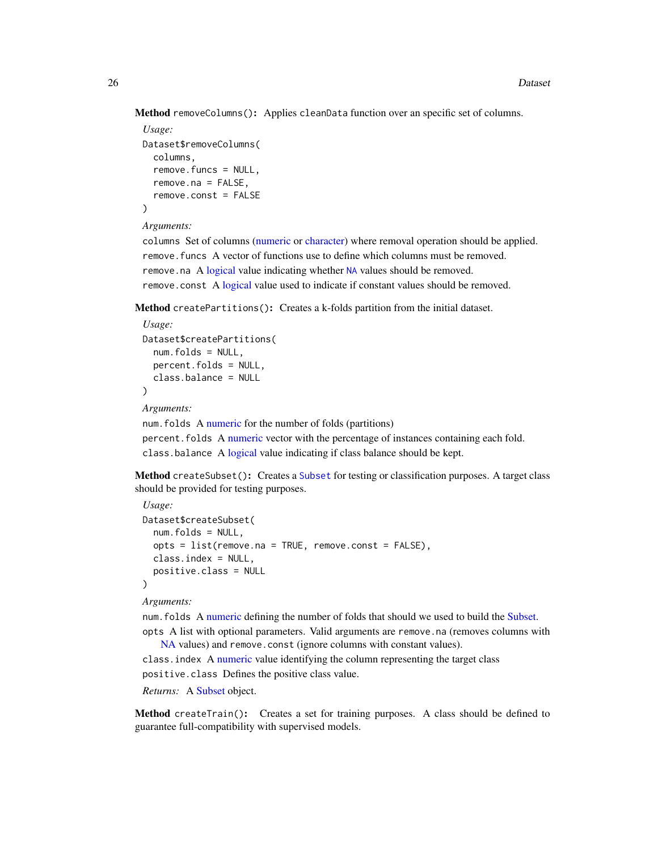Method removeColumns(): Applies cleanData function over an specific set of columns.

```
Usage:
Dataset$removeColumns(
 columns,
  remove.funcs = NULL,
 remove.na = FALSE,
  remove.const = FALSE
)
```
#### *Arguments:*

columns Set of columns [\(numeric](#page-0-0) or [character\)](#page-0-0) where removal operation should be applied. remove.funcs A vector of functions use to define which columns must be removed. remove.na A [logical](#page-0-0) value indicating whether [NA](#page-0-0) values should be removed. remove.const A [logical](#page-0-0) value used to indicate if constant values should be removed.

<span id="page-25-0"></span>Method createPartitions(): Creates a k-folds partition from the initial dataset.

```
Usage:
Dataset$createPartitions(
 num.folds = NULL,
 percent.folds = NULL,
  class.balance = NULL
)
```
*Arguments:*

num.folds A [numeric](#page-0-0) for the number of folds (partitions)

percent.folds A [numeric](#page-0-0) vector with the percentage of instances containing each fold. class.balance A [logical](#page-0-0) value indicating if class balance should be kept.

<span id="page-25-1"></span>Method createSubset(): Creates a [Subset](#page-83-1) for testing or classification purposes. A target class should be provided for testing purposes.

```
Usage:
Dataset$createSubset(
  num.folds = NULL,
 opts = list(remove, na = TRUE, remove. const = FALSE),class.index = NULL,
  positive.class = NULL
)
```
*Arguments:*

num.folds A [numeric](#page-0-0) defining the number of folds that should we used to build the [Subset.](#page-83-1) opts A list with optional parameters. Valid arguments are remove.na (removes columns with

[NA](#page-0-0) values) and remove.const (ignore columns with constant values). class.index A [numeric](#page-0-0) value identifying the column representing the target class

positive.class Defines the positive class value.

*Returns:* A [Subset](#page-83-1) object.

<span id="page-25-2"></span>Method createTrain(): Creates a set for training purposes. A class should be defined to guarantee full-compatibility with supervised models.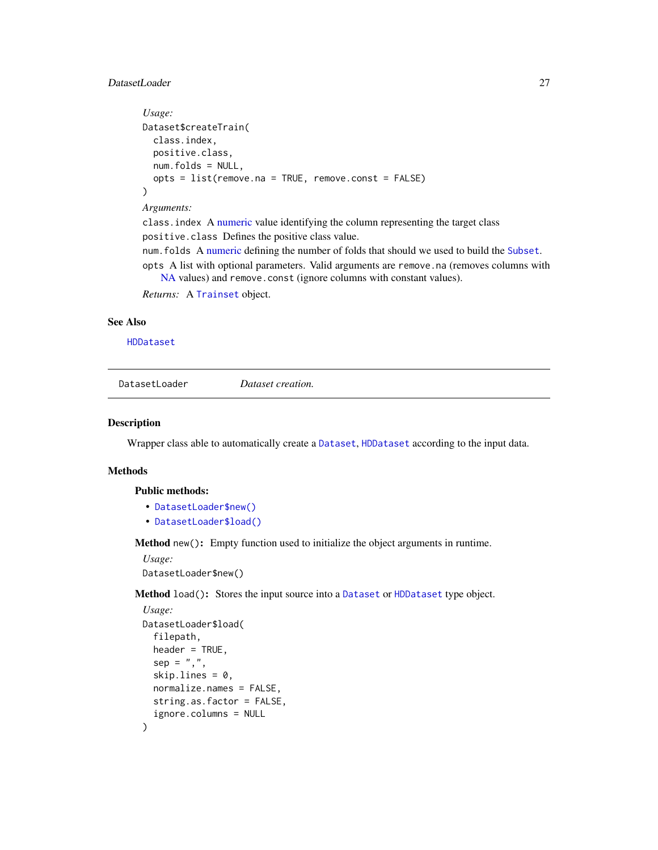# <span id="page-26-0"></span>DatasetLoader 27

```
Usage:
Dataset$createTrain(
  class.index,
  positive.class,
  num.folds = NULL,
  opts = list(remove.na = TRUE, remove.const = FALSE)
)
Arguments:
```
class.index A [numeric](#page-0-0) value identifying the column representing the target class positive.class Defines the positive class value.

num.folds A [numeric](#page-0-0) defining the number of folds that should we used to build the [Subset](#page-83-1).

opts A list with optional parameters. Valid arguments are remove.na (removes columns with [NA](#page-0-0) values) and remove.const (ignore columns with constant values).

*Returns:* A [Trainset](#page-94-1) object.

#### See Also

[HDDataset](#page-45-1)

DatasetLoader *Dataset creation.*

# Description

Wrapper class able to automatically create a [Dataset](#page-23-1), [HDDataset](#page-45-1) according to the input data.

### Methods

Public methods:

- [DatasetLoader\\$new\(\)](#page-3-1)
- [DatasetLoader\\$load\(\)](#page-26-1)

Method new(): Empty function used to initialize the object arguments in runtime.

*Usage:*

DatasetLoader\$new()

<span id="page-26-1"></span>Method load(): Stores the input source into a [Dataset](#page-23-1) or [HDDataset](#page-45-1) type object.

```
Usage:
DatasetLoader$load(
  filepath,
 header = TRUE,
  sep = ","skip.lines = 0,
 normalize.names = FALSE,
  string.as.factor = FALSE,
  ignore.columns = NULL
)
```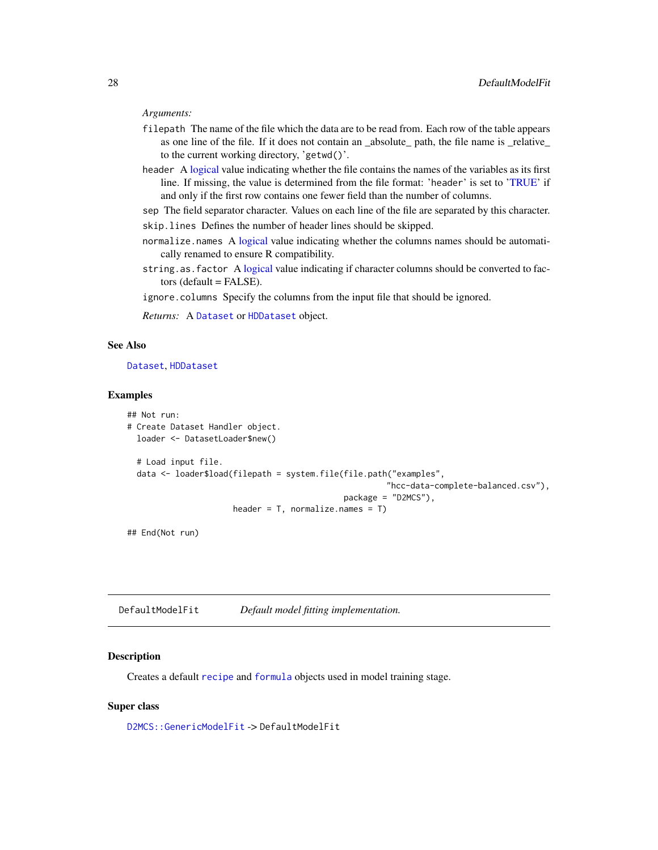#### <span id="page-27-0"></span>*Arguments:*

- filepath The name of the file which the data are to be read from. Each row of the table appears as one line of the file. If it does not contain an \_absolute\_ path, the file name is \_relative\_ to the current working directory, 'getwd()'.
- header A [logical](#page-0-0) value indicating whether the file contains the names of the variables as its first line. If missing, the value is determined from the file format: 'header' is set to ['TRUE'](#page-0-0) if and only if the first row contains one fewer field than the number of columns.
- sep The field separator character. Values on each line of the file are separated by this character. skip.lines Defines the number of header lines should be skipped.
- normalize.names A [logical](#page-0-0) value indicating whether the columns names should be automatically renamed to ensure R compatibility.
- string.as.factor A [logical](#page-0-0) value indicating if character columns should be converted to factors (default = FALSE).
- ignore.columns Specify the columns from the input file that should be ignored.

*Returns:* A [Dataset](#page-23-1) or [HDDataset](#page-45-1) object.

# See Also

#### [Dataset](#page-23-1), [HDDataset](#page-45-1)

# Examples

```
## Not run:
# Create Dataset Handler object.
 loader <- DatasetLoader$new()
 # Load input file.
 data <- loader$load(filepath = system.file(file.path("examples",
                                                       "hcc-data-complete-balanced.csv"),
                                             package = "D2MCS"),
                      header = T, normalize.names = T)
```
## End(Not run)

DefaultModelFit *Default model fitting implementation.*

### Description

Creates a default [recipe](#page-0-0) and [formula](#page-0-0) objects used in model training stage.

# Super class

[D2MCS::GenericModelFit](#page-0-0) -> DefaultModelFit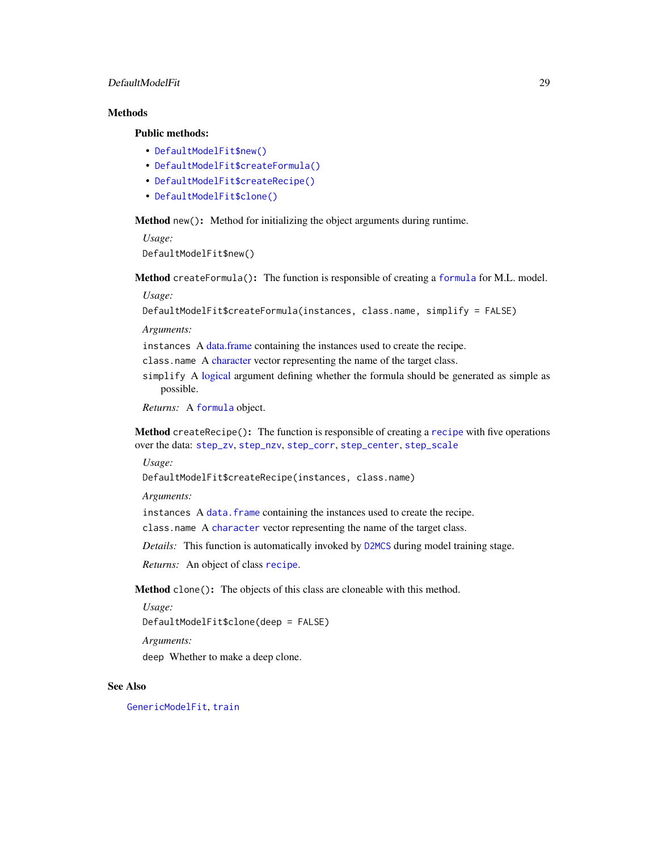# DefaultModelFit 29

# **Methods**

# Public methods:

- [DefaultModelFit\\$new\(\)](#page-3-1)
- [DefaultModelFit\\$createFormula\(\)](#page-28-0)
- [DefaultModelFit\\$createRecipe\(\)](#page-28-1)
- [DefaultModelFit\\$clone\(\)](#page-3-3)

Method new(): Method for initializing the object arguments during runtime.

*Usage:* DefaultModelFit\$new()

<span id="page-28-0"></span>Method createFormula(): The function is responsible of creating a [formula](#page-0-0) for M.L. model.

*Usage:*

```
DefaultModelFit$createFormula(instances, class.name, simplify = FALSE)
```
*Arguments:*

instances A [data.frame](#page-0-0) containing the instances used to create the recipe.

class.name A [character](#page-0-0) vector representing the name of the target class.

simplify A [logical](#page-0-0) argument defining whether the formula should be generated as simple as possible.

*Returns:* A [formula](#page-0-0) object.

<span id="page-28-1"></span>Method createRecipe(): The function is responsible of creating a [recipe](#page-0-0) with five operations over the data: [step\\_zv](#page-0-0), [step\\_nzv](#page-0-0), [step\\_corr](#page-0-0), [step\\_center](#page-0-0), [step\\_scale](#page-0-0)

*Usage:*

DefaultModelFit\$createRecipe(instances, class.name)

*Arguments:*

instances A data. frame containing the instances used to create the recipe.

class.name A [character](#page-0-0) vector representing the name of the target class.

*Details:* This function is automatically invoked by [D2MCS](#page-19-1) during model training stage.

*Returns:* An object of class [recipe](#page-0-0).

Method clone(): The objects of this class are cloneable with this method.

*Usage:*

DefaultModelFit\$clone(deep = FALSE)

*Arguments:*

deep Whether to make a deep clone.

# See Also

[GenericModelFit](#page-43-1), [train](#page-0-0)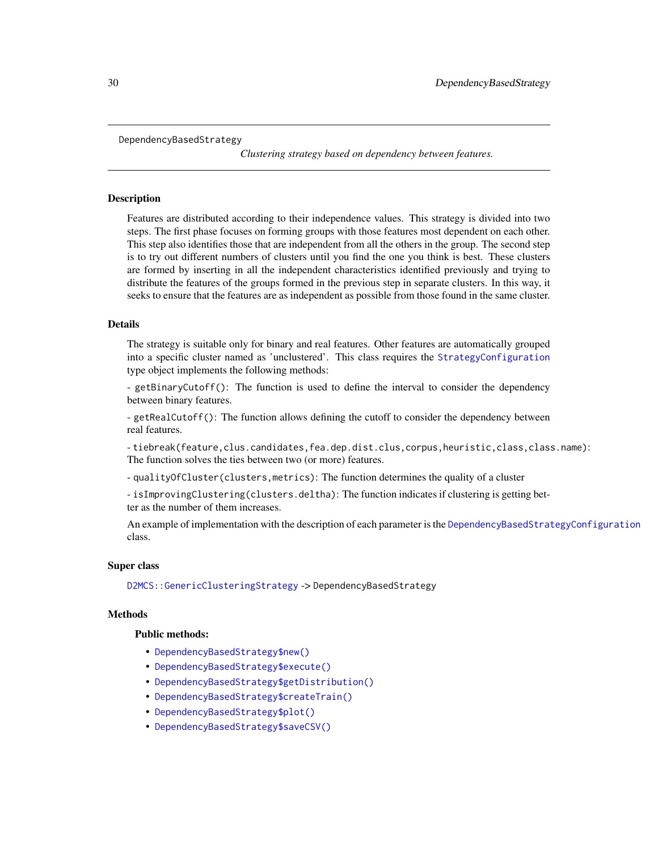```
DependencyBasedStrategy
```
*Clustering strategy based on dependency between features.*

#### **Description**

Features are distributed according to their independence values. This strategy is divided into two steps. The first phase focuses on forming groups with those features most dependent on each other. This step also identifies those that are independent from all the others in the group. The second step is to try out different numbers of clusters until you find the one you think is best. These clusters are formed by inserting in all the independent characteristics identified previously and trying to distribute the features of the groups formed in the previous step in separate clusters. In this way, it seeks to ensure that the features are as independent as possible from those found in the same cluster.

# Details

The strategy is suitable only for binary and real features. Other features are automatically grouped into a specific cluster named as 'unclustered'. This class requires the [StrategyConfiguration](#page-81-1) type object implements the following methods:

- getBinaryCutoff(): The function is used to define the interval to consider the dependency between binary features.

- getRealCutoff(): The function allows defining the cutoff to consider the dependency between real features.

- tiebreak(feature,clus.candidates,fea.dep.dist.clus,corpus,heuristic,class,class.name): The function solves the ties between two (or more) features.

- qualityOfCluster(clusters,metrics): The function determines the quality of a cluster

- isImprovingClustering(clusters.deltha): The function indicates if clustering is getting better as the number of them increases.

An example of implementation with the description of each parameter is the [DependencyBasedStrategyConfiguration](#page-32-1) class.

# Super class

[D2MCS::GenericClusteringStrategy](#page-0-0) -> DependencyBasedStrategy

#### Methods

# Public methods:

- [DependencyBasedStrategy\\$new\(\)](#page-3-1)
- [DependencyBasedStrategy\\$execute\(\)](#page-10-3)
- [DependencyBasedStrategy\\$getDistribution\(\)](#page-30-0)
- [DependencyBasedStrategy\\$createTrain\(\)](#page-25-2)
- [DependencyBasedStrategy\\$plot\(\)](#page-4-1)
- [DependencyBasedStrategy\\$saveCSV\(\)](#page-31-0)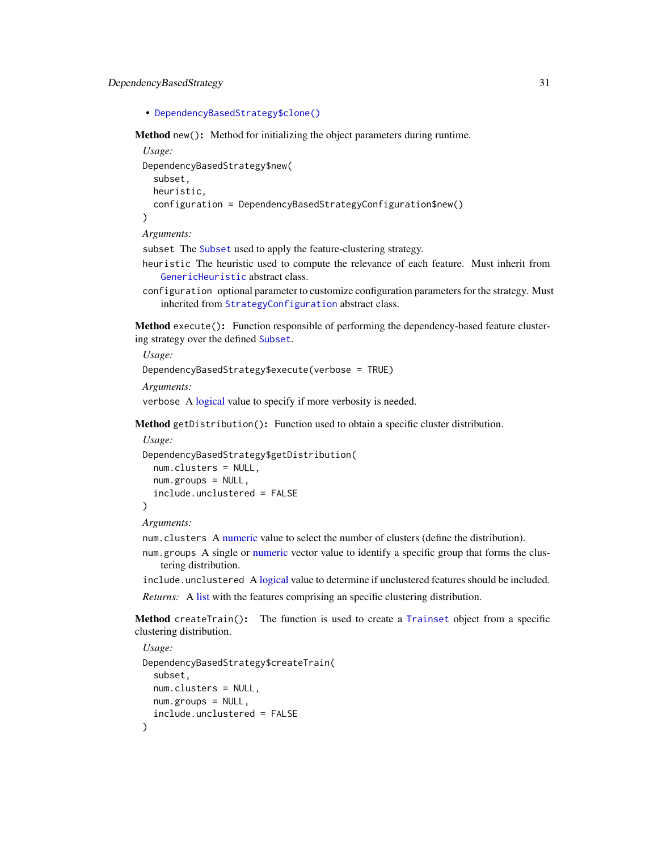DependencyBasedStrategy 31

```
• DependencyBasedStrategy$clone()
```
Method new(): Method for initializing the object parameters during runtime.

```
Usage:
DependencyBasedStrategy$new(
  subset,
 heuristic,
  configuration = DependencyBasedStrategyConfiguration$new()
)
```
*Arguments:*

subset The [Subset](#page-83-1) used to apply the feature-clustering strategy.

- heuristic The heuristic used to compute the relevance of each feature. Must inherit from [GenericHeuristic](#page-42-1) abstract class.
- configuration optional parameter to customize configuration parameters for the strategy. Must inherited from [StrategyConfiguration](#page-81-1) abstract class.

Method execute(): Function responsible of performing the dependency-based feature clustering strategy over the defined [Subset](#page-83-1).

*Usage:* DependencyBasedStrategy\$execute(verbose = TRUE)

*Arguments:*

verbose A [logical](#page-0-0) value to specify if more verbosity is needed.

<span id="page-30-0"></span>Method getDistribution(): Function used to obtain a specific cluster distribution.

```
Usage:
DependencyBasedStrategy$getDistribution(
  num.clusters = NULL,
 num.groups = NULL,
  include.unclustered = FALSE
)
```
*Arguments:*

num.clusters A [numeric](#page-0-0) value to select the number of clusters (define the distribution).

num.groups A single or [numeric](#page-0-0) vector value to identify a specific group that forms the clustering distribution.

include.unclustered A [logical](#page-0-0) value to determine if unclustered features should be included.

*Returns:* A [list](#page-0-0) with the features comprising an specific clustering distribution.

Method createTrain(): The function is used to create a [Trainset](#page-94-1) object from a specific clustering distribution.

```
Usage:
DependencyBasedStrategy$createTrain(
  subset,
 num.clusters = NULL,
 num.groups = NULL,
  include.unclustered = FALSE
)
```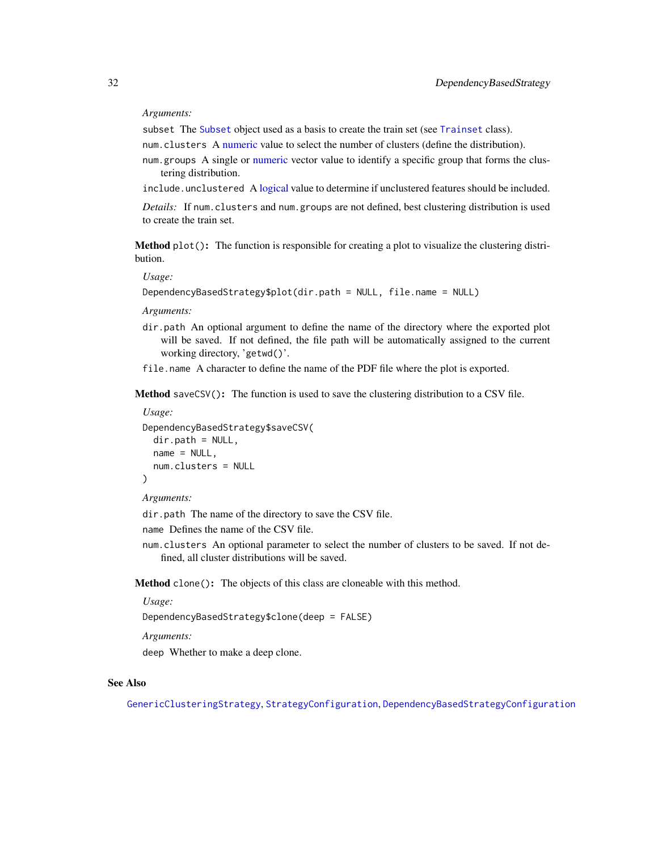#### *Arguments:*

subset The [Subset](#page-83-1) object used as a basis to create the train set (see [Trainset](#page-94-1) class).

num.clusters A [numeric](#page-0-0) value to select the number of clusters (define the distribution).

num.groups A single or [numeric](#page-0-0) vector value to identify a specific group that forms the clustering distribution.

include.unclustered A [logical](#page-0-0) value to determine if unclustered features should be included.

*Details:* If num.clusters and num.groups are not defined, best clustering distribution is used to create the train set.

Method plot(): The function is responsible for creating a plot to visualize the clustering distribution.

*Usage:*

```
DependencyBasedStrategy$plot(dir.path = NULL, file.name = NULL)
```
*Arguments:*

dir.path An optional argument to define the name of the directory where the exported plot will be saved. If not defined, the file path will be automatically assigned to the current working directory, 'getwd()'.

file.name A character to define the name of the PDF file where the plot is exported.

<span id="page-31-0"></span>Method saveCSV(): The function is used to save the clustering distribution to a CSV file.

*Usage:*

```
DependencyBasedStrategy$saveCSV(
 dir.path = NULL,name = NULL,num.clusters = NULL
)
```
*Arguments:*

dir.path The name of the directory to save the CSV file.

name Defines the name of the CSV file.

num.clusters An optional parameter to select the number of clusters to be saved. If not defined, all cluster distributions will be saved.

Method clone(): The objects of this class are cloneable with this method.

*Usage:*

DependencyBasedStrategy\$clone(deep = FALSE)

*Arguments:*

deep Whether to make a deep clone.

#### See Also

[GenericClusteringStrategy](#page-39-1), [StrategyConfiguration](#page-81-1), [DependencyBasedStrategyConfiguration](#page-32-1)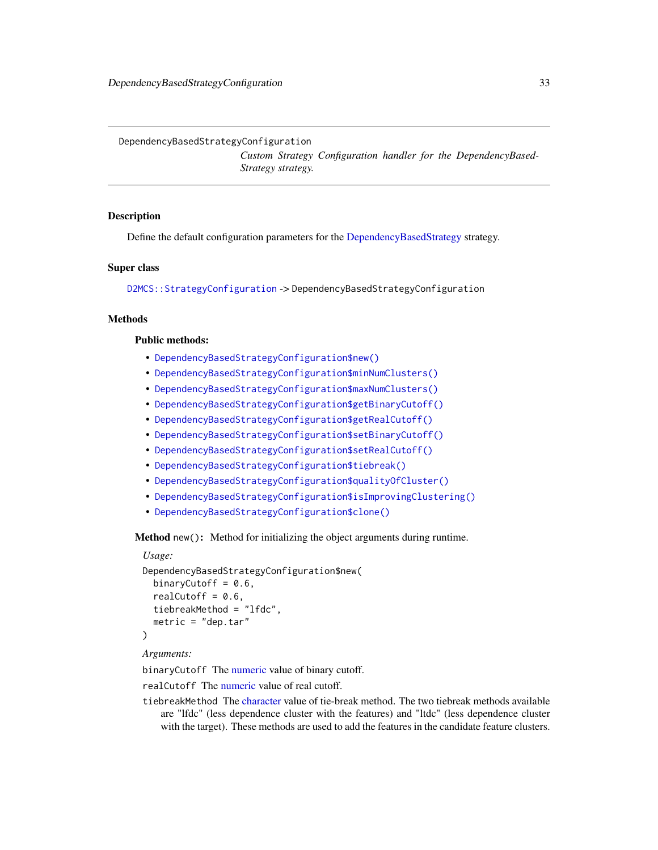<span id="page-32-1"></span><span id="page-32-0"></span>DependencyBasedStrategyConfiguration

*Custom Strategy Configuration handler for the DependencyBased-Strategy strategy.*

# **Description**

Define the default configuration parameters for the [DependencyBasedStrategy](#page-29-1) strategy.

#### Super class

[D2MCS::StrategyConfiguration](#page-0-0) -> DependencyBasedStrategyConfiguration

# **Methods**

#### Public methods:

- [DependencyBasedStrategyConfiguration\\$new\(\)](#page-3-1)
- [DependencyBasedStrategyConfiguration\\$minNumClusters\(\)](#page-33-0)
- [DependencyBasedStrategyConfiguration\\$maxNumClusters\(\)](#page-33-1)
- [DependencyBasedStrategyConfiguration\\$getBinaryCutoff\(\)](#page-33-2)
- [DependencyBasedStrategyConfiguration\\$getRealCutoff\(\)](#page-33-3)
- [DependencyBasedStrategyConfiguration\\$setBinaryCutoff\(\)](#page-33-4)
- [DependencyBasedStrategyConfiguration\\$setRealCutoff\(\)](#page-33-5)
- [DependencyBasedStrategyConfiguration\\$tiebreak\(\)](#page-33-6)
- [DependencyBasedStrategyConfiguration\\$qualityOfCluster\(\)](#page-34-0)
- [DependencyBasedStrategyConfiguration\\$isImprovingClustering\(\)](#page-34-1)
- [DependencyBasedStrategyConfiguration\\$clone\(\)](#page-3-3)

Method new(): Method for initializing the object arguments during runtime.

# *Usage:*

```
DependencyBasedStrategyConfiguration$new(
 binaryCutoff = 0.6,
  realCutoff = 0.6,
  tiebreakMethod = "lfdc",
  metric = "dep.tar"
)
```
#### *Arguments:*

binaryCutoff The [numeric](#page-0-0) value of binary cutoff.

realCutoff The [numeric](#page-0-0) value of real cutoff.

tiebreakMethod The [character](#page-0-0) value of tie-break method. The two tiebreak methods available are "lfdc" (less dependence cluster with the features) and "ltdc" (less dependence cluster with the target). These methods are used to add the features in the candidate feature clusters.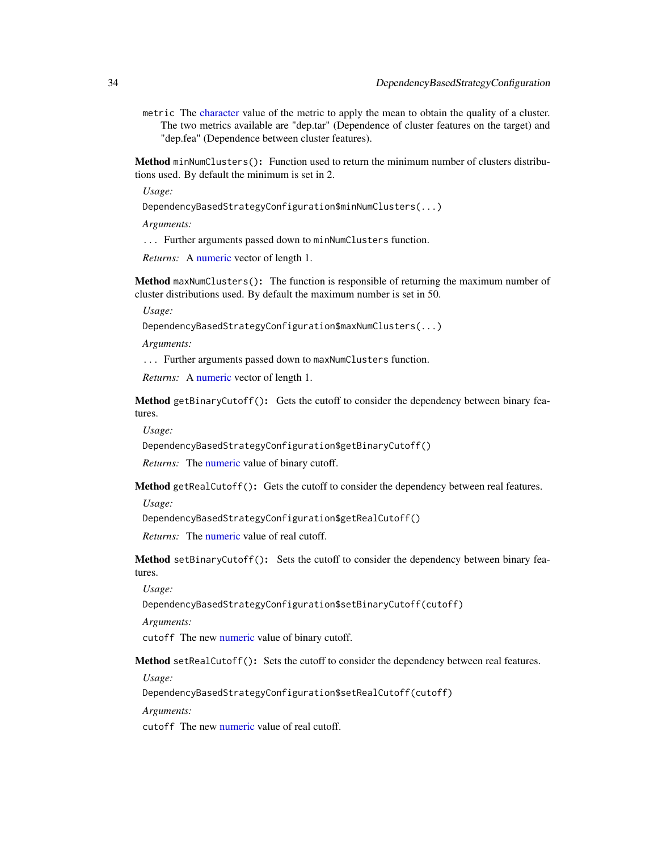metric The [character](#page-0-0) value of the metric to apply the mean to obtain the quality of a cluster. The two metrics available are "dep.tar" (Dependence of cluster features on the target) and "dep.fea" (Dependence between cluster features).

<span id="page-33-0"></span>Method minNumClusters(): Function used to return the minimum number of clusters distributions used. By default the minimum is set in 2.

*Usage:*

DependencyBasedStrategyConfiguration\$minNumClusters(...)

*Arguments:*

... Further arguments passed down to minNumClusters function.

*Returns:* A [numeric](#page-0-0) vector of length 1.

<span id="page-33-1"></span>Method maxNumClusters(): The function is responsible of returning the maximum number of cluster distributions used. By default the maximum number is set in 50.

*Usage:*

DependencyBasedStrategyConfiguration\$maxNumClusters(...)

*Arguments:*

... Further arguments passed down to maxNumClusters function.

*Returns:* A [numeric](#page-0-0) vector of length 1.

<span id="page-33-2"></span>Method getBinaryCutoff(): Gets the cutoff to consider the dependency between binary features.

*Usage:*

DependencyBasedStrategyConfiguration\$getBinaryCutoff()

*Returns:* The [numeric](#page-0-0) value of binary cutoff.

<span id="page-33-3"></span>Method getRealCutoff(): Gets the cutoff to consider the dependency between real features.

*Usage:*

DependencyBasedStrategyConfiguration\$getRealCutoff()

*Returns:* The [numeric](#page-0-0) value of real cutoff.

<span id="page-33-4"></span>Method setBinaryCutoff(): Sets the cutoff to consider the dependency between binary features.

*Usage:*

DependencyBasedStrategyConfiguration\$setBinaryCutoff(cutoff)

*Arguments:*

cutoff The new [numeric](#page-0-0) value of binary cutoff.

<span id="page-33-5"></span>Method setRealCutoff(): Sets the cutoff to consider the dependency between real features.

*Usage:*

DependencyBasedStrategyConfiguration\$setRealCutoff(cutoff)

*Arguments:*

<span id="page-33-6"></span>cutoff The new [numeric](#page-0-0) value of real cutoff.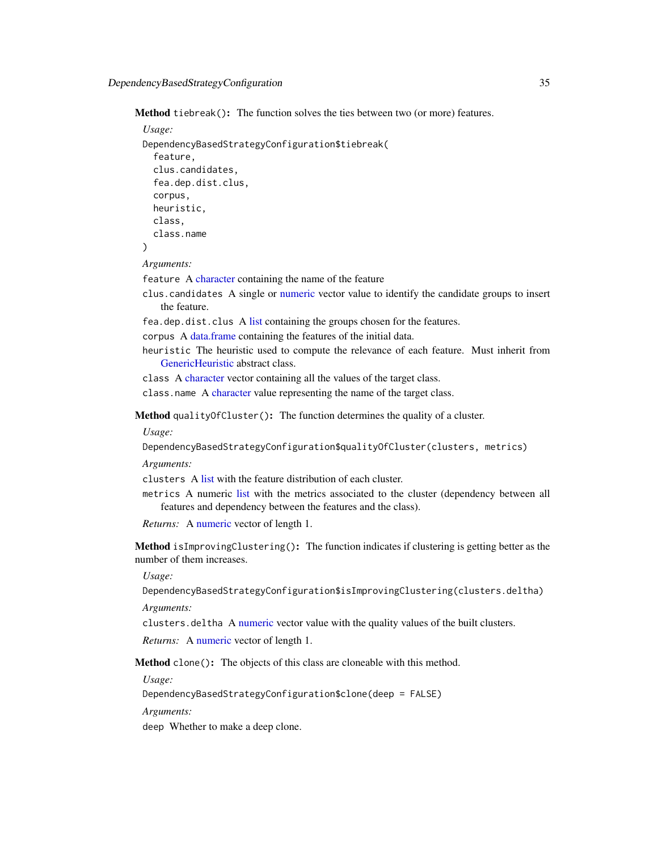Method tiebreak(): The function solves the ties between two (or more) features.

```
Usage:
DependencyBasedStrategyConfiguration$tiebreak(
  feature,
  clus.candidates,
  fea.dep.dist.clus,
  corpus,
 heuristic,
  class,
  class.name
)
```
*Arguments:*

feature A [character](#page-0-0) containing the name of the feature

- clus.candidates A single or [numeric](#page-0-0) vector value to identify the candidate groups to insert the feature.
- fea.dep.dist.clus A [list](#page-0-0) containing the groups chosen for the features.
- corpus A [data.frame](#page-0-0) containing the features of the initial data.
- heuristic The heuristic used to compute the relevance of each feature. Must inherit from [GenericHeuristic](#page-42-1) abstract class.

class A [character](#page-0-0) vector containing all the values of the target class.

class.name A [character](#page-0-0) value representing the name of the target class.

<span id="page-34-0"></span>Method qualityOfCluster(): The function determines the quality of a cluster.

*Usage:*

```
DependencyBasedStrategyConfiguration$qualityOfCluster(clusters, metrics)
```
*Arguments:*

clusters A [list](#page-0-0) with the feature distribution of each cluster.

metrics A numeric [list](#page-0-0) with the metrics associated to the cluster (dependency between all features and dependency between the features and the class).

```
Returns: A numeric vector of length 1.
```
<span id="page-34-1"></span>Method isImprovingClustering(): The function indicates if clustering is getting better as the number of them increases.

*Usage:*

DependencyBasedStrategyConfiguration\$isImprovingClustering(clusters.deltha)

*Arguments:*

clusters.deltha A [numeric](#page-0-0) vector value with the quality values of the built clusters.

*Returns:* A [numeric](#page-0-0) vector of length 1.

Method clone(): The objects of this class are cloneable with this method.

*Usage:*

DependencyBasedStrategyConfiguration\$clone(deep = FALSE)

*Arguments:*

deep Whether to make a deep clone.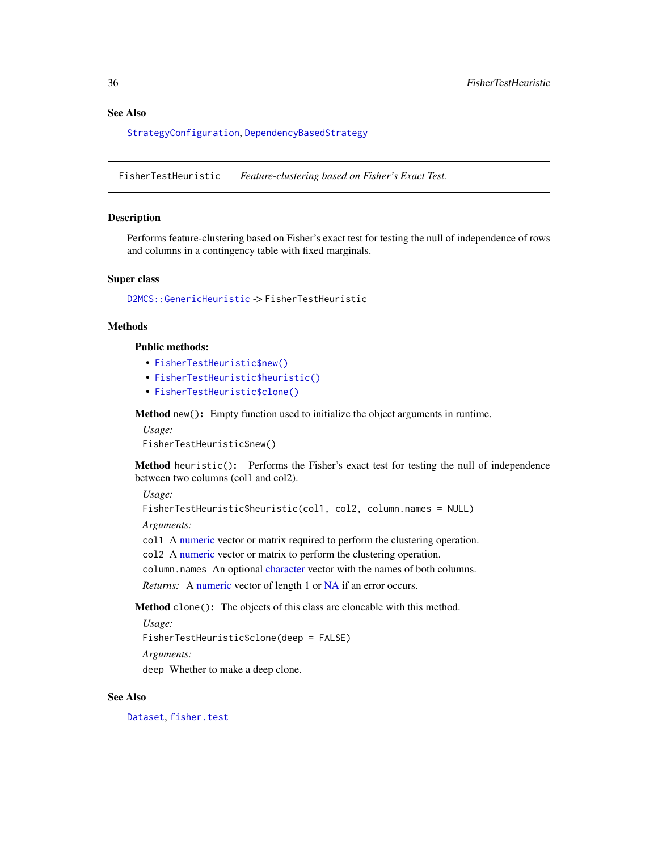# <span id="page-35-0"></span>See Also

[StrategyConfiguration](#page-81-1), [DependencyBasedStrategy](#page-29-1)

FisherTestHeuristic *Feature-clustering based on Fisher's Exact Test.*

#### Description

Performs feature-clustering based on Fisher's exact test for testing the null of independence of rows and columns in a contingency table with fixed marginals.

# Super class

[D2MCS::GenericHeuristic](#page-0-0) -> FisherTestHeuristic

# **Methods**

# Public methods:

- [FisherTestHeuristic\\$new\(\)](#page-3-1)
- [FisherTestHeuristic\\$heuristic\(\)](#page-5-2)
- [FisherTestHeuristic\\$clone\(\)](#page-3-3)

Method new(): Empty function used to initialize the object arguments in runtime.

*Usage:*

FisherTestHeuristic\$new()

Method heuristic(): Performs the Fisher's exact test for testing the null of independence between two columns (col1 and col2).

*Usage:*

FisherTestHeuristic\$heuristic(col1, col2, column.names = NULL)

*Arguments:*

col1 A [numeric](#page-0-0) vector or matrix required to perform the clustering operation.

col2 A [numeric](#page-0-0) vector or matrix to perform the clustering operation.

column.names An optional [character](#page-0-0) vector with the names of both columns.

*Returns:* A [numeric](#page-0-0) vector of length 1 or [NA](#page-0-0) if an error occurs.

Method clone(): The objects of this class are cloneable with this method.

*Usage:*

FisherTestHeuristic\$clone(deep = FALSE)

*Arguments:*

deep Whether to make a deep clone.

### See Also

[Dataset](#page-23-1), [fisher.test](#page-0-0)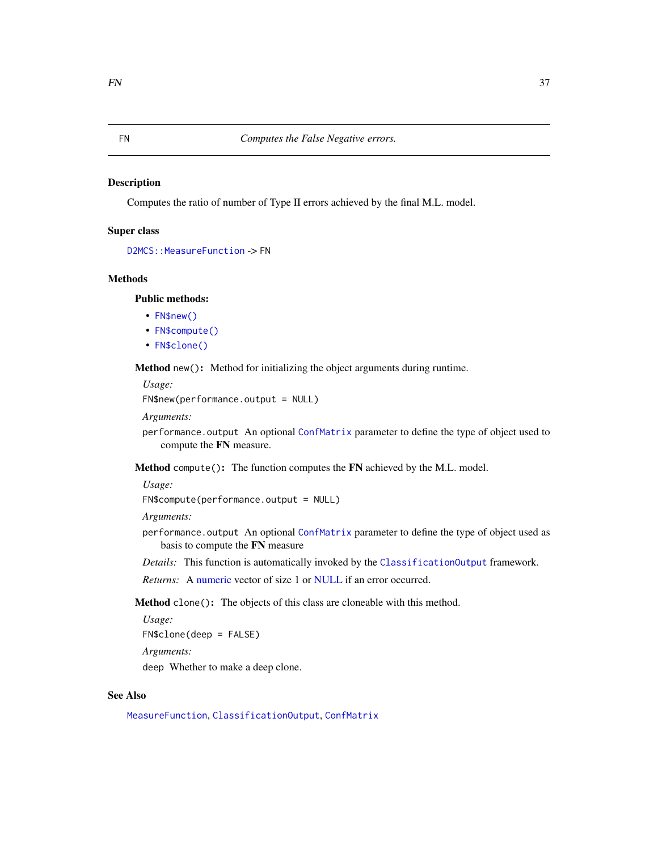Computes the ratio of number of Type II errors achieved by the final M.L. model.

### Super class

```
D2MCS::MeasureFunction -> FN
```
# Methods

Public methods:

- [FN\\$new\(\)](#page-3-0)
- [FN\\$compute\(\)](#page-3-1)
- [FN\\$clone\(\)](#page-3-2)

Method new(): Method for initializing the object arguments during runtime.

*Usage:*

FN\$new(performance.output = NULL)

*Arguments:*

performance.output An optional [ConfMatrix](#page-17-0) parameter to define the type of object used to compute the FN measure.

Method compute(): The function computes the FN achieved by the M.L. model.

*Usage:*

FN\$compute(performance.output = NULL)

*Arguments:*

- performance.output An optional [ConfMatrix](#page-17-0) parameter to define the type of object used as basis to compute the FN measure
- *Details:* This function is automatically invoked by the [ClassificationOutput](#page-5-0) framework.

*Returns:* A [numeric](#page-0-0) vector of size 1 or [NULL](#page-0-0) if an error occurred.

Method clone(): The objects of this class are cloneable with this method.

*Usage:* FN\$clone(deep = FALSE) *Arguments:* deep Whether to make a deep clone.

#### See Also

[MeasureFunction](#page-53-0), [ClassificationOutput](#page-5-0), [ConfMatrix](#page-17-0)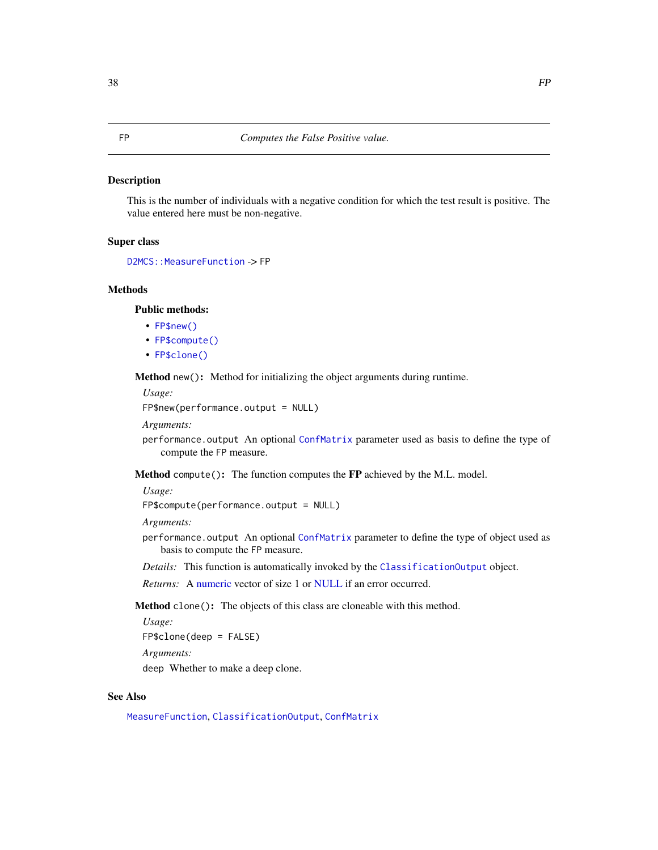This is the number of individuals with a negative condition for which the test result is positive. The value entered here must be non-negative.

# Super class

```
D2MCS::MeasureFunction -> FP
```
# Methods

Public methods:

- [FP\\$new\(\)](#page-3-0)
- [FP\\$compute\(\)](#page-3-1)
- [FP\\$clone\(\)](#page-3-2)

Method new(): Method for initializing the object arguments during runtime.

*Usage:*

FP\$new(performance.output = NULL)

*Arguments:*

performance.output An optional [ConfMatrix](#page-17-0) parameter used as basis to define the type of compute the FP measure.

Method compute(): The function computes the FP achieved by the M.L. model.

*Usage:*

FP\$compute(performance.output = NULL)

*Arguments:*

- performance.output An optional [ConfMatrix](#page-17-0) parameter to define the type of object used as basis to compute the FP measure.
- *Details:* This function is automatically invoked by the [ClassificationOutput](#page-5-0) object.

*Returns:* A [numeric](#page-0-0) vector of size 1 or [NULL](#page-0-0) if an error occurred.

Method clone(): The objects of this class are cloneable with this method.

*Usage:* FP\$clone(deep = FALSE)

*Arguments:*

deep Whether to make a deep clone.

### See Also

[MeasureFunction](#page-53-0), [ClassificationOutput](#page-5-0), [ConfMatrix](#page-17-0)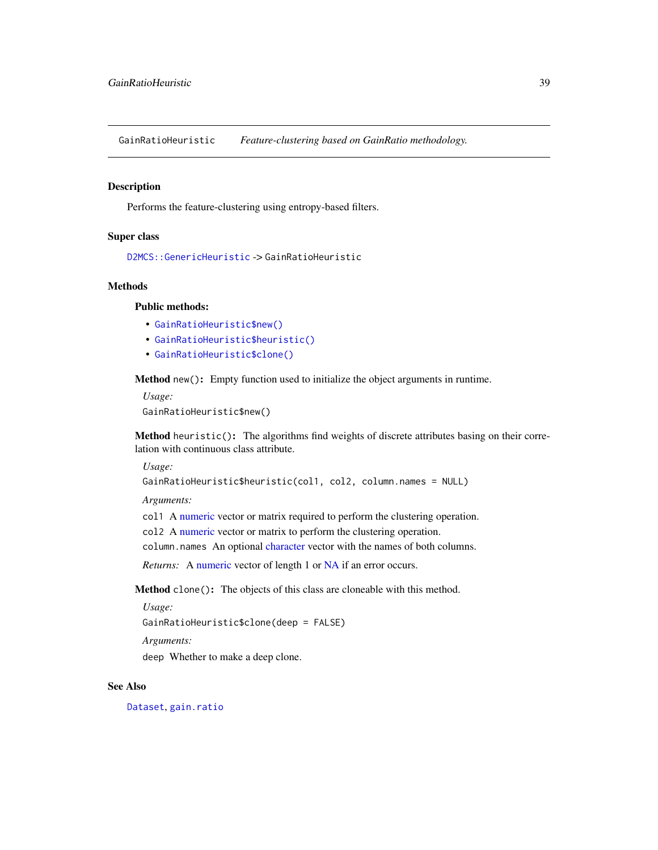GainRatioHeuristic *Feature-clustering based on GainRatio methodology.*

### Description

Performs the feature-clustering using entropy-based filters.

# Super class

[D2MCS::GenericHeuristic](#page-0-0) -> GainRatioHeuristic

#### Methods

# Public methods:

- [GainRatioHeuristic\\$new\(\)](#page-3-0)
- [GainRatioHeuristic\\$heuristic\(\)](#page-5-1)
- [GainRatioHeuristic\\$clone\(\)](#page-3-2)

Method new(): Empty function used to initialize the object arguments in runtime.

*Usage:*

GainRatioHeuristic\$new()

Method heuristic(): The algorithms find weights of discrete attributes basing on their correlation with continuous class attribute.

*Usage:*

```
GainRatioHeuristic$heuristic(col1, col2, column.names = NULL)
```
*Arguments:*

col1 A [numeric](#page-0-0) vector or matrix required to perform the clustering operation.

col2 A [numeric](#page-0-0) vector or matrix to perform the clustering operation.

column.names An optional [character](#page-0-0) vector with the names of both columns.

*Returns:* A [numeric](#page-0-0) vector of length 1 or [NA](#page-0-0) if an error occurs.

Method clone(): The objects of this class are cloneable with this method.

*Usage:*

GainRatioHeuristic\$clone(deep = FALSE)

*Arguments:*

deep Whether to make a deep clone.

# See Also

[Dataset](#page-23-0), [gain.ratio](#page-0-0)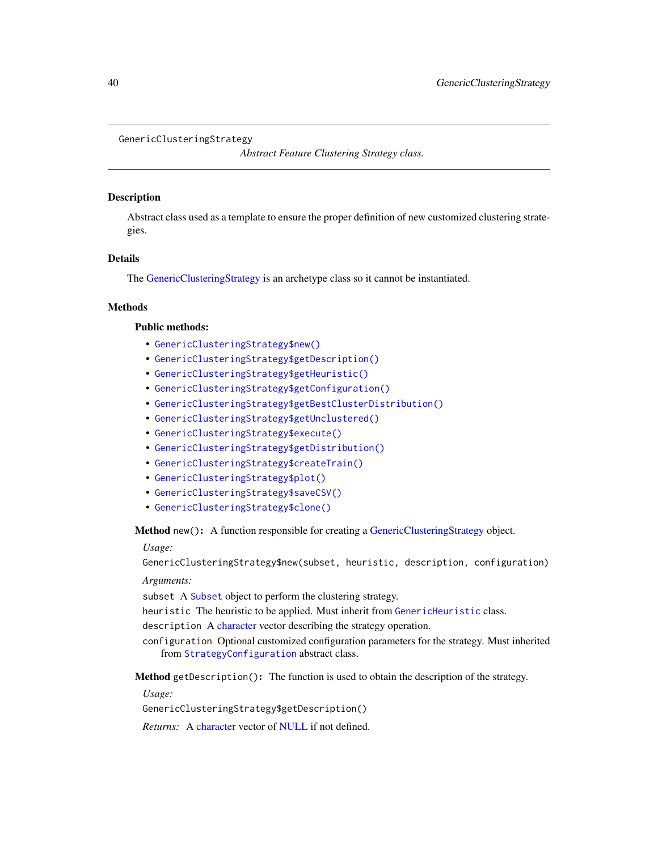#### <span id="page-39-0"></span>GenericClusteringStrategy

*Abstract Feature Clustering Strategy class.*

#### Description

Abstract class used as a template to ensure the proper definition of new customized clustering strategies.

# Details

The [GenericClusteringStrategy](#page-39-0) is an archetype class so it cannot be instantiated.

# Methods

# Public methods:

- [GenericClusteringStrategy\\$new\(\)](#page-3-0)
- [GenericClusteringStrategy\\$getDescription\(\)](#page-39-1)
- [GenericClusteringStrategy\\$getHeuristic\(\)](#page-39-2)
- [GenericClusteringStrategy\\$getConfiguration\(\)](#page-40-0)
- [GenericClusteringStrategy\\$getBestClusterDistribution\(\)](#page-40-1)
- [GenericClusteringStrategy\\$getUnclustered\(\)](#page-40-2)
- [GenericClusteringStrategy\\$execute\(\)](#page-10-0)
- [GenericClusteringStrategy\\$getDistribution\(\)](#page-30-0)
- [GenericClusteringStrategy\\$createTrain\(\)](#page-25-0)
- [GenericClusteringStrategy\\$plot\(\)](#page-4-0)
- [GenericClusteringStrategy\\$saveCSV\(\)](#page-31-0)
- [GenericClusteringStrategy\\$clone\(\)](#page-3-2)

Method new(): A function responsible for creating a [GenericClusteringStrategy](#page-39-0) object.

*Usage:*

GenericClusteringStrategy\$new(subset, heuristic, description, configuration)

#### *Arguments:*

subset A [Subset](#page-83-0) object to perform the clustering strategy.

heuristic The heuristic to be applied. Must inherit from [GenericHeuristic](#page-42-0) class.

description A [character](#page-0-0) vector describing the strategy operation.

configuration Optional customized configuration parameters for the strategy. Must inherited from [StrategyConfiguration](#page-81-0) abstract class.

<span id="page-39-1"></span>Method getDescription(): The function is used to obtain the description of the strategy.

*Usage:*

GenericClusteringStrategy\$getDescription()

<span id="page-39-2"></span>*Returns:* A [character](#page-0-0) vector of [NULL](#page-0-0) if not defined.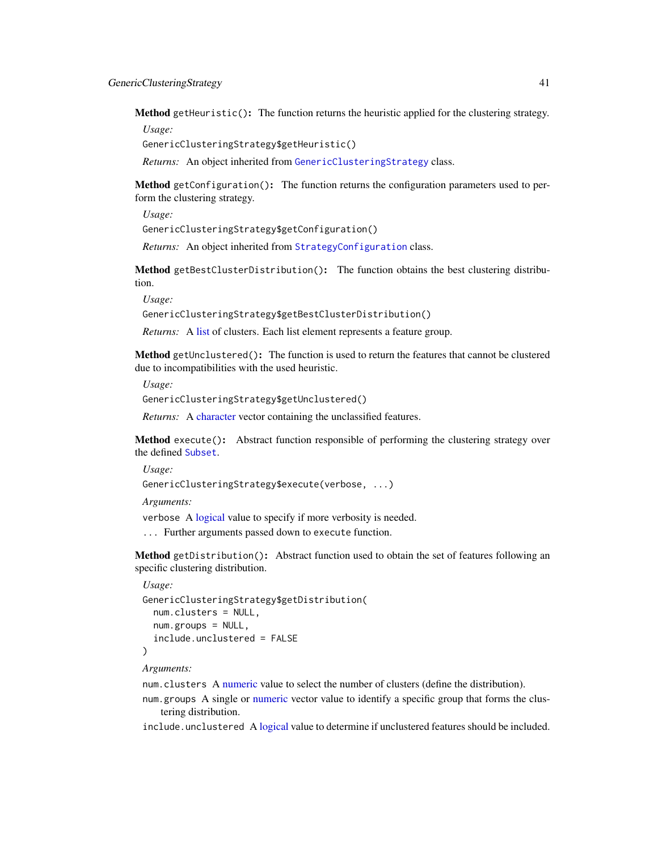Method getHeuristic(): The function returns the heuristic applied for the clustering strategy. *Usage:*

GenericClusteringStrategy\$getHeuristic()

*Returns:* An object inherited from [GenericClusteringStrategy](#page-39-0) class.

<span id="page-40-0"></span>Method getConfiguration(): The function returns the configuration parameters used to perform the clustering strategy.

*Usage:*

GenericClusteringStrategy\$getConfiguration()

*Returns:* An object inherited from [StrategyConfiguration](#page-81-0) class.

<span id="page-40-1"></span>Method getBestClusterDistribution(): The function obtains the best clustering distribution.

*Usage:*

GenericClusteringStrategy\$getBestClusterDistribution()

*Returns:* A [list](#page-0-0) of clusters. Each list element represents a feature group.

<span id="page-40-2"></span>Method getUnclustered(): The function is used to return the features that cannot be clustered due to incompatibilities with the used heuristic.

*Usage:*

GenericClusteringStrategy\$getUnclustered()

*Returns:* A [character](#page-0-0) vector containing the unclassified features.

Method execute(): Abstract function responsible of performing the clustering strategy over the defined [Subset](#page-83-0).

*Usage:*

GenericClusteringStrategy\$execute(verbose, ...)

*Arguments:*

verbose A [logical](#page-0-0) value to specify if more verbosity is needed.

... Further arguments passed down to execute function.

Method getDistribution(): Abstract function used to obtain the set of features following an specific clustering distribution.

```
Usage:
GenericClusteringStrategy$getDistribution(
  num.clusters = NULL,
 num.groups = NULL,
  include.unclustered = FALSE
\lambda
```
*Arguments:*

num.clusters A [numeric](#page-0-0) value to select the number of clusters (define the distribution).

num.groups A single or [numeric](#page-0-0) vector value to identify a specific group that forms the clustering distribution.

include.unclustered A [logical](#page-0-0) value to determine if unclustered features should be included.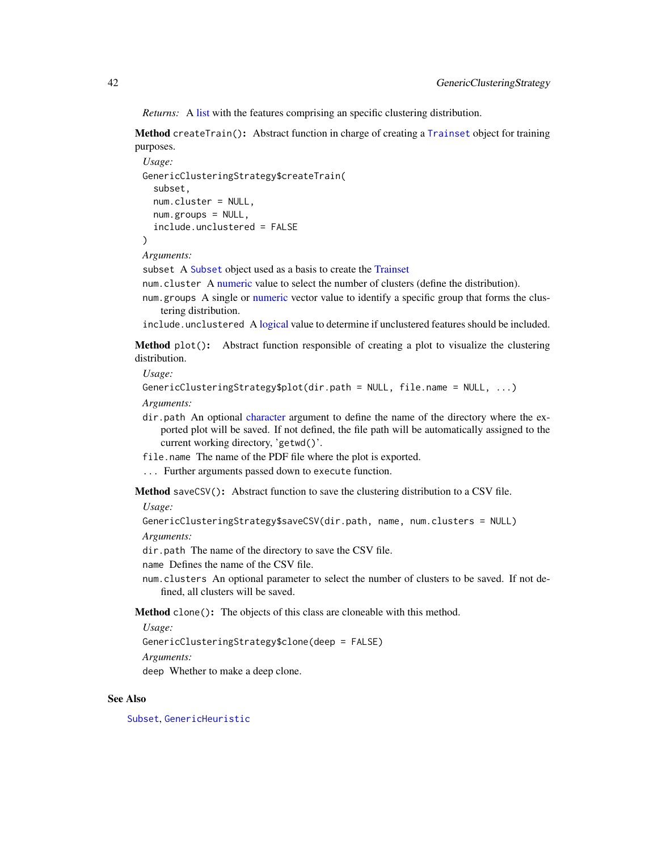*Returns:* A [list](#page-0-0) with the features comprising an specific clustering distribution.

Method createTrain(): Abstract function in charge of creating a [Trainset](#page-94-0) object for training purposes.

```
Usage:
GenericClusteringStrategy$createTrain(
  subset,
 num.cluster = NULL,
 num.groups = NULL,
  include.unclustered = FALSE
)
```
*Arguments:*

subset A [Subset](#page-83-0) object used as a basis to create the [Trainset](#page-94-0)

num.cluster A [numeric](#page-0-0) value to select the number of clusters (define the distribution).

num.groups A single or [numeric](#page-0-0) vector value to identify a specific group that forms the clustering distribution.

include.unclustered A [logical](#page-0-0) value to determine if unclustered features should be included.

Method plot(): Abstract function responsible of creating a plot to visualize the clustering distribution.

*Usage:*

```
GenericClusteringStrategy$plot(dir.path = NULL, file.name = NULL, ...)
```
*Arguments:*

- dir.path An optional [character](#page-0-0) argument to define the name of the directory where the exported plot will be saved. If not defined, the file path will be automatically assigned to the current working directory, 'getwd()'.
- file.name The name of the PDF file where the plot is exported.
- ... Further arguments passed down to execute function.

Method saveCSV(): Abstract function to save the clustering distribution to a CSV file.

*Usage:*

```
GenericClusteringStrategy$saveCSV(dir.path, name, num.clusters = NULL)
```
*Arguments:*

dir.path The name of the directory to save the CSV file.

name Defines the name of the CSV file.

num.clusters An optional parameter to select the number of clusters to be saved. If not defined, all clusters will be saved.

Method clone(): The objects of this class are cloneable with this method.

*Usage:*

GenericClusteringStrategy\$clone(deep = FALSE)

*Arguments:*

deep Whether to make a deep clone.

#### See Also

[Subset](#page-83-0), [GenericHeuristic](#page-42-0)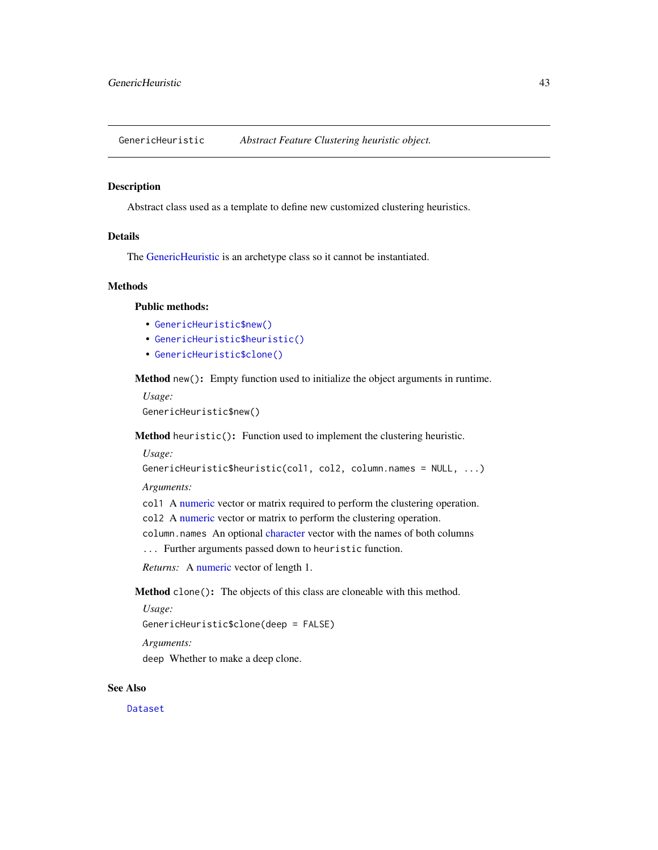<span id="page-42-0"></span>GenericHeuristic *Abstract Feature Clustering heuristic object.*

### Description

Abstract class used as a template to define new customized clustering heuristics.

# Details

The [GenericHeuristic](#page-42-0) is an archetype class so it cannot be instantiated.

#### Methods

### Public methods:

- [GenericHeuristic\\$new\(\)](#page-3-0)
- [GenericHeuristic\\$heuristic\(\)](#page-5-1)
- [GenericHeuristic\\$clone\(\)](#page-3-2)

Method new(): Empty function used to initialize the object arguments in runtime.

*Usage:*

GenericHeuristic\$new()

Method heuristic(): Function used to implement the clustering heuristic.

*Usage:*

```
GenericHeuristic$heuristic(col1, col2, column.names = NULL, ...)
```
*Arguments:*

col1 A [numeric](#page-0-0) vector or matrix required to perform the clustering operation.

col2 A [numeric](#page-0-0) vector or matrix to perform the clustering operation.

column.names An optional [character](#page-0-0) vector with the names of both columns

... Further arguments passed down to heuristic function.

*Returns:* A [numeric](#page-0-0) vector of length 1.

Method clone(): The objects of this class are cloneable with this method.

```
Usage:
```
GenericHeuristic\$clone(deep = FALSE)

*Arguments:*

deep Whether to make a deep clone.

#### See Also

[Dataset](#page-23-0)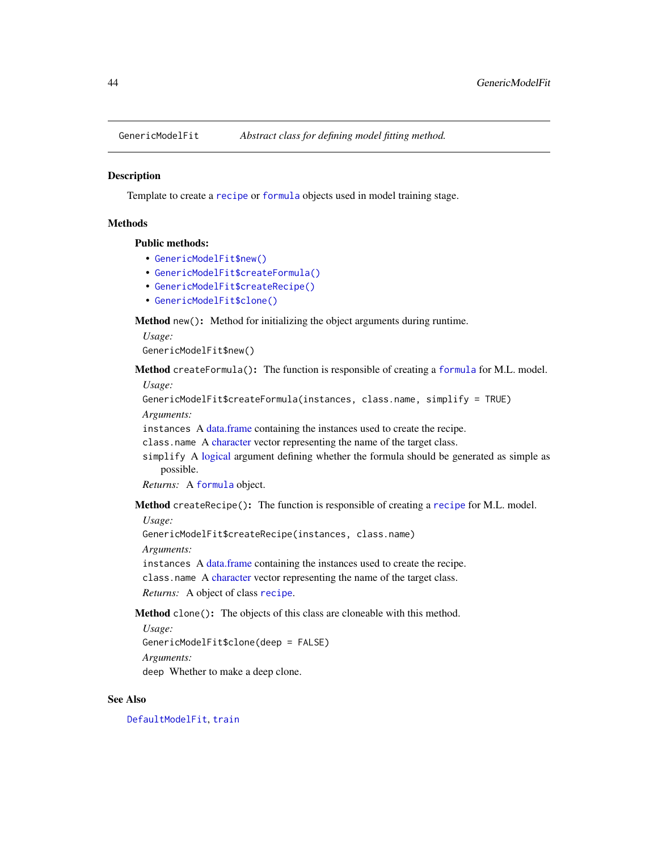Template to create a [recipe](#page-0-0) or [formula](#page-0-0) objects used in model training stage.

# **Methods**

#### Public methods:

- [GenericModelFit\\$new\(\)](#page-3-0)
- [GenericModelFit\\$createFormula\(\)](#page-28-0)
- [GenericModelFit\\$createRecipe\(\)](#page-28-1)
- [GenericModelFit\\$clone\(\)](#page-3-2)

Method new(): Method for initializing the object arguments during runtime.

*Usage:*

```
GenericModelFit$new()
```
Method createFormula(): The function is responsible of creating a [formula](#page-0-0) for M.L. model.

*Usage:*

```
GenericModelFit$createFormula(instances, class.name, simplify = TRUE)
```
*Arguments:*

instances A [data.frame](#page-0-0) containing the instances used to create the recipe.

class.name A [character](#page-0-0) vector representing the name of the target class.

simplify A [logical](#page-0-0) argument defining whether the formula should be generated as simple as possible.

*Returns:* A [formula](#page-0-0) object.

Method createRecipe(): The function is responsible of creating a [recipe](#page-0-0) for M.L. model.

*Usage:*

GenericModelFit\$createRecipe(instances, class.name)

*Arguments:*

instances A [data.frame](#page-0-0) containing the instances used to create the recipe.

class.name A [character](#page-0-0) vector representing the name of the target class.

*Returns:* A object of class [recipe](#page-0-0).

Method clone(): The objects of this class are cloneable with this method.

*Usage:*

GenericModelFit\$clone(deep = FALSE)

*Arguments:*

deep Whether to make a deep clone.

#### See Also

[DefaultModelFit](#page-27-0), [train](#page-0-0)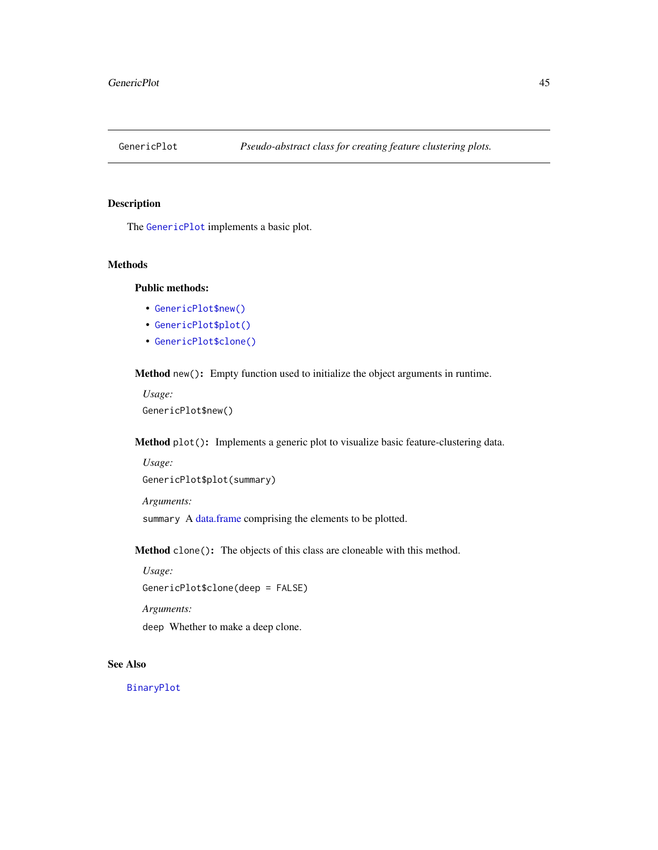<span id="page-44-0"></span>

The [GenericPlot](#page-44-0) implements a basic plot.

# Methods

# Public methods:

- [GenericPlot\\$new\(\)](#page-3-0)
- [GenericPlot\\$plot\(\)](#page-4-0)
- [GenericPlot\\$clone\(\)](#page-3-2)

Method new(): Empty function used to initialize the object arguments in runtime.

*Usage:* GenericPlot\$new()

Method plot(): Implements a generic plot to visualize basic feature-clustering data.

```
Usage:
GenericPlot$plot(summary)
```
*Arguments:*

summary A [data.frame](#page-0-0) comprising the elements to be plotted.

Method clone(): The objects of this class are cloneable with this method.

*Usage:*

GenericPlot\$clone(deep = FALSE)

*Arguments:*

deep Whether to make a deep clone.

# See Also

[BinaryPlot](#page-3-3)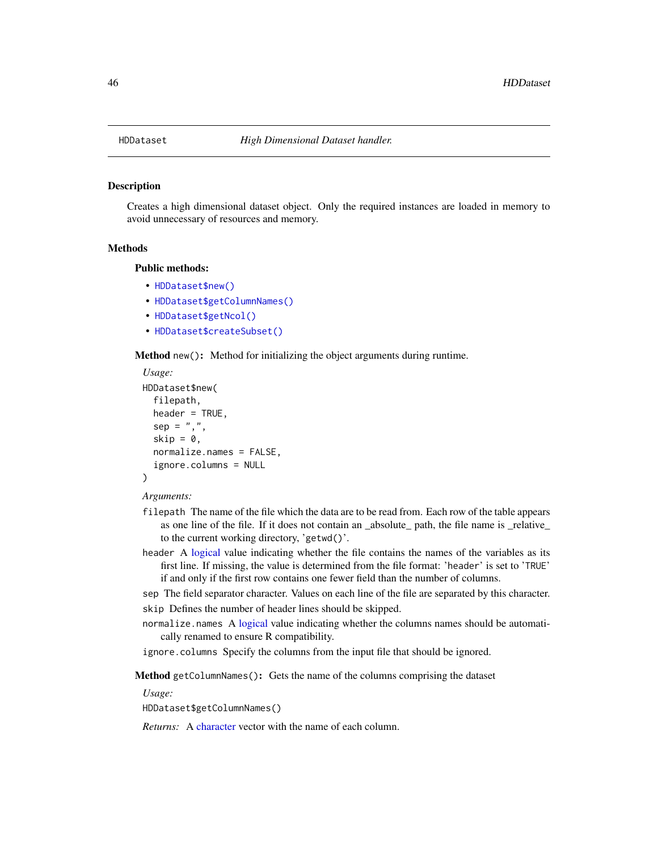Creates a high dimensional dataset object. Only the required instances are loaded in memory to avoid unnecessary of resources and memory.

#### Methods

#### Public methods:

- [HDDataset\\$new\(\)](#page-3-0)
- [HDDataset\\$getColumnNames\(\)](#page-24-0)
- [HDDataset\\$getNcol\(\)](#page-24-1)
- [HDDataset\\$createSubset\(\)](#page-25-1)

Method new(): Method for initializing the object arguments during runtime.

```
Usage:
HDDataset$new(
  filepath,
  header = TRUE,
  sep = ","skip = 0,normalize.names = FALSE,
  ignore.columns = NULL
)
```
### *Arguments:*

- filepath The name of the file which the data are to be read from. Each row of the table appears as one line of the file. If it does not contain an \_absolute\_ path, the file name is \_relative\_ to the current working directory, 'getwd()'.
- header A [logical](#page-0-0) value indicating whether the file contains the names of the variables as its first line. If missing, the value is determined from the file format: 'header' is set to 'TRUE' if and only if the first row contains one fewer field than the number of columns.
- sep The field separator character. Values on each line of the file are separated by this character. skip Defines the number of header lines should be skipped.
- normalize.names A [logical](#page-0-0) value indicating whether the columns names should be automatically renamed to ensure R compatibility.
- ignore.columns Specify the columns from the input file that should be ignored.

Method getColumnNames(): Gets the name of the columns comprising the dataset

*Usage:*

HDDataset\$getColumnNames()

*Returns:* A [character](#page-0-0) vector with the name of each column.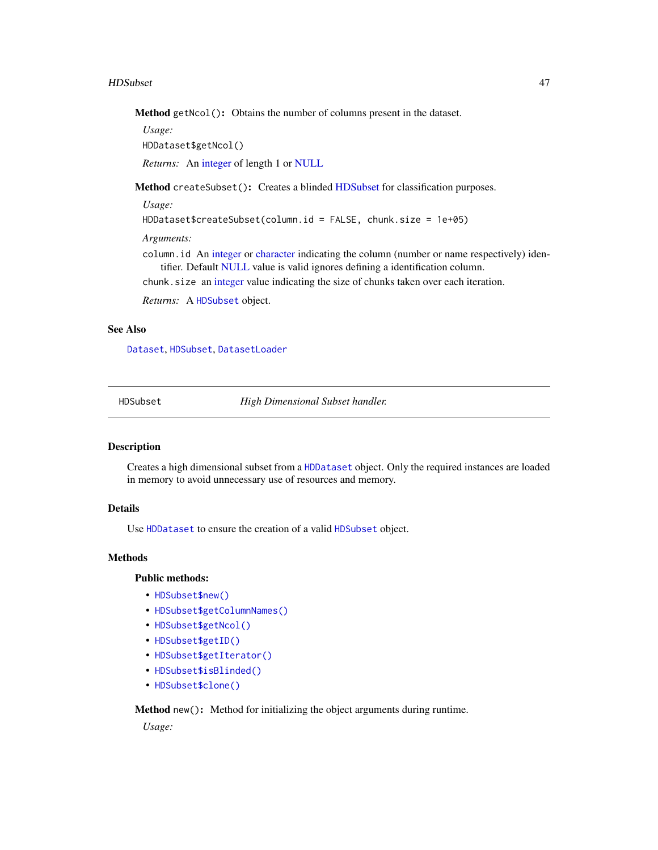#### HDSubset 47

Method getNcol(): Obtains the number of columns present in the dataset.

*Usage:*

HDDataset\$getNcol()

*Returns:* An [integer](#page-0-0) of length 1 or [NULL](#page-0-0)

Method createSubset(): Creates a blinded [HDSubset](#page-46-0) for classification purposes.

*Usage:*

HDDataset\$createSubset(column.id = FALSE, chunk.size = 1e+05)

*Arguments:*

column.id An [integer](#page-0-0) or [character](#page-0-0) indicating the column (number or name respectively) identifier. Default [NULL](#page-0-0) value is valid ignores defining a identification column.

chunk.size an [integer](#page-0-0) value indicating the size of chunks taken over each iteration.

*Returns:* A [HDSubset](#page-46-0) object.

# See Also

[Dataset](#page-23-0), [HDSubset](#page-46-0), [DatasetLoader](#page-26-0)

<span id="page-46-0"></span>

HDSubset *High Dimensional Subset handler.*

# Description

Creates a high dimensional subset from a [HDDataset](#page-45-0) object. Only the required instances are loaded in memory to avoid unnecessary use of resources and memory.

# Details

Use [HDDataset](#page-45-0) to ensure the creation of a valid [HDSubset](#page-46-0) object.

#### Methods

# Public methods:

- [HDSubset\\$new\(\)](#page-3-0)
- [HDSubset\\$getColumnNames\(\)](#page-24-0)
- [HDSubset\\$getNcol\(\)](#page-24-1)
- [HDSubset\\$getID\(\)](#page-47-0)
- [HDSubset\\$getIterator\(\)](#page-47-1)
- [HDSubset\\$isBlinded\(\)](#page-47-2)
- [HDSubset\\$clone\(\)](#page-3-2)

Method new(): Method for initializing the object arguments during runtime.

*Usage:*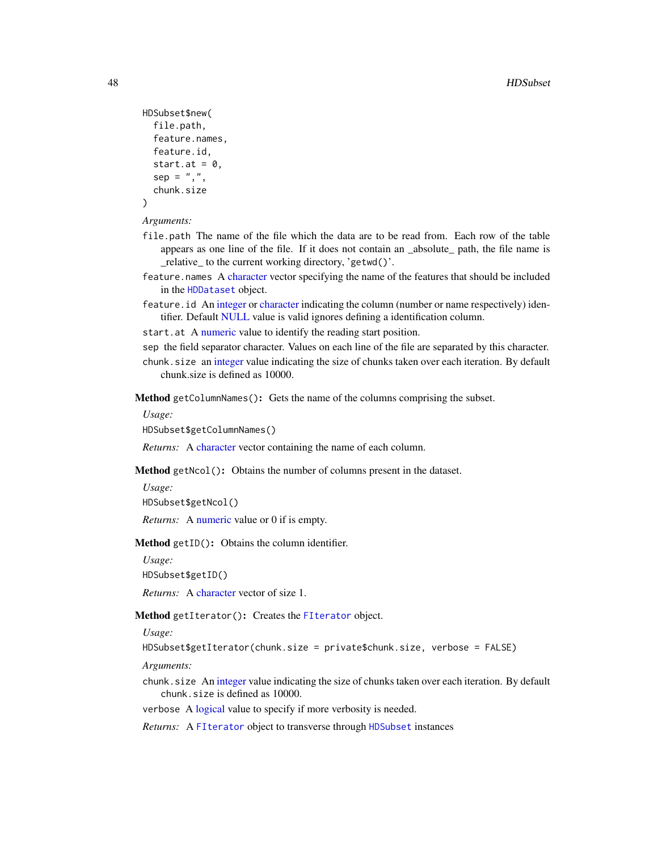```
HDSubset$new(
  file.path,
  feature.names,
  feature.id,
  start.at = 0,
  sep = ","chunk.size
)
```
#### *Arguments:*

- file.path The name of the file which the data are to be read from. Each row of the table appears as one line of the file. If it does not contain an \_absolute\_ path, the file name is \_relative\_ to the current working directory, 'getwd()'.
- feature.names A [character](#page-0-0) vector specifying the name of the features that should be included in the [HDDataset](#page-45-0) object.
- feature.id An [integer](#page-0-0) or [character](#page-0-0) indicating the column (number or name respectively) identifier. Default [NULL](#page-0-0) value is valid ignores defining a identification column.
- start.at A [numeric](#page-0-0) value to identify the reading start position.
- sep the field separator character. Values on each line of the file are separated by this character.
- chunk.size an [integer](#page-0-0) value indicating the size of chunks taken over each iteration. By default chunk.size is defined as 10000.
- Method getColumnNames(): Gets the name of the columns comprising the subset.

*Usage:*

HDSubset\$getColumnNames()

*Returns:* A [character](#page-0-0) vector containing the name of each column.

Method getNcol(): Obtains the number of columns present in the dataset.

*Usage:*

HDSubset\$getNcol()

*Returns:* A [numeric](#page-0-0) value or 0 if is empty.

<span id="page-47-0"></span>Method getID(): Obtains the column identifier.

*Usage:*

HDSubset\$getID()

*Returns:* A [character](#page-0-0) vector of size 1.

### <span id="page-47-1"></span>Method getIterator(): Creates the [FIterator](#page-0-0) object.

*Usage:*

```
HDSubset$getIterator(chunk.size = private$chunk.size, verbose = FALSE)
```
*Arguments:*

- chunk.size An [integer](#page-0-0) value indicating the size of chunks taken over each iteration. By default chunk.size is defined as 10000.
- verbose A [logical](#page-0-0) value to specify if more verbosity is needed.

<span id="page-47-2"></span>*Returns:* A [FIterator](#page-0-0) object to transverse through [HDSubset](#page-46-0) instances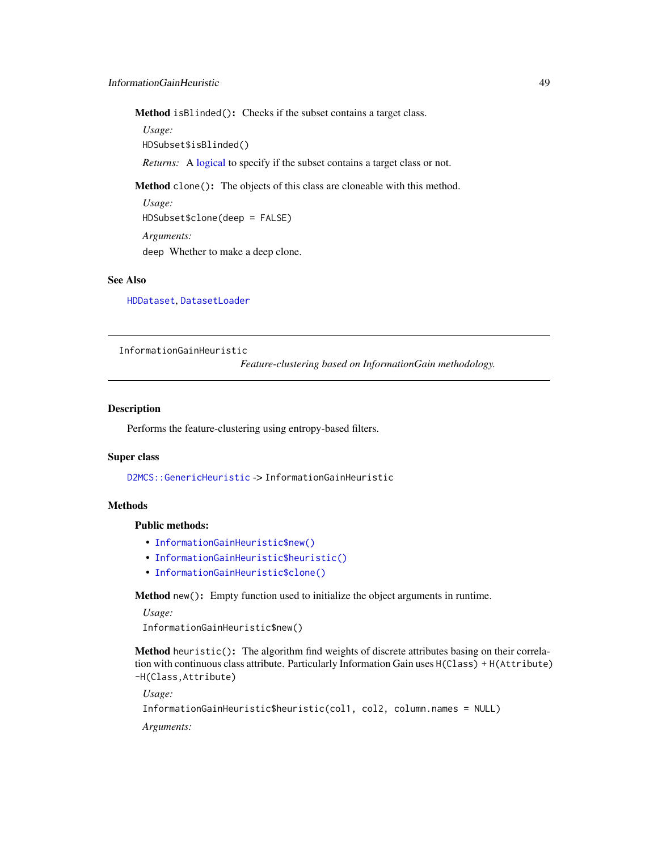Method isBlinded(): Checks if the subset contains a target class.

*Usage:*

HDSubset\$isBlinded()

*Returns:* A [logical](#page-0-0) to specify if the subset contains a target class or not.

Method clone(): The objects of this class are cloneable with this method.

*Usage:* HDSubset\$clone(deep = FALSE) *Arguments:* deep Whether to make a deep clone.

# See Also

[HDDataset](#page-45-0), [DatasetLoader](#page-26-0)

InformationGainHeuristic

*Feature-clustering based on InformationGain methodology.*

# **Description**

Performs the feature-clustering using entropy-based filters.

#### Super class

[D2MCS::GenericHeuristic](#page-0-0) -> InformationGainHeuristic

# **Methods**

# Public methods:

- [InformationGainHeuristic\\$new\(\)](#page-3-0)
- [InformationGainHeuristic\\$heuristic\(\)](#page-5-1)
- [InformationGainHeuristic\\$clone\(\)](#page-3-2)

Method new(): Empty function used to initialize the object arguments in runtime.

```
Usage:
```
InformationGainHeuristic\$new()

Method heuristic(): The algorithm find weights of discrete attributes basing on their correlation with continuous class attribute. Particularly Information Gain uses H(Class) + H(Attribute) -H(Class,Attribute)

*Usage:*

```
InformationGainHeuristic$heuristic(col1, col2, column.names = NULL)
```
*Arguments:*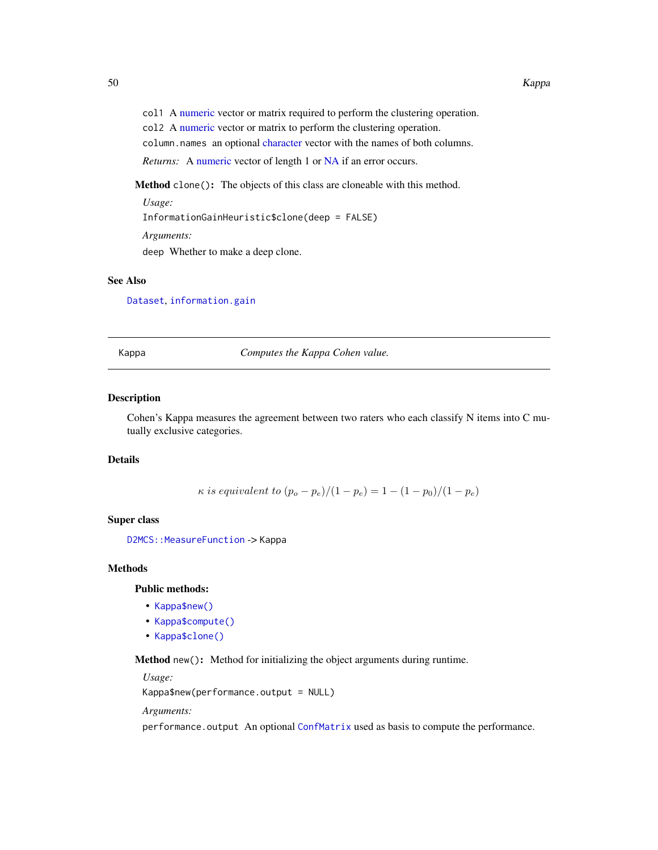col1 A [numeric](#page-0-0) vector or matrix required to perform the clustering operation.

col2 A [numeric](#page-0-0) vector or matrix to perform the clustering operation.

column.names an optional [character](#page-0-0) vector with the names of both columns.

*Returns:* A [numeric](#page-0-0) vector of length 1 or [NA](#page-0-0) if an error occurs.

Method clone(): The objects of this class are cloneable with this method.

*Usage:*

InformationGainHeuristic\$clone(deep = FALSE)

*Arguments:*

deep Whether to make a deep clone.

# See Also

[Dataset](#page-23-0), [information.gain](#page-0-0)

Kappa *Computes the Kappa Cohen value.*

# Description

Cohen's Kappa measures the agreement between two raters who each classify N items into C mutually exclusive categories.

### Details

 $\kappa$  is equivalent to  $(p_o - p_e)/(1 - p_e) = 1 - (1 - p_0)/(1 - p_e)$ 

# Super class

D2MCS:: MeasureFunction -> Kappa

#### Methods

#### Public methods:

- [Kappa\\$new\(\)](#page-3-0)
- [Kappa\\$compute\(\)](#page-3-1)
- [Kappa\\$clone\(\)](#page-3-2)

Method new(): Method for initializing the object arguments during runtime.

*Usage:*

Kappa\$new(performance.output = NULL)

*Arguments:*

performance.output An optional [ConfMatrix](#page-17-0) used as basis to compute the performance.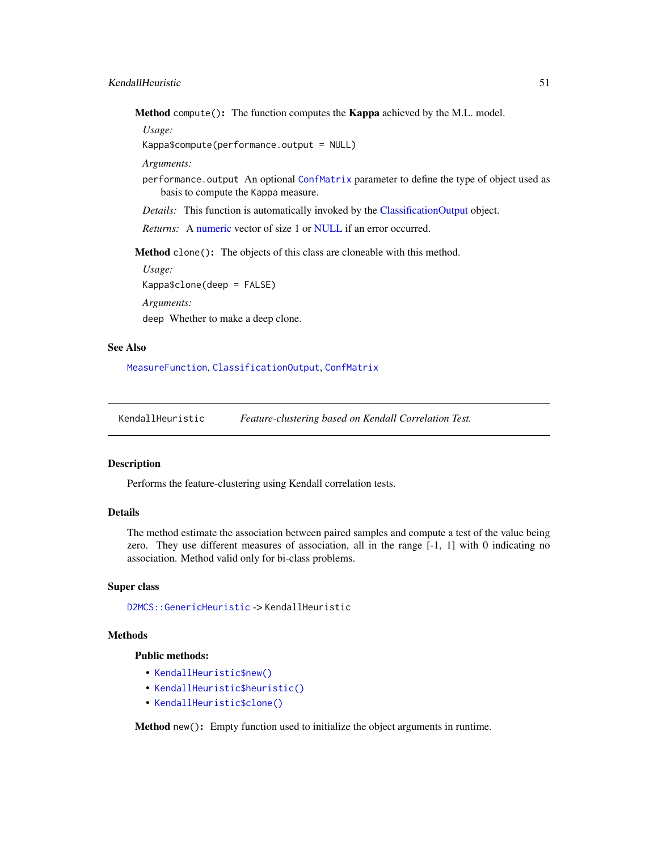Method compute(): The function computes the Kappa achieved by the M.L. model.

*Usage:*

Kappa\$compute(performance.output = NULL)

*Arguments:*

performance.output An optional [ConfMatrix](#page-17-0) parameter to define the type of object used as basis to compute the Kappa measure.

*Details:* This function is automatically invoked by the [ClassificationOutput](#page-5-0) object.

*Returns:* A [numeric](#page-0-0) vector of size 1 or [NULL](#page-0-0) if an error occurred.

Method clone(): The objects of this class are cloneable with this method.

*Usage:* Kappa\$clone(deep = FALSE) *Arguments:* deep Whether to make a deep clone.

# See Also

[MeasureFunction](#page-53-0), [ClassificationOutput](#page-5-0), [ConfMatrix](#page-17-0)

KendallHeuristic *Feature-clustering based on Kendall Correlation Test.*

#### Description

Performs the feature-clustering using Kendall correlation tests.

#### Details

The method estimate the association between paired samples and compute a test of the value being zero. They use different measures of association, all in the range [-1, 1] with 0 indicating no association. Method valid only for bi-class problems.

#### Super class

[D2MCS::GenericHeuristic](#page-0-0) -> KendallHeuristic

# **Methods**

# Public methods:

- [KendallHeuristic\\$new\(\)](#page-3-0)
- [KendallHeuristic\\$heuristic\(\)](#page-5-1)
- [KendallHeuristic\\$clone\(\)](#page-3-2)

Method new(): Empty function used to initialize the object arguments in runtime.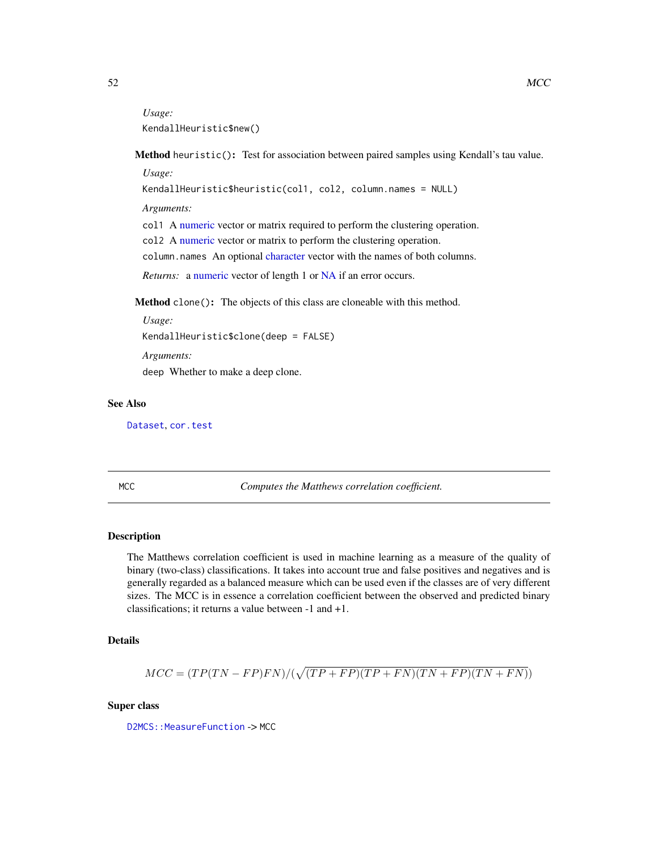*Usage:* KendallHeuristic\$new()

Method heuristic(): Test for association between paired samples using Kendall's tau value.

*Usage:*

KendallHeuristic\$heuristic(col1, col2, column.names = NULL)

*Arguments:*

col1 A [numeric](#page-0-0) vector or matrix required to perform the clustering operation.

col2 A [numeric](#page-0-0) vector or matrix to perform the clustering operation.

column.names An optional [character](#page-0-0) vector with the names of both columns.

*Returns:* a [numeric](#page-0-0) vector of length 1 or [NA](#page-0-0) if an error occurs.

Method clone(): The objects of this class are cloneable with this method.

```
Usage:
KendallHeuristic$clone(deep = FALSE)
Arguments:
```
deep Whether to make a deep clone.

# See Also

[Dataset](#page-23-0), [cor.test](#page-0-0)

MCC *Computes the Matthews correlation coefficient.*

#### Description

The Matthews correlation coefficient is used in machine learning as a measure of the quality of binary (two-class) classifications. It takes into account true and false positives and negatives and is generally regarded as a balanced measure which can be used even if the classes are of very different sizes. The MCC is in essence a correlation coefficient between the observed and predicted binary classifications; it returns a value between -1 and +1.

# Details

$$
MCC = (TP(TN - FP)FN)/(\sqrt{(TP + FP)(TP + FN)(TN + FP)(TN + FN)})
$$

### Super class

D2MCS:: MeasureFunction -> MCC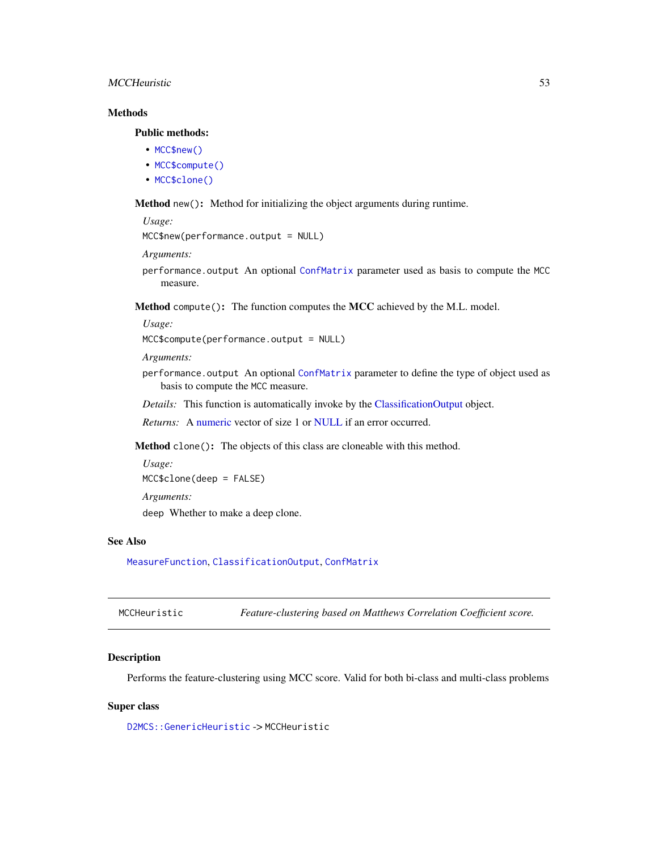# MCCHeuristic 53

# **Methods**

# Public methods:

- [MCC\\$new\(\)](#page-3-0)
- [MCC\\$compute\(\)](#page-3-1)
- [MCC\\$clone\(\)](#page-3-2)

Method new(): Method for initializing the object arguments during runtime.

```
Usage:
```

```
MCC$new(performance.output = NULL)
```
*Arguments:*

performance.output An optional [ConfMatrix](#page-17-0) parameter used as basis to compute the MCC measure.

Method compute(): The function computes the MCC achieved by the M.L. model.

*Usage:*

```
MCC$compute(performance.output = NULL)
```
*Arguments:*

performance.output An optional [ConfMatrix](#page-17-0) parameter to define the type of object used as basis to compute the MCC measure.

*Details:* This function is automatically invoke by the [ClassificationOutput](#page-5-0) object.

*Returns:* A [numeric](#page-0-0) vector of size 1 or [NULL](#page-0-0) if an error occurred.

Method clone(): The objects of this class are cloneable with this method.

```
Usage:
MCC$clone(deep = FALSE)
Arguments:
deep Whether to make a deep clone.
```
# See Also

[MeasureFunction](#page-53-0), [ClassificationOutput](#page-5-0), [ConfMatrix](#page-17-0)

MCCHeuristic *Feature-clustering based on Matthews Correlation Coefficient score.*

# Description

Performs the feature-clustering using MCC score. Valid for both bi-class and multi-class problems

### Super class

[D2MCS::GenericHeuristic](#page-0-0) -> MCCHeuristic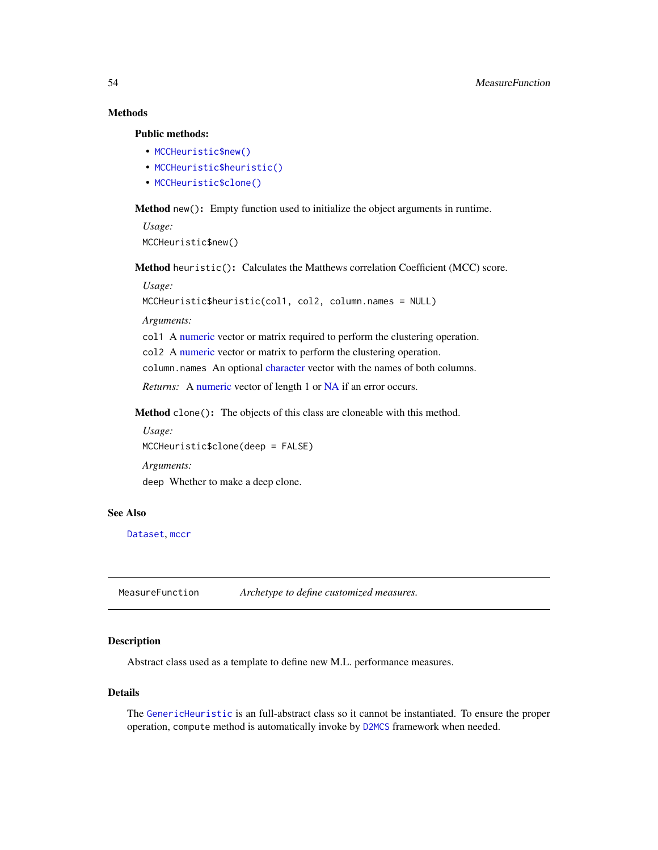# **Methods**

Public methods:

- [MCCHeuristic\\$new\(\)](#page-3-0)
- [MCCHeuristic\\$heuristic\(\)](#page-5-1)
- [MCCHeuristic\\$clone\(\)](#page-3-2)

Method new(): Empty function used to initialize the object arguments in runtime.

*Usage:* MCCHeuristic\$new()

Method heuristic(): Calculates the Matthews correlation Coefficient (MCC) score.

#### *Usage:*

```
MCCHeuristic$heuristic(col1, col2, column.names = NULL)
```
*Arguments:*

col1 A [numeric](#page-0-0) vector or matrix required to perform the clustering operation. col2 A [numeric](#page-0-0) vector or matrix to perform the clustering operation.

column.names An optional [character](#page-0-0) vector with the names of both columns.

*Returns:* A [numeric](#page-0-0) vector of length 1 or [NA](#page-0-0) if an error occurs.

Method clone(): The objects of this class are cloneable with this method.

```
Usage:
MCCHeuristic$clone(deep = FALSE)
Arguments:
deep Whether to make a deep clone.
```
#### See Also

[Dataset](#page-23-0), [mccr](#page-0-0)

<span id="page-53-0"></span>MeasureFunction *Archetype to define customized measures.*

# Description

Abstract class used as a template to define new M.L. performance measures.

# Details

The [GenericHeuristic](#page-42-0) is an full-abstract class so it cannot be instantiated. To ensure the proper operation, compute method is automatically invoke by [D2MCS](#page-19-0) framework when needed.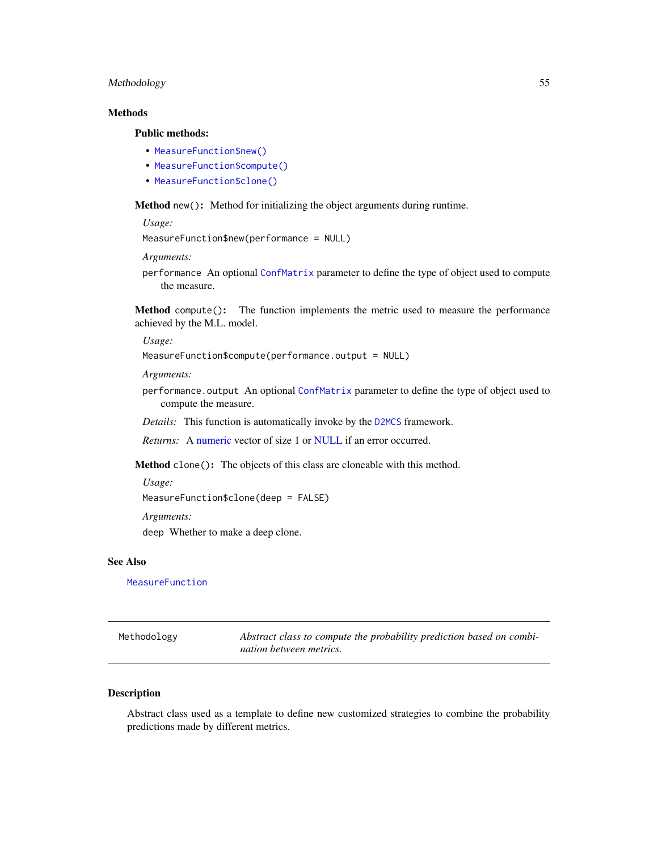# Methodology 55

# Methods

### Public methods:

- [MeasureFunction\\$new\(\)](#page-3-0)
- [MeasureFunction\\$compute\(\)](#page-3-1)
- [MeasureFunction\\$clone\(\)](#page-3-2)

Method new(): Method for initializing the object arguments during runtime.

*Usage:*

```
MeasureFunction$new(performance = NULL)
```
*Arguments:*

performance An optional [ConfMatrix](#page-17-0) parameter to define the type of object used to compute the measure.

Method compute(): The function implements the metric used to measure the performance achieved by the M.L. model.

*Usage:*

```
MeasureFunction$compute(performance.output = NULL)
```
*Arguments:*

performance.output An optional [ConfMatrix](#page-17-0) parameter to define the type of object used to compute the measure.

*Details:* This function is automatically invoke by the [D2MCS](#page-19-0) framework.

*Returns:* A [numeric](#page-0-0) vector of size 1 or [NULL](#page-0-0) if an error occurred.

Method clone(): The objects of this class are cloneable with this method.

*Usage:*

MeasureFunction\$clone(deep = FALSE)

*Arguments:*

deep Whether to make a deep clone.

# See Also

[MeasureFunction](#page-53-0)

<span id="page-54-0"></span>

| Methodology | Abstract class to compute the probability prediction based on combi- |
|-------------|----------------------------------------------------------------------|
|             | nation between metrics.                                              |

### Description

Abstract class used as a template to define new customized strategies to combine the probability predictions made by different metrics.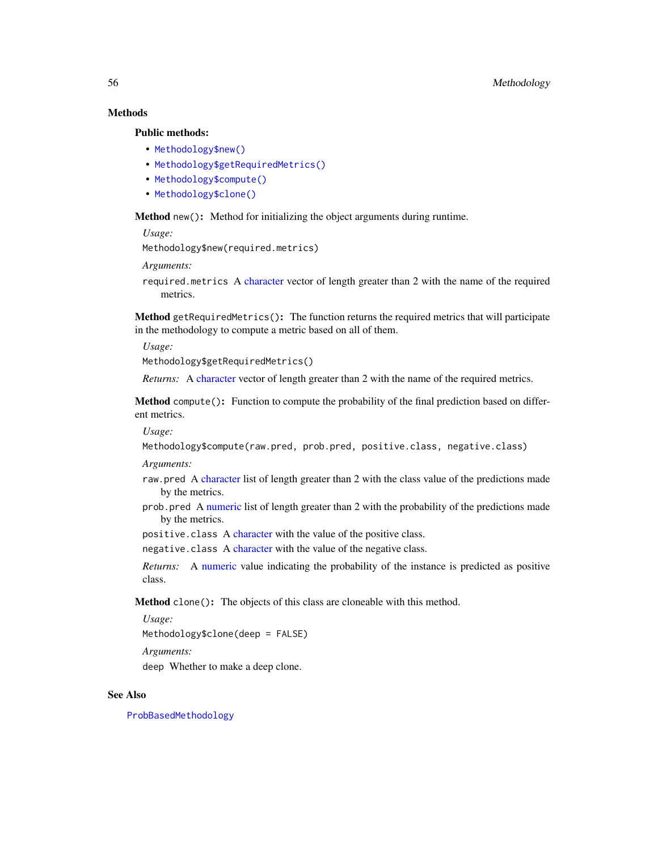# **Methods**

# Public methods:

- [Methodology\\$new\(\)](#page-3-0)
- [Methodology\\$getRequiredMetrics\(\)](#page-14-0)
- [Methodology\\$compute\(\)](#page-3-1)
- [Methodology\\$clone\(\)](#page-3-2)

Method new(): Method for initializing the object arguments during runtime.

*Usage:*

Methodology\$new(required.metrics)

*Arguments:*

required.metrics A [character](#page-0-0) vector of length greater than 2 with the name of the required metrics.

Method getRequiredMetrics(): The function returns the required metrics that will participate in the methodology to compute a metric based on all of them.

*Usage:*

Methodology\$getRequiredMetrics()

*Returns:* A [character](#page-0-0) vector of length greater than 2 with the name of the required metrics.

Method compute(): Function to compute the probability of the final prediction based on different metrics.

*Usage:*

Methodology\$compute(raw.pred, prob.pred, positive.class, negative.class)

*Arguments:*

- raw.pred A [character](#page-0-0) list of length greater than 2 with the class value of the predictions made by the metrics.
- prob.pred A [numeric](#page-0-0) list of length greater than 2 with the probability of the predictions made by the metrics.
- positive.class A [character](#page-0-0) with the value of the positive class.

negative.class A [character](#page-0-0) with the value of the negative class.

*Returns:* A [numeric](#page-0-0) value indicating the probability of the instance is predicted as positive class.

Method clone(): The objects of this class are cloneable with this method.

*Usage:*

Methodology\$clone(deep = FALSE)

*Arguments:*

deep Whether to make a deep clone.

### See Also

[ProbBasedMethodology](#page-70-0)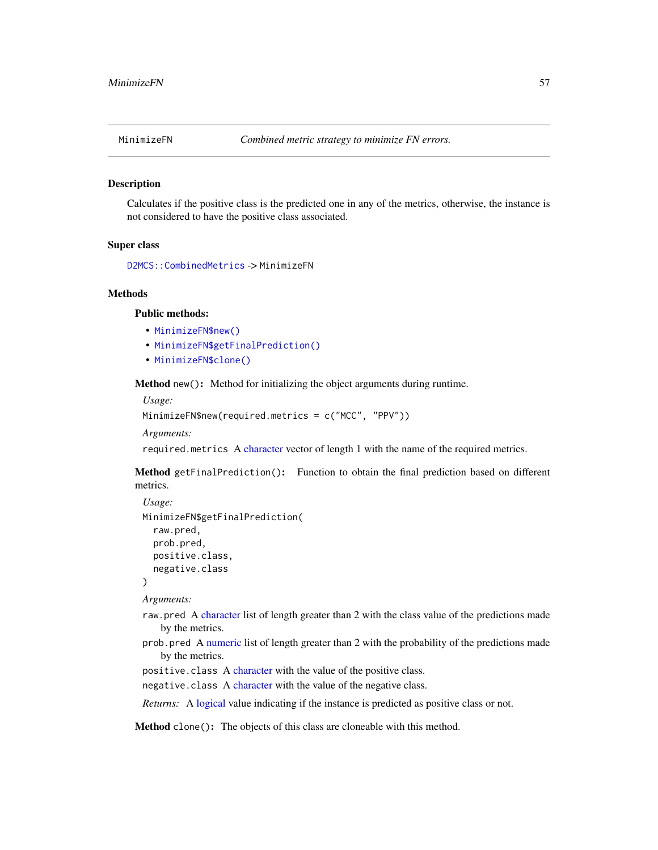Calculates if the positive class is the predicted one in any of the metrics, otherwise, the instance is not considered to have the positive class associated.

### Super class

[D2MCS::CombinedMetrics](#page-0-0) -> MinimizeFN

#### Methods

# Public methods:

- [MinimizeFN\\$new\(\)](#page-3-0)
- [MinimizeFN\\$getFinalPrediction\(\)](#page-15-0)
- [MinimizeFN\\$clone\(\)](#page-3-2)

Method new(): Method for initializing the object arguments during runtime.

*Usage:*

```
MinimizeFN$new(required.metrics = c("MCC", "PPV"))
```
*Arguments:*

required.metrics A [character](#page-0-0) vector of length 1 with the name of the required metrics.

Method getFinalPrediction(): Function to obtain the final prediction based on different metrics.

```
Usage:
MinimizeFN$getFinalPrediction(
  raw.pred,
  prob.pred,
  positive.class,
  negative.class
)
```
*Arguments:*

- raw.pred A [character](#page-0-0) list of length greater than 2 with the class value of the predictions made by the metrics.
- prob.pred A [numeric](#page-0-0) list of length greater than 2 with the probability of the predictions made by the metrics.
- positive.class A [character](#page-0-0) with the value of the positive class.
- negative.class A [character](#page-0-0) with the value of the negative class.

*Returns:* A [logical](#page-0-0) value indicating if the instance is predicted as positive class or not.

Method clone(): The objects of this class are cloneable with this method.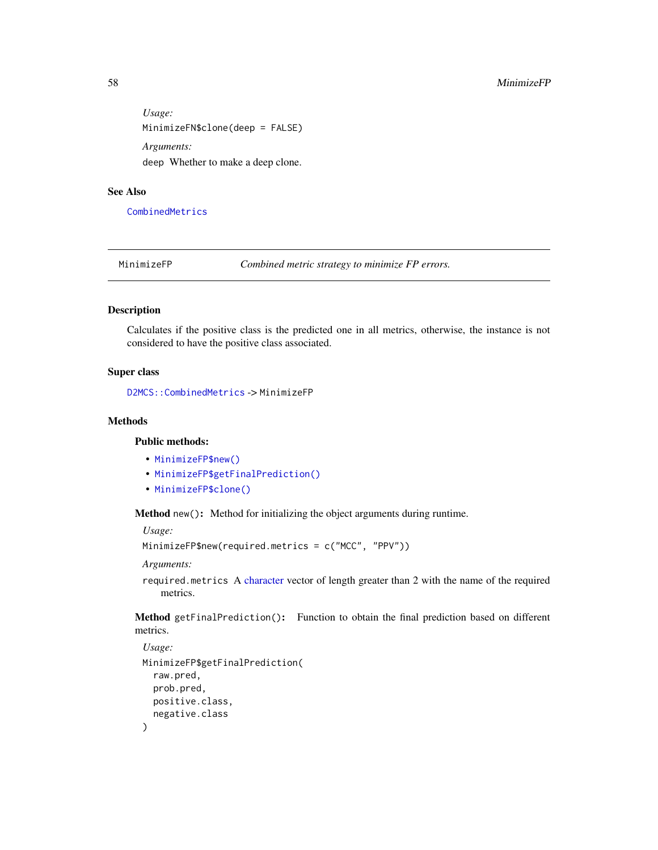*Usage:* MinimizeFN\$clone(deep = FALSE) *Arguments:* deep Whether to make a deep clone.

### See Also

[CombinedMetrics](#page-14-1)

MinimizeFP *Combined metric strategy to minimize FP errors.*

# Description

Calculates if the positive class is the predicted one in all metrics, otherwise, the instance is not considered to have the positive class associated.

# Super class

[D2MCS::CombinedMetrics](#page-0-0) -> MinimizeFP

### Methods

# Public methods:

- [MinimizeFP\\$new\(\)](#page-3-0)
- [MinimizeFP\\$getFinalPrediction\(\)](#page-15-0)
- [MinimizeFP\\$clone\(\)](#page-3-2)

Method new(): Method for initializing the object arguments during runtime.

*Usage:*

```
MinimizeFP$new(required.metrics = c("MCC", "PPV"))
```
*Arguments:*

required.metrics A [character](#page-0-0) vector of length greater than 2 with the name of the required metrics.

Method getFinalPrediction(): Function to obtain the final prediction based on different metrics.

```
Usage:
MinimizeFP$getFinalPrediction(
  raw.pred,
 prob.pred,
  positive.class,
  negative.class
)
```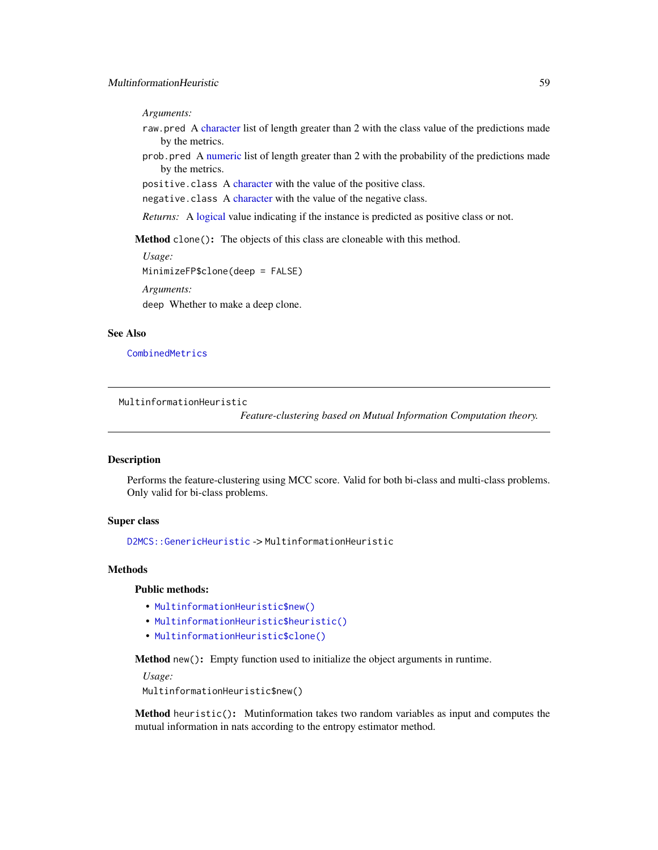*Arguments:*

- raw.pred A [character](#page-0-0) list of length greater than 2 with the class value of the predictions made by the metrics.
- prob.pred A [numeric](#page-0-0) list of length greater than 2 with the probability of the predictions made by the metrics.

positive.class A [character](#page-0-0) with the value of the positive class.

negative.class A [character](#page-0-0) with the value of the negative class.

*Returns:* A [logical](#page-0-0) value indicating if the instance is predicted as positive class or not.

Method clone(): The objects of this class are cloneable with this method.

*Usage:*

MinimizeFP\$clone(deep = FALSE)

*Arguments:*

deep Whether to make a deep clone.

# See Also

[CombinedMetrics](#page-14-1)

MultinformationHeuristic

*Feature-clustering based on Mutual Information Computation theory.*

# Description

Performs the feature-clustering using MCC score. Valid for both bi-class and multi-class problems. Only valid for bi-class problems.

### Super class

[D2MCS::GenericHeuristic](#page-0-0) -> MultinformationHeuristic

#### Methods

### Public methods:

- [MultinformationHeuristic\\$new\(\)](#page-3-0)
- [MultinformationHeuristic\\$heuristic\(\)](#page-5-1)
- [MultinformationHeuristic\\$clone\(\)](#page-3-2)

Method new(): Empty function used to initialize the object arguments in runtime.

*Usage:*

MultinformationHeuristic\$new()

Method heuristic(): Mutinformation takes two random variables as input and computes the mutual information in nats according to the entropy estimator method.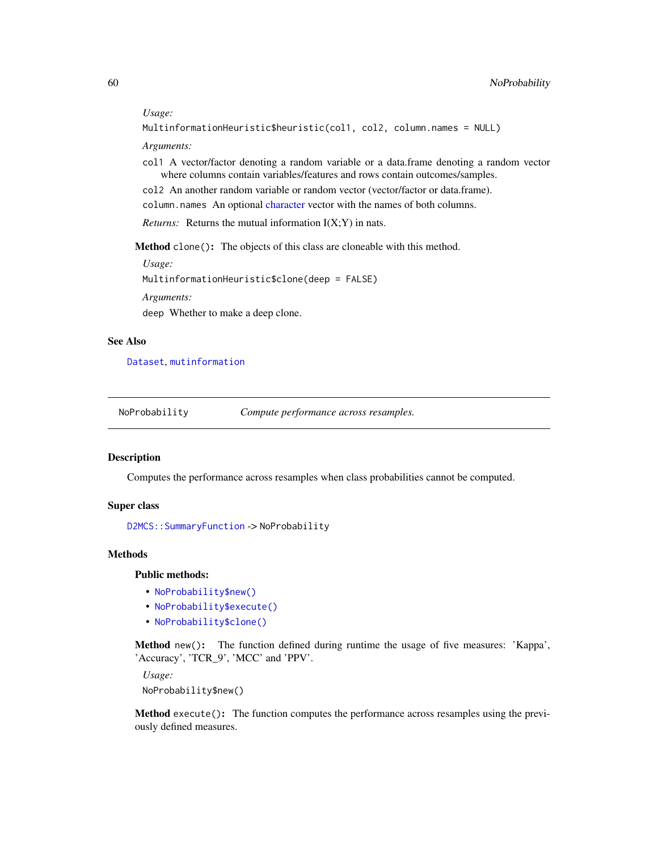#### *Usage:*

```
MultinformationHeuristic$heuristic(col1, col2, column.names = NULL)
```
*Arguments:*

- col1 A vector/factor denoting a random variable or a data.frame denoting a random vector where columns contain variables/features and rows contain outcomes/samples.
- col2 An another random variable or random vector (vector/factor or data.frame).

column.names An optional [character](#page-0-0) vector with the names of both columns.

*Returns:* Returns the mutual information  $I(X;Y)$  in nats.

Method clone(): The objects of this class are cloneable with this method.

*Usage:*

MultinformationHeuristic\$clone(deep = FALSE)

*Arguments:*

deep Whether to make a deep clone.

# See Also

[Dataset](#page-23-0), [mutinformation](#page-0-0)

NoProbability *Compute performance across resamples.*

#### Description

Computes the performance across resamples when class probabilities cannot be computed.

### Super class

[D2MCS::SummaryFunction](#page-0-0) -> NoProbability

### Methods

### Public methods:

- [NoProbability\\$new\(\)](#page-3-0)
- [NoProbability\\$execute\(\)](#page-10-0)
- [NoProbability\\$clone\(\)](#page-3-2)

Method new(): The function defined during runtime the usage of five measures: 'Kappa', 'Accuracy', 'TCR\_9', 'MCC' and 'PPV'.

*Usage:*

NoProbability\$new()

Method execute(): The function computes the performance across resamples using the previously defined measures.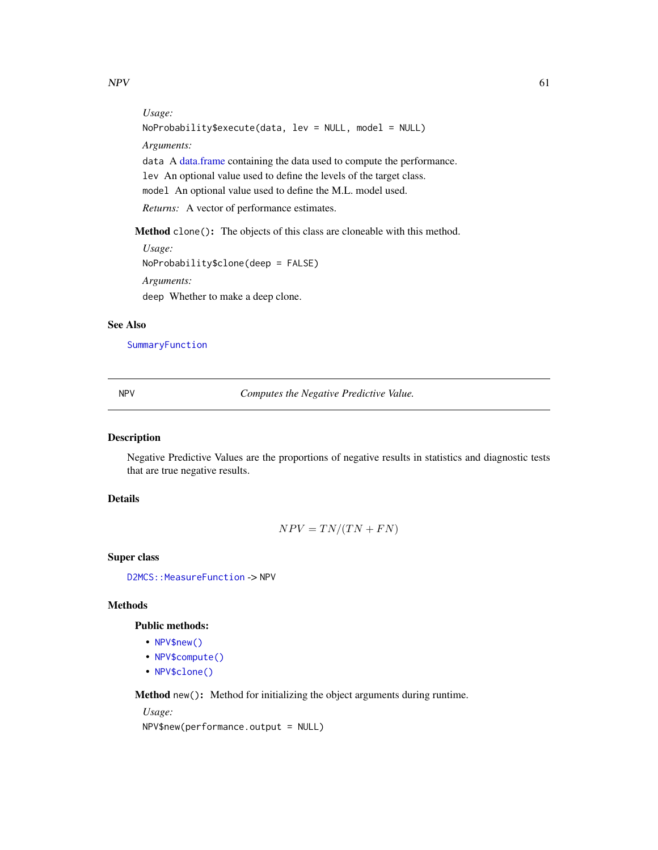*Usage:*

NoProbability\$execute(data, lev = NULL, model = NULL) *Arguments:* data A [data.frame](#page-0-0) containing the data used to compute the performance. lev An optional value used to define the levels of the target class. model An optional value used to define the M.L. model used. *Returns:* A vector of performance estimates.

Method clone(): The objects of this class are cloneable with this method.

*Usage:* NoProbability\$clone(deep = FALSE) *Arguments:* deep Whether to make a deep clone.

# See Also

[SummaryFunction](#page-86-0)

NPV *Computes the Negative Predictive Value.*

# Description

Negative Predictive Values are the proportions of negative results in statistics and diagnostic tests that are true negative results.

### Details

$$
NPV = TN/(TN + FN)
$$

Super class

D2MCS:: MeasureFunction -> NPV

#### Methods

# Public methods:

- [NPV\\$new\(\)](#page-3-0)
- [NPV\\$compute\(\)](#page-3-1)
- [NPV\\$clone\(\)](#page-3-2)

Method new(): Method for initializing the object arguments during runtime.

*Usage:*

NPV\$new(performance.output = NULL)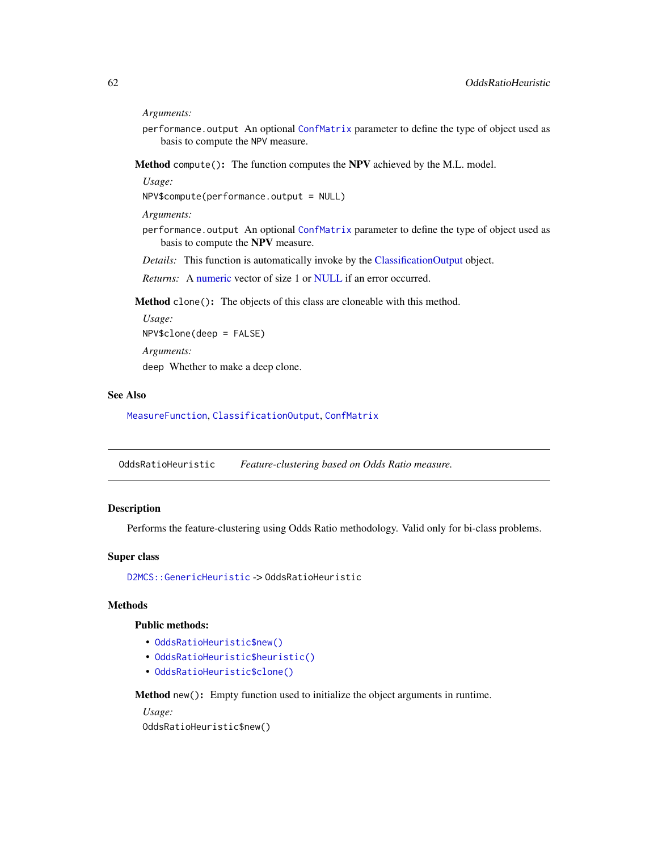*Arguments:*

performance.output An optional [ConfMatrix](#page-17-0) parameter to define the type of object used as basis to compute the NPV measure.

Method compute(): The function computes the NPV achieved by the M.L. model.

*Usage:*

NPV\$compute(performance.output = NULL)

*Arguments:*

performance.output An optional [ConfMatrix](#page-17-0) parameter to define the type of object used as basis to compute the NPV measure.

*Details:* This function is automatically invoke by the [ClassificationOutput](#page-5-0) object.

*Returns:* A [numeric](#page-0-0) vector of size 1 or [NULL](#page-0-0) if an error occurred.

Method clone(): The objects of this class are cloneable with this method.

*Usage:* NPV\$clone(deep = FALSE) *Arguments:* deep Whether to make a deep clone.

# See Also

[MeasureFunction](#page-53-0), [ClassificationOutput](#page-5-0), [ConfMatrix](#page-17-0)

OddsRatioHeuristic *Feature-clustering based on Odds Ratio measure.*

# **Description**

Performs the feature-clustering using Odds Ratio methodology. Valid only for bi-class problems.

### Super class

[D2MCS::GenericHeuristic](#page-0-0) -> OddsRatioHeuristic

### **Methods**

### Public methods:

- [OddsRatioHeuristic\\$new\(\)](#page-3-0)
- [OddsRatioHeuristic\\$heuristic\(\)](#page-5-1)
- [OddsRatioHeuristic\\$clone\(\)](#page-3-2)

Method new(): Empty function used to initialize the object arguments in runtime.

*Usage:* OddsRatioHeuristic\$new()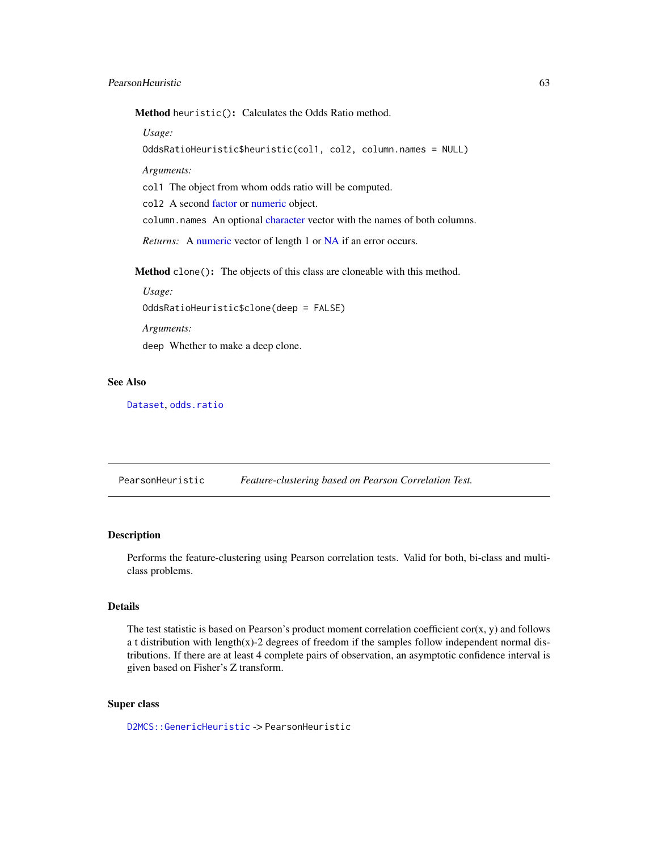Method heuristic(): Calculates the Odds Ratio method.

*Usage:*

```
OddsRatioHeuristic$heuristic(col1, col2, column.names = NULL)
```
*Arguments:*

col1 The object from whom odds ratio will be computed.

col2 A second [factor](#page-0-0) or [numeric](#page-0-0) object.

column.names An optional [character](#page-0-0) vector with the names of both columns.

*Returns:* A [numeric](#page-0-0) vector of length 1 or [NA](#page-0-0) if an error occurs.

Method clone(): The objects of this class are cloneable with this method.

*Usage:*

OddsRatioHeuristic\$clone(deep = FALSE)

*Arguments:*

deep Whether to make a deep clone.

#### See Also

[Dataset](#page-23-0), [odds.ratio](#page-0-0)

<span id="page-62-0"></span>PearsonHeuristic *Feature-clustering based on Pearson Correlation Test.*

#### Description

Performs the feature-clustering using Pearson correlation tests. Valid for both, bi-class and multiclass problems.

#### Details

The test statistic is based on Pearson's product moment correlation coefficient  $cor(x, y)$  and follows a t distribution with length(x)-2 degrees of freedom if the samples follow independent normal distributions. If there are at least 4 complete pairs of observation, an asymptotic confidence interval is given based on Fisher's Z transform.

# Super class

[D2MCS::GenericHeuristic](#page-0-0) -> PearsonHeuristic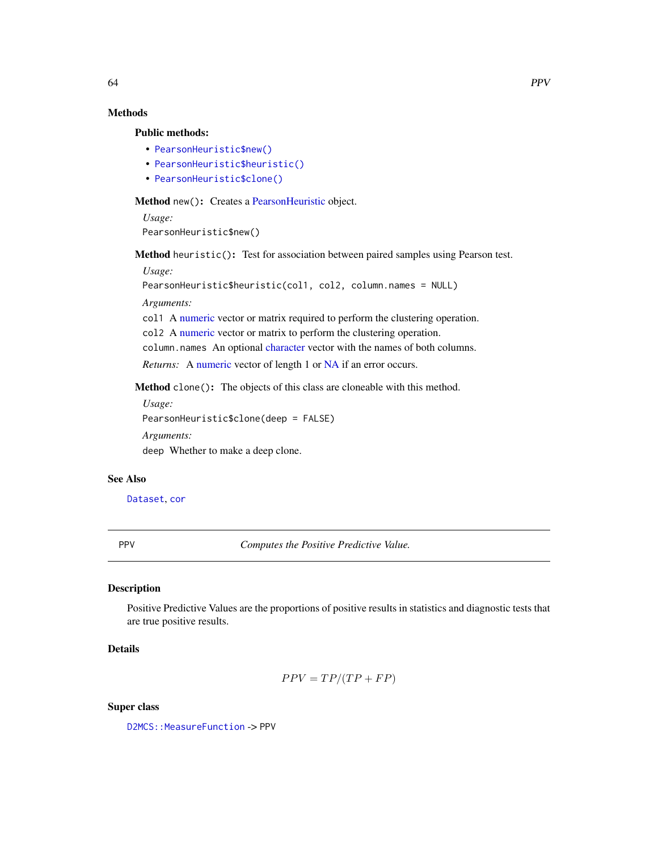# Methods

### Public methods:

- [PearsonHeuristic\\$new\(\)](#page-3-0)
- [PearsonHeuristic\\$heuristic\(\)](#page-5-1)
- [PearsonHeuristic\\$clone\(\)](#page-3-2)

Method new(): Creates a Pearson Heuristic object.

*Usage:* PearsonHeuristic\$new()

Method heuristic(): Test for association between paired samples using Pearson test.

*Usage:*

```
PearsonHeuristic$heuristic(col1, col2, column.names = NULL)
```
*Arguments:*

col1 A [numeric](#page-0-0) vector or matrix required to perform the clustering operation.

col2 A [numeric](#page-0-0) vector or matrix to perform the clustering operation.

column.names An optional [character](#page-0-0) vector with the names of both columns.

*Returns:* A [numeric](#page-0-0) vector of length 1 or [NA](#page-0-0) if an error occurs.

Method clone(): The objects of this class are cloneable with this method.

*Usage:*

PearsonHeuristic\$clone(deep = FALSE)

*Arguments:*

deep Whether to make a deep clone.

#### See Also

[Dataset](#page-23-0), [cor](#page-0-0)

PPV *Computes the Positive Predictive Value.*

# Description

Positive Predictive Values are the proportions of positive results in statistics and diagnostic tests that are true positive results.

# Details

$$
PPV = TP/(TP + FP)
$$

Super class

D2MCS:: MeasureFunction -> PPV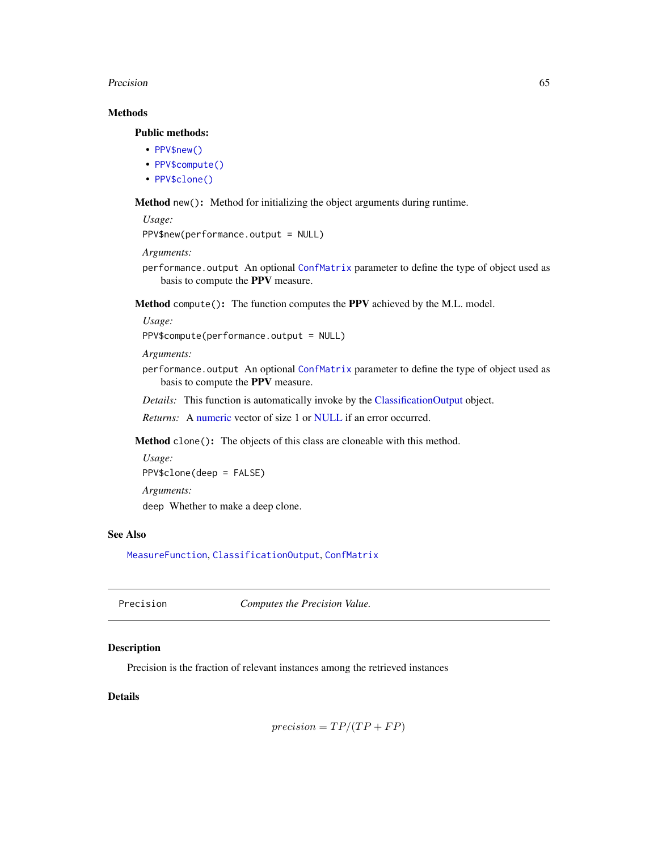#### Precision 65

# Methods

# Public methods:

- [PPV\\$new\(\)](#page-3-0)
- [PPV\\$compute\(\)](#page-3-1)
- [PPV\\$clone\(\)](#page-3-2)

Method new(): Method for initializing the object arguments during runtime.

```
Usage:
PPV$new(performance.output = NULL)
```
*Arguments:*

performance.output An optional [ConfMatrix](#page-17-0) parameter to define the type of object used as basis to compute the PPV measure.

Method compute(): The function computes the PPV achieved by the M.L. model.

*Usage:*

PPV\$compute(performance.output = NULL)

*Arguments:*

performance.output An optional [ConfMatrix](#page-17-0) parameter to define the type of object used as basis to compute the PPV measure.

*Details:* This function is automatically invoke by the [ClassificationOutput](#page-5-0) object.

*Returns:* A [numeric](#page-0-0) vector of size 1 or [NULL](#page-0-0) if an error occurred.

Method clone(): The objects of this class are cloneable with this method.

```
Usage:
PPV$clone(deep = FALSE)
Arguments:
deep Whether to make a deep clone.
```
### See Also

[MeasureFunction](#page-53-0), [ClassificationOutput](#page-5-0), [ConfMatrix](#page-17-0)

| Precision | Computes the Precision Value. |
|-----------|-------------------------------|
|-----------|-------------------------------|

# Description

Precision is the fraction of relevant instances among the retrieved instances

# Details

```
precision = TP/(TP + FP)
```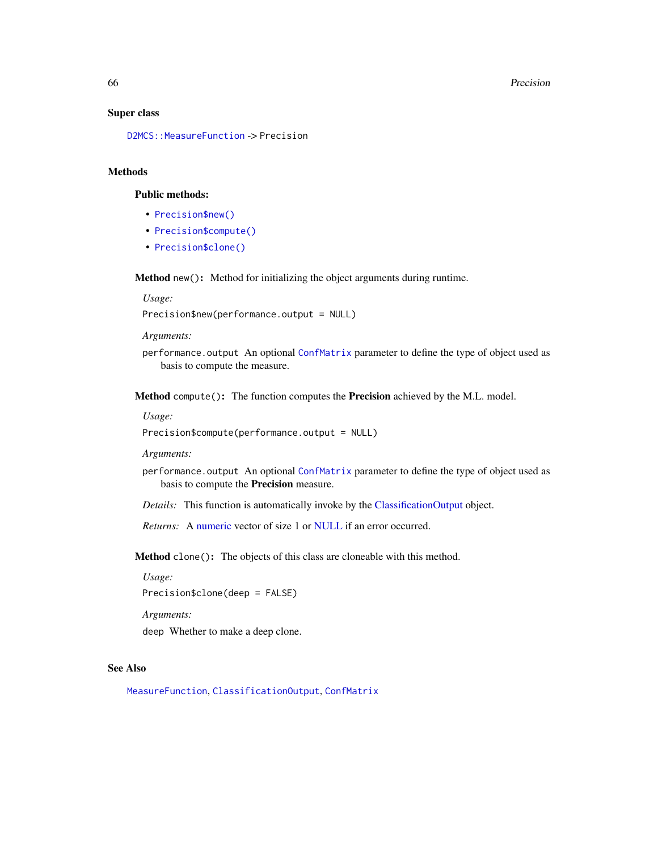#### 66 Precision

#### Super class

[D2MCS::MeasureFunction](#page-0-0) -> Precision

# Methods

# Public methods:

- [Precision\\$new\(\)](#page-3-0)
- [Precision\\$compute\(\)](#page-3-1)
- [Precision\\$clone\(\)](#page-3-2)

Method new(): Method for initializing the object arguments during runtime.

*Usage:*

Precision\$new(performance.output = NULL)

*Arguments:*

performance.output An optional [ConfMatrix](#page-17-0) parameter to define the type of object used as basis to compute the measure.

Method compute(): The function computes the Precision achieved by the M.L. model.

#### *Usage:*

Precision\$compute(performance.output = NULL)

*Arguments:*

performance.output An optional [ConfMatrix](#page-17-0) parameter to define the type of object used as basis to compute the Precision measure.

*Details:* This function is automatically invoke by the [ClassificationOutput](#page-5-0) object.

*Returns:* A [numeric](#page-0-0) vector of size 1 or [NULL](#page-0-0) if an error occurred.

Method clone(): The objects of this class are cloneable with this method.

*Usage:*

Precision\$clone(deep = FALSE)

*Arguments:*

deep Whether to make a deep clone.

# See Also

[MeasureFunction](#page-53-0), [ClassificationOutput](#page-5-0), [ConfMatrix](#page-17-0)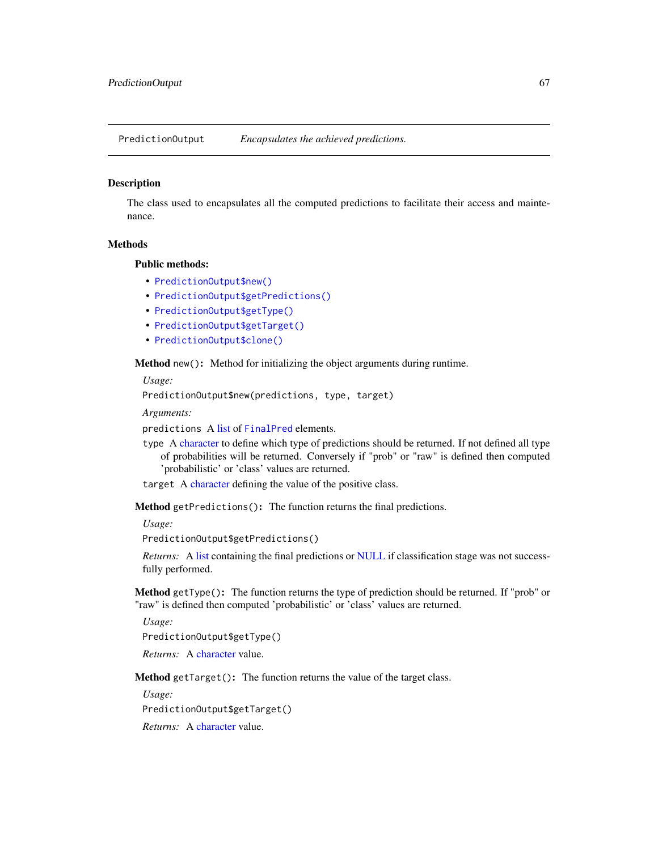PredictionOutput *Encapsulates the achieved predictions.*

### Description

The class used to encapsulates all the computed predictions to facilitate their access and maintenance.

# **Methods**

### Public methods:

- [PredictionOutput\\$new\(\)](#page-3-0)
- [PredictionOutput\\$getPredictions\(\)](#page-8-0)
- [PredictionOutput\\$getType\(\)](#page-66-0)
- [PredictionOutput\\$getTarget\(\)](#page-66-1)
- [PredictionOutput\\$clone\(\)](#page-3-2)

Method new(): Method for initializing the object arguments during runtime.

*Usage:*

```
PredictionOutput$new(predictions, type, target)
```
*Arguments:*

predictions A [list](#page-0-0) of [FinalPred](#page-0-0) elements.

- type A [character](#page-0-0) to define which type of predictions should be returned. If not defined all type of probabilities will be returned. Conversely if "prob" or "raw" is defined then computed 'probabilistic' or 'class' values are returned.
- target A [character](#page-0-0) defining the value of the positive class.

Method getPredictions(): The function returns the final predictions.

*Usage:*

PredictionOutput\$getPredictions()

*Returns:* A [list](#page-0-0) containing the final predictions or [NULL](#page-0-0) if classification stage was not successfully performed.

<span id="page-66-0"></span>Method getType(): The function returns the type of prediction should be returned. If "prob" or "raw" is defined then computed 'probabilistic' or 'class' values are returned.

*Usage:*

PredictionOutput\$getType()

*Returns:* A [character](#page-0-0) value.

<span id="page-66-1"></span>Method getTarget(): The function returns the value of the target class.

*Usage:*

PredictionOutput\$getTarget()

*Returns:* A [character](#page-0-0) value.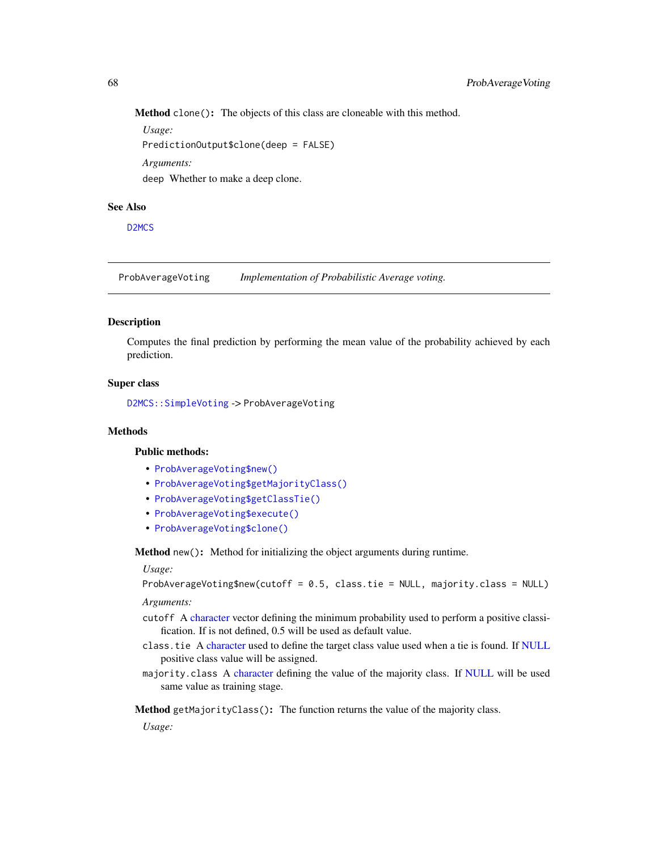Method clone(): The objects of this class are cloneable with this method.

*Usage:* PredictionOutput\$clone(deep = FALSE) *Arguments:* deep Whether to make a deep clone.

# See Also

[D2MCS](#page-19-0)

<span id="page-67-0"></span>ProbAverageVoting *Implementation of Probabilistic Average voting.*

### Description

Computes the final prediction by performing the mean value of the probability achieved by each prediction.

# Super class

[D2MCS::SimpleVoting](#page-0-0) -> ProbAverageVoting

# Methods

#### Public methods:

- [ProbAverageVoting\\$new\(\)](#page-3-0)
- [ProbAverageVoting\\$getMajorityClass\(\)](#page-10-1)
- [ProbAverageVoting\\$getClassTie\(\)](#page-10-2)
- [ProbAverageVoting\\$execute\(\)](#page-10-0)
- [ProbAverageVoting\\$clone\(\)](#page-3-2)

Method new(): Method for initializing the object arguments during runtime.

#### *Usage:*

ProbAverageVoting\$new(cutoff = 0.5, class.tie = NULL, majority.class = NULL)

*Arguments:*

- cutoff A [character](#page-0-0) vector defining the minimum probability used to perform a positive classification. If is not defined, 0.5 will be used as default value.
- class.tie A [character](#page-0-0) used to define the target class value used when a tie is found. If [NULL](#page-0-0) positive class value will be assigned.
- majority.class A [character](#page-0-0) defining the value of the majority class. If [NULL](#page-0-0) will be used same value as training stage.

Method getMajorityClass(): The function returns the value of the majority class.

*Usage:*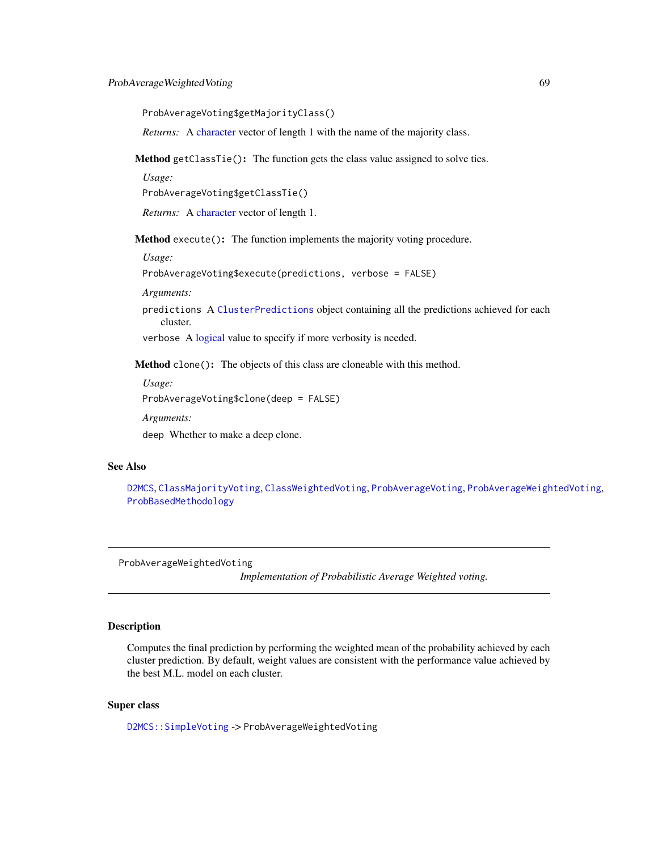ProbAverageVoting\$getMajorityClass()

*Returns:* A [character](#page-0-0) vector of length 1 with the name of the majority class.

Method getClassTie(): The function gets the class value assigned to solve ties.

*Usage:*

ProbAverageVoting\$getClassTie()

*Returns:* A [character](#page-0-0) vector of length 1.

Method execute(): The function implements the majority voting procedure.

*Usage:*

ProbAverageVoting\$execute(predictions, verbose = FALSE)

*Arguments:*

predictions A [ClusterPredictions](#page-12-0) object containing all the predictions achieved for each cluster.

verbose A [logical](#page-0-0) value to specify if more verbosity is needed.

Method clone(): The objects of this class are cloneable with this method.

*Usage:*

ProbAverageVoting\$clone(deep = FALSE)

*Arguments:*

deep Whether to make a deep clone.

### See Also

[D2MCS](#page-19-0), [ClassMajorityVoting](#page-10-3), [ClassWeightedVoting](#page-11-0), [ProbAverageVoting](#page-67-0), [ProbAverageWeightedVoting](#page-68-0), [ProbBasedMethodology](#page-70-0)

<span id="page-68-0"></span>ProbAverageWeightedVoting

*Implementation of Probabilistic Average Weighted voting.*

# **Description**

Computes the final prediction by performing the weighted mean of the probability achieved by each cluster prediction. By default, weight values are consistent with the performance value achieved by the best M.L. model on each cluster.

# Super class

[D2MCS::SimpleVoting](#page-0-0) -> ProbAverageWeightedVoting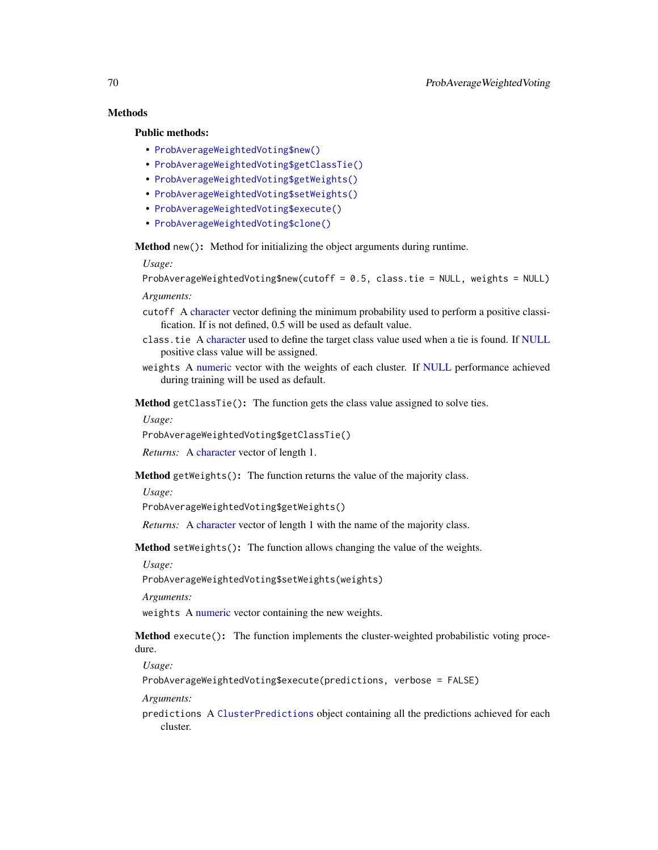# Methods

# Public methods:

- [ProbAverageWeightedVoting\\$new\(\)](#page-3-0)
- [ProbAverageWeightedVoting\\$getClassTie\(\)](#page-10-2)
- [ProbAverageWeightedVoting\\$getWeights\(\)](#page-12-1)
- [ProbAverageWeightedVoting\\$setWeights\(\)](#page-12-2)
- [ProbAverageWeightedVoting\\$execute\(\)](#page-10-0)
- [ProbAverageWeightedVoting\\$clone\(\)](#page-3-2)

Method new(): Method for initializing the object arguments during runtime.

*Usage:*

ProbAverageWeightedVoting\$new(cutoff = 0.5, class.tie = NULL, weights = NULL)

*Arguments:*

- cutoff A [character](#page-0-0) vector defining the minimum probability used to perform a positive classification. If is not defined, 0.5 will be used as default value.
- class.tie A [character](#page-0-0) used to define the target class value used when a tie is found. If [NULL](#page-0-0) positive class value will be assigned.
- weights A [numeric](#page-0-0) vector with the weights of each cluster. If [NULL](#page-0-0) performance achieved during training will be used as default.

Method getClassTie(): The function gets the class value assigned to solve ties.

*Usage:*

ProbAverageWeightedVoting\$getClassTie()

*Returns:* A [character](#page-0-0) vector of length 1.

Method getWeights(): The function returns the value of the majority class.

*Usage:*

ProbAverageWeightedVoting\$getWeights()

*Returns:* A [character](#page-0-0) vector of length 1 with the name of the majority class.

Method setWeights(): The function allows changing the value of the weights.

*Usage:*

ProbAverageWeightedVoting\$setWeights(weights)

*Arguments:*

weights A [numeric](#page-0-0) vector containing the new weights.

Method execute(): The function implements the cluster-weighted probabilistic voting procedure.

*Usage:*

ProbAverageWeightedVoting\$execute(predictions, verbose = FALSE)

*Arguments:*

predictions A [ClusterPredictions](#page-12-0) object containing all the predictions achieved for each cluster.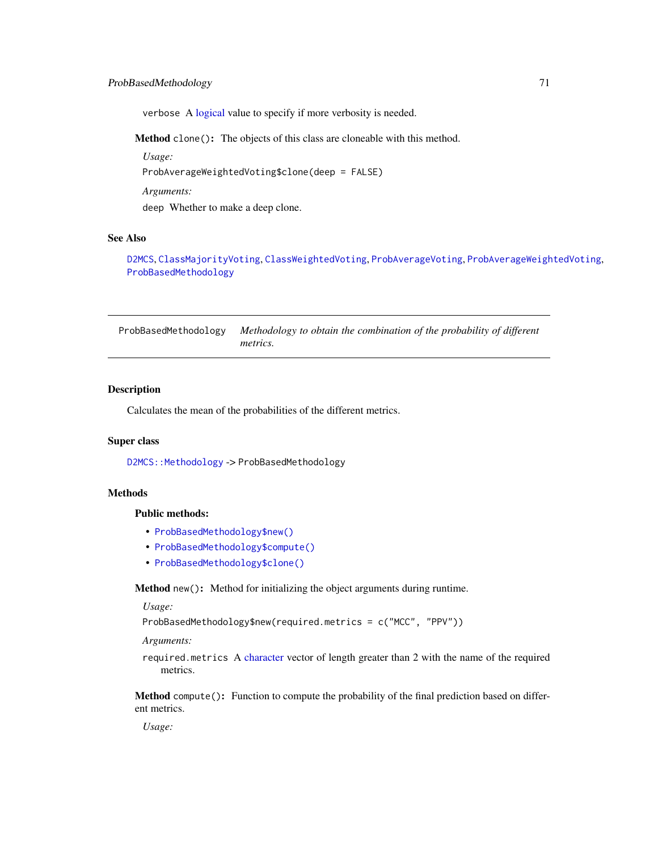# ProbBasedMethodology 71

verbose A [logical](#page-0-0) value to specify if more verbosity is needed.

Method clone(): The objects of this class are cloneable with this method.

*Usage:*

ProbAverageWeightedVoting\$clone(deep = FALSE)

*Arguments:*

deep Whether to make a deep clone.

# See Also

[D2MCS](#page-19-0), [ClassMajorityVoting](#page-10-3), [ClassWeightedVoting](#page-11-0), [ProbAverageVoting](#page-67-0), [ProbAverageWeightedVoting](#page-68-0), [ProbBasedMethodology](#page-70-0)

<span id="page-70-0"></span>ProbBasedMethodology *Methodology to obtain the combination of the probability of different metrics.*

# **Description**

Calculates the mean of the probabilities of the different metrics.

### Super class

[D2MCS::Methodology](#page-0-0) -> ProbBasedMethodology

### Methods

### Public methods:

- [ProbBasedMethodology\\$new\(\)](#page-3-0)
- [ProbBasedMethodology\\$compute\(\)](#page-3-1)
- [ProbBasedMethodology\\$clone\(\)](#page-3-2)

Method new(): Method for initializing the object arguments during runtime.

#### *Usage:*

ProbBasedMethodology\$new(required.metrics = c("MCC", "PPV"))

*Arguments:*

required.metrics A [character](#page-0-0) vector of length greater than 2 with the name of the required metrics.

Method compute(): Function to compute the probability of the final prediction based on different metrics.

*Usage:*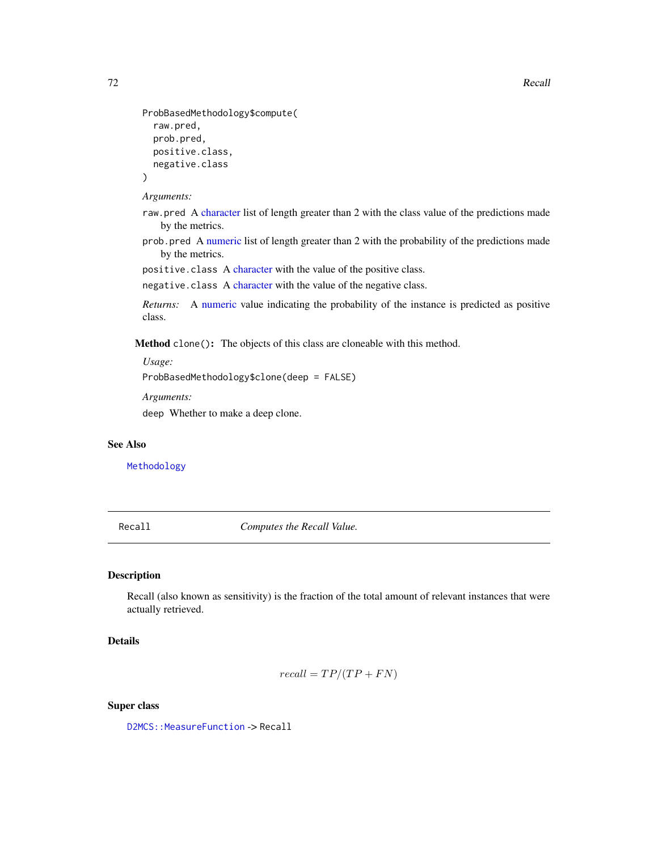```
ProbBasedMethodology$compute(
  raw.pred,
 prob.pred,
 positive.class,
  negative.class
)
```
*Arguments:*

- raw.pred A [character](#page-0-0) list of length greater than 2 with the class value of the predictions made by the metrics.
- prob.pred A [numeric](#page-0-0) list of length greater than 2 with the probability of the predictions made by the metrics.

positive.class A [character](#page-0-0) with the value of the positive class.

negative.class A [character](#page-0-0) with the value of the negative class.

*Returns:* A [numeric](#page-0-0) value indicating the probability of the instance is predicted as positive class.

Method clone(): The objects of this class are cloneable with this method.

*Usage:*

```
ProbBasedMethodology$clone(deep = FALSE)
```
*Arguments:*

deep Whether to make a deep clone.

#### See Also

[Methodology](#page-54-0)

Recall *Computes the Recall Value.*

# Description

Recall (also known as sensitivity) is the fraction of the total amount of relevant instances that were actually retrieved.

# Details

$$
recall = TP/(TP + FN)
$$

### Super class

D2MCS:: MeasureFunction -> Recall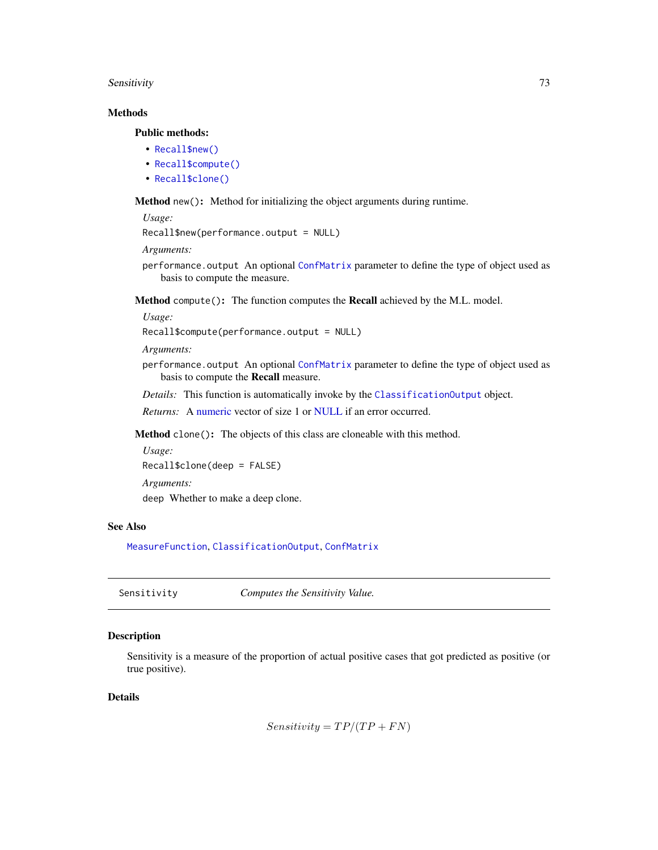#### <span id="page-72-0"></span>Sensitivity 73

# Methods

## Public methods:

- [Recall\\$new\(\)](#page-3-0)
- [Recall\\$compute\(\)](#page-3-1)
- [Recall\\$clone\(\)](#page-3-2)

Method new(): Method for initializing the object arguments during runtime.

```
Usage:
```
Recall\$new(performance.output = NULL)

*Arguments:*

performance.output An optional [ConfMatrix](#page-17-0) parameter to define the type of object used as basis to compute the measure.

Method compute(): The function computes the Recall achieved by the M.L. model.

*Usage:*

```
Recall$compute(performance.output = NULL)
```
*Arguments:*

performance.output An optional [ConfMatrix](#page-17-0) parameter to define the type of object used as basis to compute the Recall measure.

*Details:* This function is automatically invoke by the [ClassificationOutput](#page-5-0) object.

*Returns:* A [numeric](#page-0-0) vector of size 1 or [NULL](#page-0-0) if an error occurred.

Method clone(): The objects of this class are cloneable with this method.

*Usage:* Recall\$clone(deep = FALSE) *Arguments:* deep Whether to make a deep clone.

# See Also

[MeasureFunction](#page-53-0), [ClassificationOutput](#page-5-0), [ConfMatrix](#page-17-0)

Sensitivity *Computes the Sensitivity Value.*

# Description

Sensitivity is a measure of the proportion of actual positive cases that got predicted as positive (or true positive).

# Details

 $Sensitivity = TP/(TP + FN)$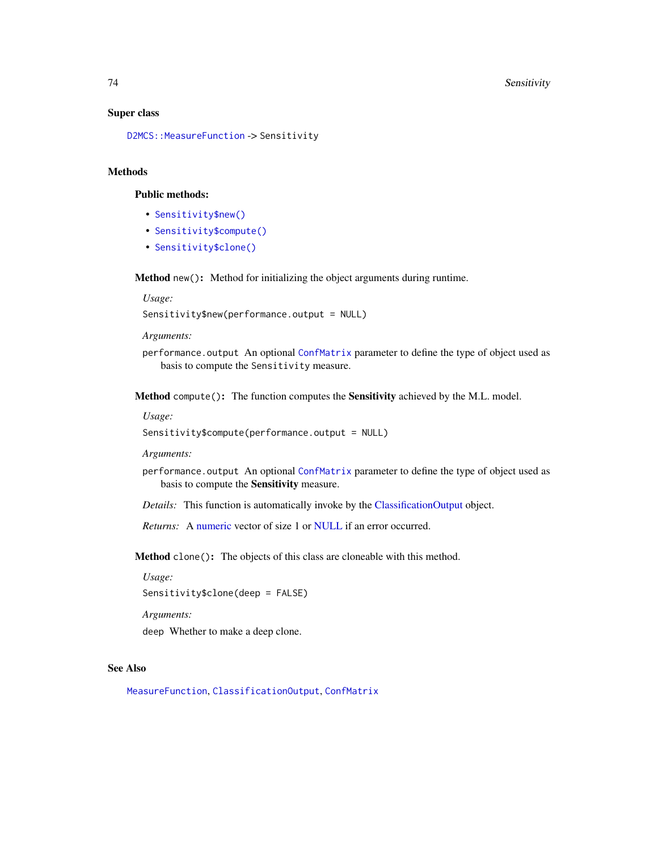#### <span id="page-73-0"></span>Super class

[D2MCS::MeasureFunction](#page-0-0) -> Sensitivity

# Methods

# Public methods:

- [Sensitivity\\$new\(\)](#page-3-0)
- [Sensitivity\\$compute\(\)](#page-3-1)
- [Sensitivity\\$clone\(\)](#page-3-2)

Method new(): Method for initializing the object arguments during runtime.

*Usage:*

Sensitivity\$new(performance.output = NULL)

*Arguments:*

performance.output An optional [ConfMatrix](#page-17-0) parameter to define the type of object used as basis to compute the Sensitivity measure.

Method compute(): The function computes the Sensitivity achieved by the M.L. model.

#### *Usage:*

Sensitivity\$compute(performance.output = NULL)

*Arguments:*

performance.output An optional [ConfMatrix](#page-17-0) parameter to define the type of object used as basis to compute the Sensitivity measure.

*Details:* This function is automatically invoke by the [ClassificationOutput](#page-5-0) object.

*Returns:* A [numeric](#page-0-0) vector of size 1 or [NULL](#page-0-0) if an error occurred.

Method clone(): The objects of this class are cloneable with this method.

*Usage:*

Sensitivity\$clone(deep = FALSE)

*Arguments:*

deep Whether to make a deep clone.

# See Also

[MeasureFunction](#page-53-0), [ClassificationOutput](#page-5-0), [ConfMatrix](#page-17-0)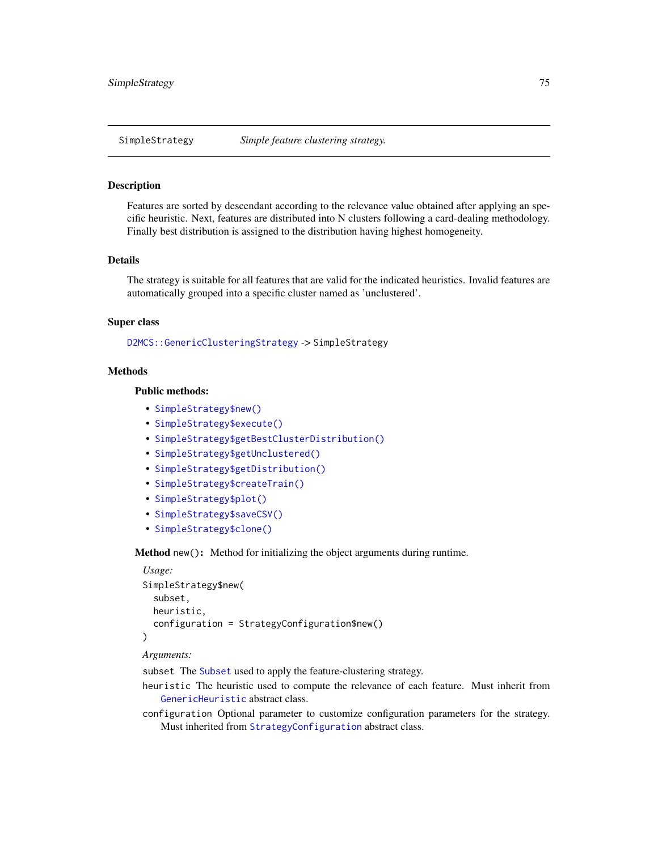<span id="page-74-0"></span>

Features are sorted by descendant according to the relevance value obtained after applying an specific heuristic. Next, features are distributed into N clusters following a card-dealing methodology. Finally best distribution is assigned to the distribution having highest homogeneity.

# Details

The strategy is suitable for all features that are valid for the indicated heuristics. Invalid features are automatically grouped into a specific cluster named as 'unclustered'.

#### Super class

[D2MCS::GenericClusteringStrategy](#page-0-0) -> SimpleStrategy

# Methods

#### Public methods:

- [SimpleStrategy\\$new\(\)](#page-3-0)
- [SimpleStrategy\\$execute\(\)](#page-10-0)
- [SimpleStrategy\\$getBestClusterDistribution\(\)](#page-40-0)
- [SimpleStrategy\\$getUnclustered\(\)](#page-40-1)
- [SimpleStrategy\\$getDistribution\(\)](#page-30-0)
- [SimpleStrategy\\$createTrain\(\)](#page-25-0)
- [SimpleStrategy\\$plot\(\)](#page-4-0)
- [SimpleStrategy\\$saveCSV\(\)](#page-31-0)
- [SimpleStrategy\\$clone\(\)](#page-3-2)

Method new(): Method for initializing the object arguments during runtime.

```
Usage:
SimpleStrategy$new(
  subset,
  heuristic,
  configuration = StrategyConfiguration$new()
)
```
# *Arguments:*

subset The [Subset](#page-83-0) used to apply the feature-clustering strategy.

- heuristic The heuristic used to compute the relevance of each feature. Must inherit from [GenericHeuristic](#page-42-0) abstract class.
- configuration Optional parameter to customize configuration parameters for the strategy. Must inherited from [StrategyConfiguration](#page-81-0) abstract class.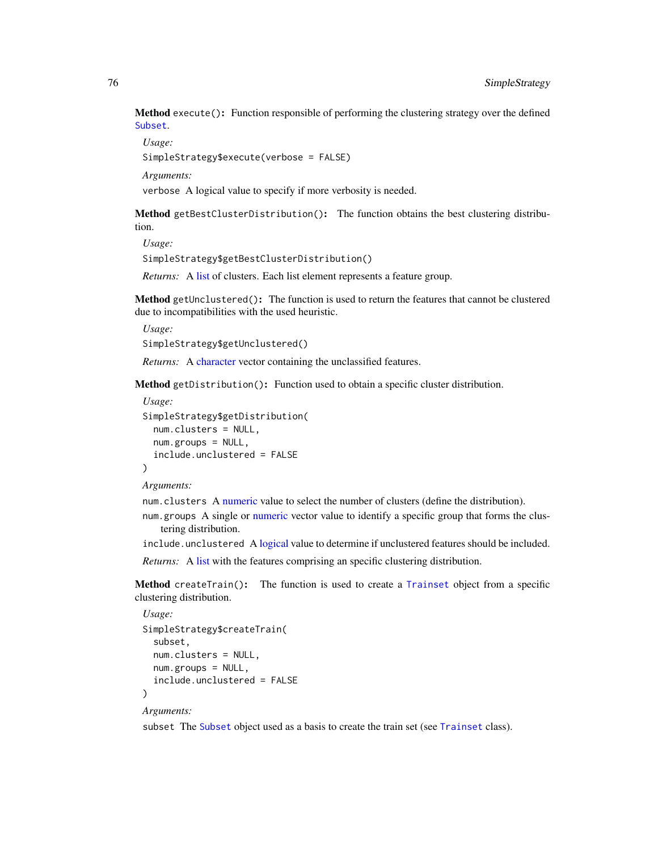<span id="page-75-0"></span>Method execute(): Function responsible of performing the clustering strategy over the defined [Subset](#page-83-0).

*Usage:*

SimpleStrategy\$execute(verbose = FALSE)

*Arguments:*

verbose A logical value to specify if more verbosity is needed.

Method getBestClusterDistribution(): The function obtains the best clustering distribution.

*Usage:*

```
SimpleStrategy$getBestClusterDistribution()
```
*Returns:* A [list](#page-0-0) of clusters. Each list element represents a feature group.

Method getUnclustered(): The function is used to return the features that cannot be clustered due to incompatibilities with the used heuristic.

*Usage:*

SimpleStrategy\$getUnclustered()

*Returns:* A [character](#page-0-0) vector containing the unclassified features.

Method getDistribution(): Function used to obtain a specific cluster distribution.

```
Usage:
SimpleStrategy$getDistribution(
 num.clusters = NULL,
  num.groups = NULL,
  include.unclustered = FALSE
\lambda
```
*Arguments:*

num.clusters A [numeric](#page-0-0) value to select the number of clusters (define the distribution).

num.groups A single or [numeric](#page-0-0) vector value to identify a specific group that forms the clustering distribution.

include.unclustered A [logical](#page-0-0) value to determine if unclustered features should be included.

*Returns:* A [list](#page-0-0) with the features comprising an specific clustering distribution.

Method createTrain(): The function is used to create a [Trainset](#page-94-0) object from a specific clustering distribution.

```
Usage:
SimpleStrategy$createTrain(
  subset,
  num.clusters = NULL,
  num.groups = NULL,
  include.unclustered = FALSE
)
```
*Arguments:*

subset The [Subset](#page-83-0) object used as a basis to create the train set (see [Trainset](#page-94-0) class).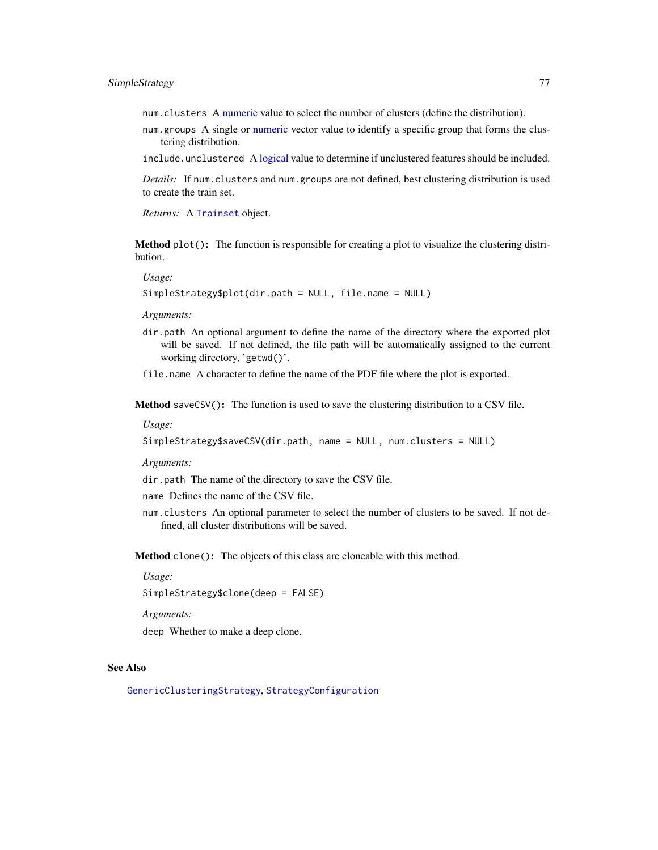<span id="page-76-0"></span>num.clusters A [numeric](#page-0-0) value to select the number of clusters (define the distribution).

num.groups A single or [numeric](#page-0-0) vector value to identify a specific group that forms the clustering distribution.

include.unclustered A [logical](#page-0-0) value to determine if unclustered features should be included.

*Details:* If num.clusters and num.groups are not defined, best clustering distribution is used to create the train set.

*Returns:* A [Trainset](#page-94-0) object.

Method plot(): The function is responsible for creating a plot to visualize the clustering distribution.

*Usage:*

SimpleStrategy\$plot(dir.path = NULL, file.name = NULL)

*Arguments:*

dir.path An optional argument to define the name of the directory where the exported plot will be saved. If not defined, the file path will be automatically assigned to the current working directory, 'getwd()'.

file.name A character to define the name of the PDF file where the plot is exported.

Method saveCSV(): The function is used to save the clustering distribution to a CSV file.

*Usage:*

```
SimpleStrategy$saveCSV(dir.path, name = NULL, num.clusters = NULL)
```
*Arguments:*

dir.path The name of the directory to save the CSV file.

name Defines the name of the CSV file.

num.clusters An optional parameter to select the number of clusters to be saved. If not defined, all cluster distributions will be saved.

Method clone(): The objects of this class are cloneable with this method.

*Usage:*

SimpleStrategy\$clone(deep = FALSE)

*Arguments:*

deep Whether to make a deep clone.

# See Also

[GenericClusteringStrategy](#page-39-0), [StrategyConfiguration](#page-81-0)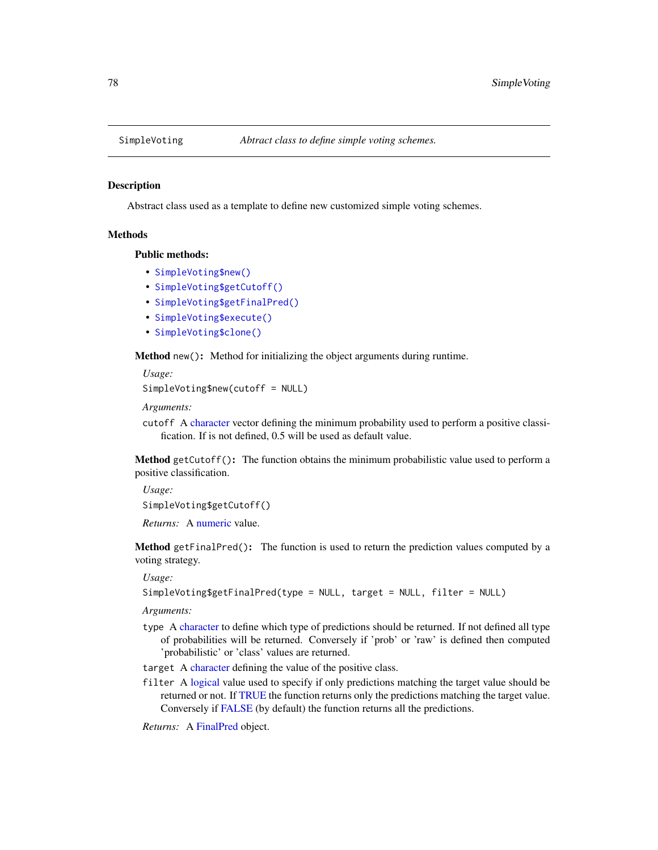<span id="page-77-2"></span><span id="page-77-1"></span>

Abstract class used as a template to define new customized simple voting schemes.

#### Methods

Public methods:

- [SimpleVoting\\$new\(\)](#page-3-0)
- [SimpleVoting\\$getCutoff\(\)](#page-77-0)
- [SimpleVoting\\$getFinalPred\(\)](#page-16-0)
- [SimpleVoting\\$execute\(\)](#page-10-0)
- [SimpleVoting\\$clone\(\)](#page-3-2)

Method new(): Method for initializing the object arguments during runtime.

*Usage:*

```
SimpleVoting$new(cutoff = NULL)
```
*Arguments:*

cutoff A [character](#page-0-0) vector defining the minimum probability used to perform a positive classification. If is not defined, 0.5 will be used as default value.

<span id="page-77-0"></span>Method getCutoff(): The function obtains the minimum probabilistic value used to perform a positive classification.

*Usage:*

SimpleVoting\$getCutoff()

*Returns:* A [numeric](#page-0-0) value.

Method getFinalPred(): The function is used to return the prediction values computed by a voting strategy.

*Usage:*

```
SimpleVoting$getFinalPred(type = NULL, target = NULL, filter = NULL)
```
*Arguments:*

type A [character](#page-0-0) to define which type of predictions should be returned. If not defined all type of probabilities will be returned. Conversely if 'prob' or 'raw' is defined then computed 'probabilistic' or 'class' values are returned.

target A [character](#page-0-0) defining the value of the positive class.

filter A [logical](#page-0-0) value used to specify if only predictions matching the target value should be returned or not. If [TRUE](#page-0-0) the function returns only the predictions matching the target value. Conversely if [FALSE](#page-0-0) (by default) the function returns all the predictions.

*Returns:* A [FinalPred](#page-0-0) object.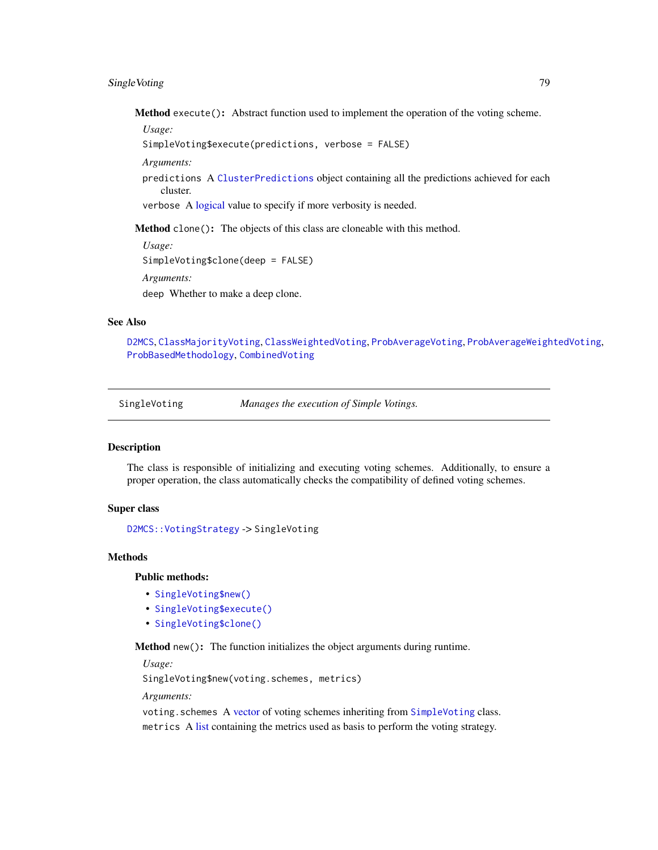# <span id="page-78-1"></span>SingleVoting 79

Method execute(): Abstract function used to implement the operation of the voting scheme.

*Usage:*

```
SimpleVoting$execute(predictions, verbose = FALSE)
```
*Arguments:*

predictions A [ClusterPredictions](#page-12-0) object containing all the predictions achieved for each cluster.

verbose A [logical](#page-0-0) value to specify if more verbosity is needed.

Method clone(): The objects of this class are cloneable with this method.

*Usage:* SimpleVoting\$clone(deep = FALSE) *Arguments:* deep Whether to make a deep clone.

# See Also

[D2MCS](#page-19-0), [ClassMajorityVoting](#page-10-1), [ClassWeightedVoting](#page-11-0), [ProbAverageVoting](#page-67-0), [ProbAverageWeightedVoting](#page-68-0), [ProbBasedMethodology](#page-70-0), [CombinedVoting](#page-15-0)

<span id="page-78-0"></span>

SingleVoting *Manages the execution of Simple Votings.*

## **Description**

The class is responsible of initializing and executing voting schemes. Additionally, to ensure a proper operation, the class automatically checks the compatibility of defined voting schemes.

#### Super class

[D2MCS::VotingStrategy](#page-0-0) -> SingleVoting

# Methods

Public methods:

- [SingleVoting\\$new\(\)](#page-3-0)
- [SingleVoting\\$execute\(\)](#page-10-0)
- [SingleVoting\\$clone\(\)](#page-3-2)

Method new(): The function initializes the object arguments during runtime.

*Usage:*

SingleVoting\$new(voting.schemes, metrics)

*Arguments:*

voting.schemes A [vector](#page-0-0) of voting schemes inheriting from [SimpleVoting](#page-77-1) class. metrics A [list](#page-0-0) containing the metrics used as basis to perform the voting strategy.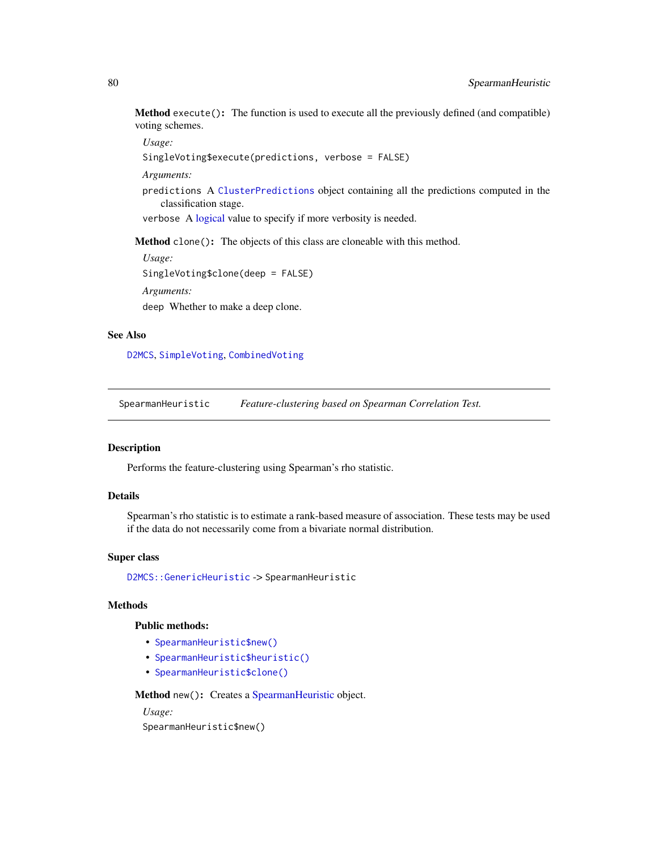<span id="page-79-1"></span>Method execute(): The function is used to execute all the previously defined (and compatible) voting schemes.

*Usage:*

```
SingleVoting$execute(predictions, verbose = FALSE)
```
*Arguments:*

predictions A [ClusterPredictions](#page-12-0) object containing all the predictions computed in the classification stage.

verbose A [logical](#page-0-0) value to specify if more verbosity is needed.

Method clone(): The objects of this class are cloneable with this method.

*Usage:* SingleVoting\$clone(deep = FALSE) *Arguments:*

deep Whether to make a deep clone.

#### See Also

[D2MCS](#page-19-0), [SimpleVoting](#page-77-1), [CombinedVoting](#page-15-0)

<span id="page-79-0"></span>SpearmanHeuristic *Feature-clustering based on Spearman Correlation Test.*

#### Description

Performs the feature-clustering using Spearman's rho statistic.

# Details

Spearman's rho statistic is to estimate a rank-based measure of association. These tests may be used if the data do not necessarily come from a bivariate normal distribution.

#### Super class

[D2MCS::GenericHeuristic](#page-0-0) -> SpearmanHeuristic

## Methods

#### Public methods:

- [SpearmanHeuristic\\$new\(\)](#page-3-0)
- [SpearmanHeuristic\\$heuristic\(\)](#page-5-1)
- [SpearmanHeuristic\\$clone\(\)](#page-3-2)

Method new(): Creates a [SpearmanHeuristic](#page-79-0) object.

*Usage:*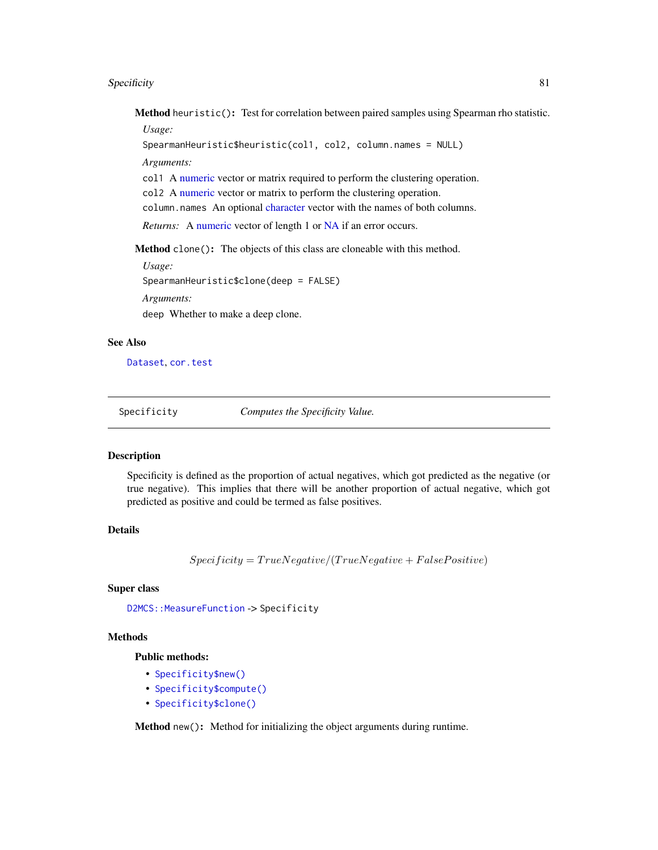#### <span id="page-80-0"></span>Specificity 81

Method heuristic(): Test for correlation between paired samples using Spearman rho statistic. *Usage:*

SpearmanHeuristic\$heuristic(col1, col2, column.names = NULL)

*Arguments:*

col1 A [numeric](#page-0-0) vector or matrix required to perform the clustering operation.

col2 A [numeric](#page-0-0) vector or matrix to perform the clustering operation.

column.names An optional [character](#page-0-0) vector with the names of both columns.

*Returns:* A [numeric](#page-0-0) vector of length 1 or [NA](#page-0-0) if an error occurs.

Method clone(): The objects of this class are cloneable with this method.

*Usage:* SpearmanHeuristic\$clone(deep = FALSE) *Arguments:* deep Whether to make a deep clone.

#### See Also

[Dataset](#page-23-0), [cor.test](#page-0-0)

Specificity *Computes the Specificity Value.*

#### Description

Specificity is defined as the proportion of actual negatives, which got predicted as the negative (or true negative). This implies that there will be another proportion of actual negative, which got predicted as positive and could be termed as false positives.

# Details

 $Specificity = TrueNegative/(TrueNegative + False Positive)$ 

#### Super class

[D2MCS::MeasureFunction](#page-0-0) -> Specificity

# Methods

Public methods:

- [Specificity\\$new\(\)](#page-3-0)
- [Specificity\\$compute\(\)](#page-3-1)
- [Specificity\\$clone\(\)](#page-3-2)

Method new(): Method for initializing the object arguments during runtime.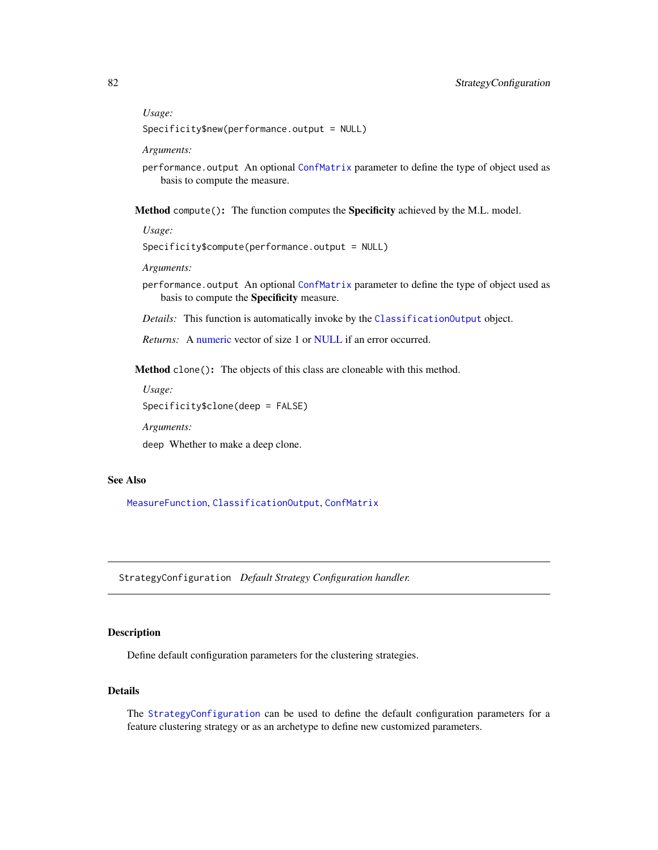# *Usage:*

Specificity\$new(performance.output = NULL)

*Arguments:*

performance.output An optional [ConfMatrix](#page-17-0) parameter to define the type of object used as basis to compute the measure.

Method compute(): The function computes the Specificity achieved by the M.L. model.

*Usage:*

Specificity\$compute(performance.output = NULL)

*Arguments:*

- performance.output An optional [ConfMatrix](#page-17-0) parameter to define the type of object used as basis to compute the Specificity measure.
- *Details:* This function is automatically invoke by the [ClassificationOutput](#page-5-0) object.

*Returns:* A [numeric](#page-0-0) vector of size 1 or [NULL](#page-0-0) if an error occurred.

Method clone(): The objects of this class are cloneable with this method.

*Usage:* Specificity\$clone(deep = FALSE)

*Arguments:*

deep Whether to make a deep clone.

# See Also

[MeasureFunction](#page-53-0), [ClassificationOutput](#page-5-0), [ConfMatrix](#page-17-0)

<span id="page-81-0"></span>StrategyConfiguration *Default Strategy Configuration handler.*

# **Description**

Define default configuration parameters for the clustering strategies.

#### Details

The [StrategyConfiguration](#page-81-0) can be used to define the default configuration parameters for a feature clustering strategy or as an archetype to define new customized parameters.

<span id="page-81-1"></span>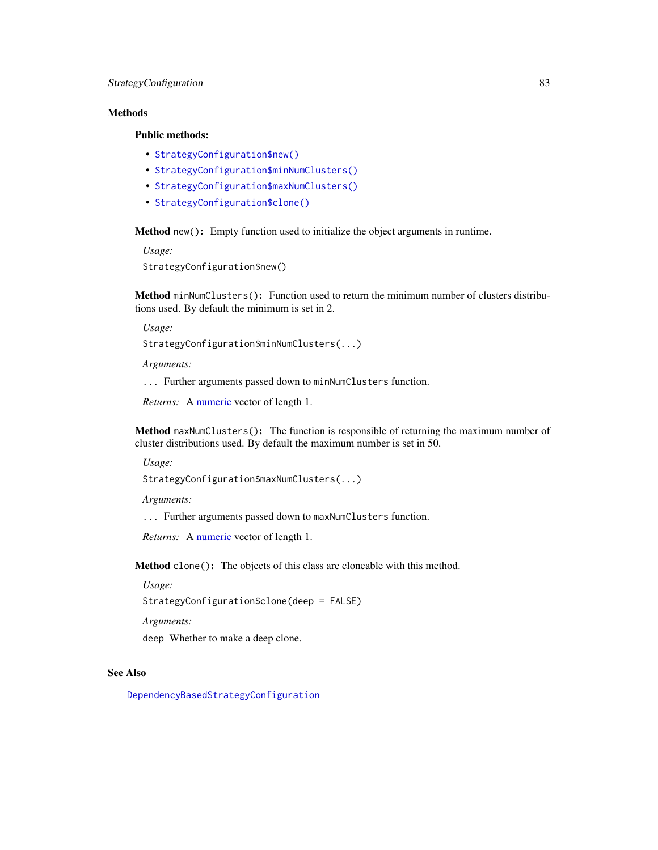# <span id="page-82-0"></span>**Methods**

# Public methods:

- [StrategyConfiguration\\$new\(\)](#page-3-0)
- [StrategyConfiguration\\$minNumClusters\(\)](#page-33-0)
- [StrategyConfiguration\\$maxNumClusters\(\)](#page-33-1)
- [StrategyConfiguration\\$clone\(\)](#page-3-2)

Method new(): Empty function used to initialize the object arguments in runtime.

*Usage:*

StrategyConfiguration\$new()

Method minNumClusters(): Function used to return the minimum number of clusters distributions used. By default the minimum is set in 2.

*Usage:*

StrategyConfiguration\$minNumClusters(...)

*Arguments:*

... Further arguments passed down to minNumClusters function.

*Returns:* A [numeric](#page-0-0) vector of length 1.

Method maxNumClusters(): The function is responsible of returning the maximum number of cluster distributions used. By default the maximum number is set in 50.

*Usage:*

StrategyConfiguration\$maxNumClusters(...)

*Arguments:*

... Further arguments passed down to maxNumClusters function.

*Returns:* A [numeric](#page-0-0) vector of length 1.

Method clone(): The objects of this class are cloneable with this method.

*Usage:*

StrategyConfiguration\$clone(deep = FALSE)

*Arguments:*

deep Whether to make a deep clone.

# See Also

[DependencyBasedStrategyConfiguration](#page-32-0)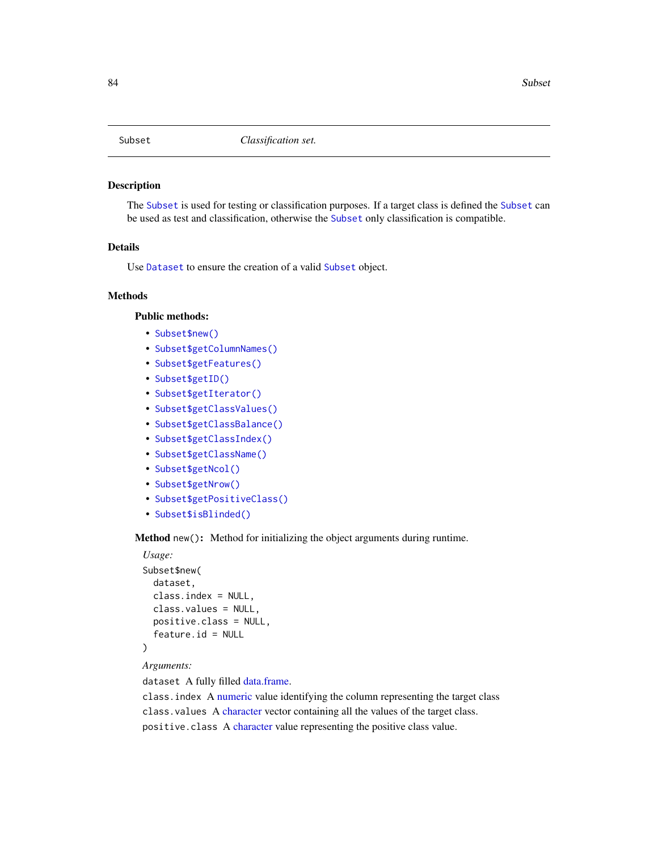<span id="page-83-1"></span><span id="page-83-0"></span>

The [Subset](#page-83-0) is used for testing or classification purposes. If a target class is defined the [Subset](#page-83-0) can be used as test and classification, otherwise the [Subset](#page-83-0) only classification is compatible.

# Details

Use [Dataset](#page-23-0) to ensure the creation of a valid [Subset](#page-83-0) object.

# Methods

# Public methods:

- [Subset\\$new\(\)](#page-3-0)
- [Subset\\$getColumnNames\(\)](#page-24-0)
- [Subset\\$getFeatures\(\)](#page-84-0)
- [Subset\\$getID\(\)](#page-47-0)
- [Subset\\$getIterator\(\)](#page-47-1)
- [Subset\\$getClassValues\(\)](#page-14-0)
- [Subset\\$getClassBalance\(\)](#page-84-1)
- [Subset\\$getClassIndex\(\)](#page-84-2)
- [Subset\\$getClassName\(\)](#page-85-0)
- [Subset\\$getNcol\(\)](#page-24-1)
- [Subset\\$getNrow\(\)](#page-24-2)
- [Subset\\$getPositiveClass\(\)](#page-6-0)
- [Subset\\$isBlinded\(\)](#page-47-2)

Method new(): Method for initializing the object arguments during runtime.

```
Usage:
Subset$new(
  dataset,
  class.index = NULL,
  class.values = NULL,
 positive.class = NULL,
  feature.id = NULL)
```
#### *Arguments:*

dataset A fully filled [data.frame.](#page-0-0)

class.index A [numeric](#page-0-0) value identifying the column representing the target class class.values A [character](#page-0-0) vector containing all the values of the target class. positive.class A [character](#page-0-0) value representing the positive class value.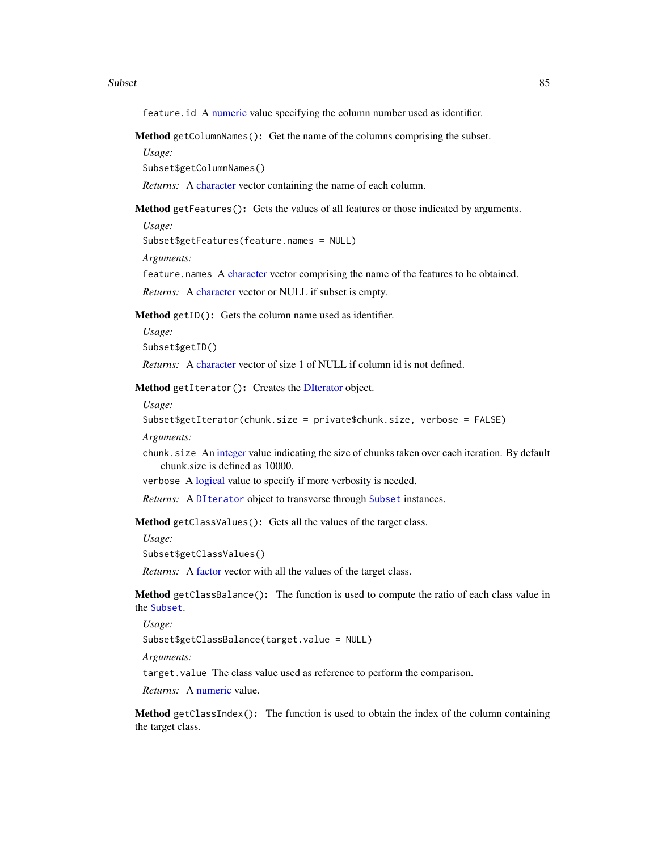#### <span id="page-84-3"></span> $\mathbf S$ subset 85

feature. id A [numeric](#page-0-0) value specifying the column number used as identifier.

Method getColumnNames(): Get the name of the columns comprising the subset.

*Usage:*

Subset\$getColumnNames()

*Returns:* A [character](#page-0-0) vector containing the name of each column.

<span id="page-84-0"></span>Method getFeatures(): Gets the values of all features or those indicated by arguments.

*Usage:*

Subset\$getFeatures(feature.names = NULL)

*Arguments:*

feature.names A [character](#page-0-0) vector comprising the name of the features to be obtained.

*Returns:* A [character](#page-0-0) vector or NULL if subset is empty.

Method getID(): Gets the column name used as identifier.

*Usage:* Subset\$getID()

*Returns:* A [character](#page-0-0) vector of size 1 of NULL if column id is not defined.

Method getIterator(): Creates the [DIterator](#page-0-0) object.

*Usage:*

Subset\$getIterator(chunk.size = private\$chunk.size, verbose = FALSE)

*Arguments:*

chunk.size An [integer](#page-0-0) value indicating the size of chunks taken over each iteration. By default chunk.size is defined as 10000.

verbose A [logical](#page-0-0) value to specify if more verbosity is needed.

*Returns:* A [DIterator](#page-0-0) object to transverse through [Subset](#page-83-0) instances.

Method getClassValues(): Gets all the values of the target class.

*Usage:*

Subset\$getClassValues()

*Returns:* A [factor](#page-0-0) vector with all the values of the target class.

<span id="page-84-1"></span>Method getClassBalance(): The function is used to compute the ratio of each class value in the [Subset](#page-83-0).

*Usage:*

Subset\$getClassBalance(target.value = NULL)

*Arguments:*

target.value The class value used as reference to perform the comparison.

*Returns:* A [numeric](#page-0-0) value.

<span id="page-84-2"></span>Method getClassIndex(): The function is used to obtain the index of the column containing the target class.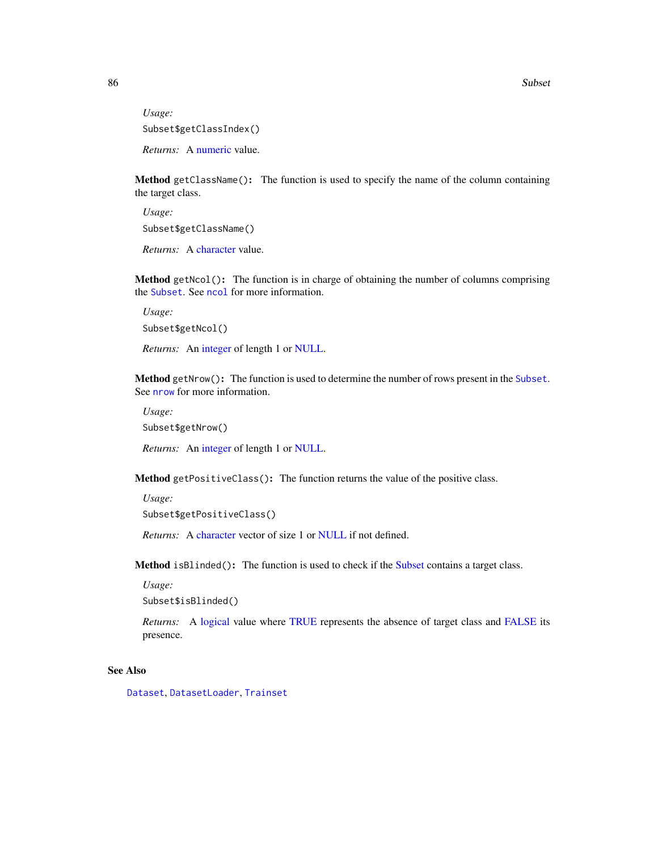*Usage:* Subset\$getClassIndex() *Returns:* A [numeric](#page-0-0) value.

<span id="page-85-0"></span>Method getClassName(): The function is used to specify the name of the column containing the target class.

*Usage:* Subset\$getClassName()

*Returns:* A [character](#page-0-0) value.

Method getNcol(): The function is in charge of obtaining the number of columns comprising the [Subset](#page-83-0). See [ncol](#page-0-0) for more information.

*Usage:* Subset\$getNcol()

*Returns:* An [integer](#page-0-0) of length 1 or [NULL.](#page-0-0)

Method getNrow(): The function is used to determine the number of rows present in the [Subset](#page-83-0). See **[nrow](#page-0-0)** for more information.

*Usage:*

Subset\$getNrow()

*Returns:* An [integer](#page-0-0) of length 1 or [NULL.](#page-0-0)

Method getPositiveClass(): The function returns the value of the positive class.

*Usage:*

Subset\$getPositiveClass()

*Returns:* A [character](#page-0-0) vector of size 1 or [NULL](#page-0-0) if not defined.

Method isBlinded(): The function is used to check if the [Subset](#page-83-0) contains a target class.

*Usage:*

Subset\$isBlinded()

*Returns:* A [logical](#page-0-0) value where [TRUE](#page-0-0) represents the absence of target class and [FALSE](#page-0-0) its presence.

## See Also

[Dataset](#page-23-0), [DatasetLoader](#page-26-0), [Trainset](#page-94-0)

<span id="page-85-1"></span>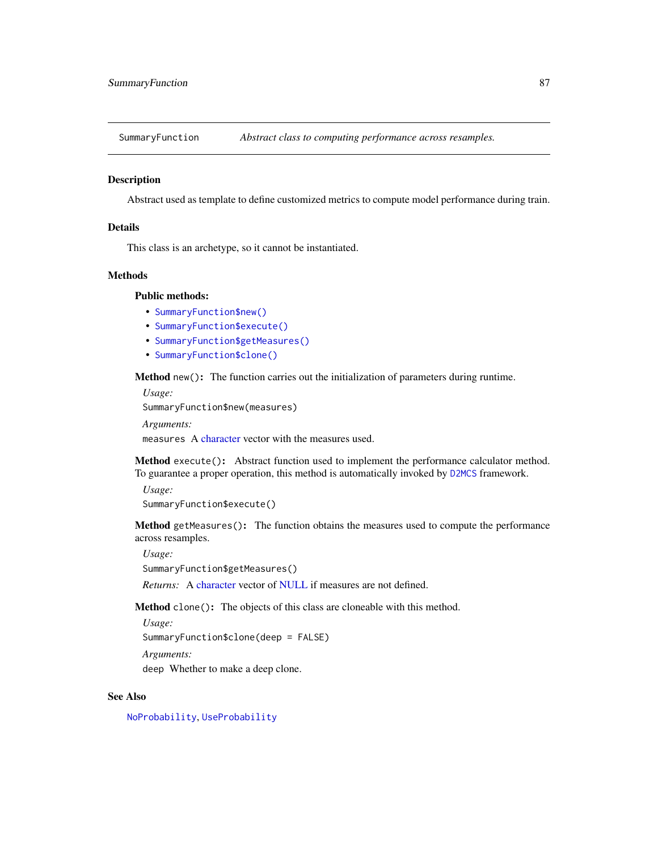<span id="page-86-2"></span><span id="page-86-1"></span>SummaryFunction *Abstract class to computing performance across resamples.*

#### **Description**

Abstract used as template to define customized metrics to compute model performance during train.

## Details

This class is an archetype, so it cannot be instantiated.

#### **Methods**

# Public methods:

- [SummaryFunction\\$new\(\)](#page-3-0)
- [SummaryFunction\\$execute\(\)](#page-10-0)
- [SummaryFunction\\$getMeasures\(\)](#page-86-0)
- [SummaryFunction\\$clone\(\)](#page-3-2)

Method new(): The function carries out the initialization of parameters during runtime.

```
Usage:
SummaryFunction$new(measures)
Arguments:
```
measures A [character](#page-0-0) vector with the measures used.

Method execute(): Abstract function used to implement the performance calculator method. To guarantee a proper operation, this method is automatically invoked by [D2MCS](#page-19-0) framework.

*Usage:*

```
SummaryFunction$execute()
```
<span id="page-86-0"></span>Method getMeasures(): The function obtains the measures used to compute the performance across resamples.

*Usage:*

```
SummaryFunction$getMeasures()
```
*Returns:* A [character](#page-0-0) vector of [NULL](#page-0-0) if measures are not defined.

Method clone(): The objects of this class are cloneable with this method.

*Usage:*

SummaryFunction\$clone(deep = FALSE)

*Arguments:*

deep Whether to make a deep clone.

## See Also

[NoProbability](#page-59-0), [UseProbability](#page-101-0)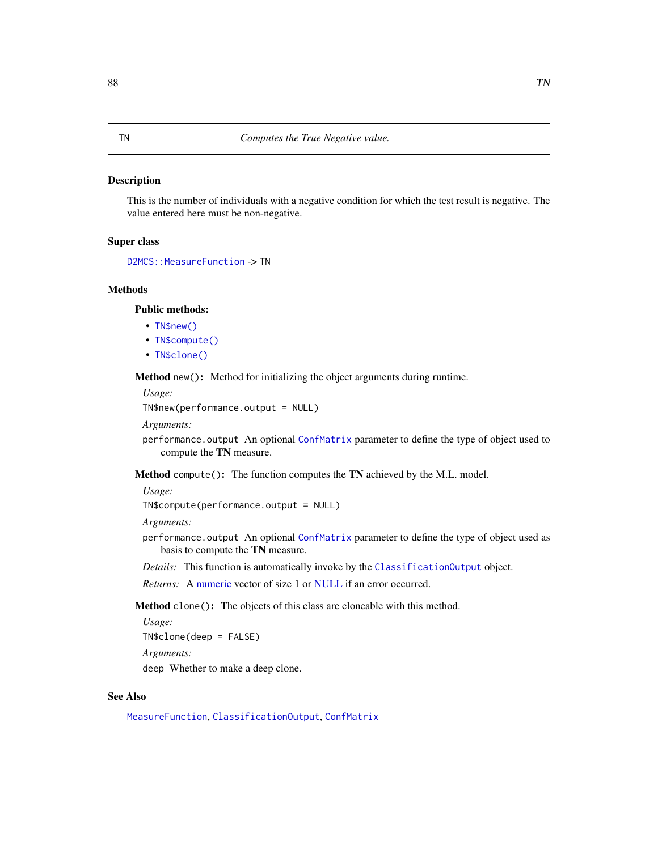<span id="page-87-0"></span>This is the number of individuals with a negative condition for which the test result is negative. The value entered here must be non-negative.

# Super class

```
D2MCS::MeasureFunction -> TN
```
# Methods

Public methods:

- [TN\\$new\(\)](#page-3-0)
- [TN\\$compute\(\)](#page-3-1)
- [TN\\$clone\(\)](#page-3-2)

Method new(): Method for initializing the object arguments during runtime.

*Usage:*

TN\$new(performance.output = NULL)

*Arguments:*

performance.output An optional [ConfMatrix](#page-17-0) parameter to define the type of object used to compute the TN measure.

Method compute(): The function computes the TN achieved by the M.L. model.

*Usage:*

TN\$compute(performance.output = NULL)

*Arguments:*

- performance.output An optional [ConfMatrix](#page-17-0) parameter to define the type of object used as basis to compute the TN measure.
- *Details:* This function is automatically invoke by the [ClassificationOutput](#page-5-0) object.

*Returns:* A [numeric](#page-0-0) vector of size 1 or [NULL](#page-0-0) if an error occurred.

Method clone(): The objects of this class are cloneable with this method.

*Usage:* TN\$clone(deep = FALSE)

*Arguments:*

deep Whether to make a deep clone.

## See Also

[MeasureFunction](#page-53-0), [ClassificationOutput](#page-5-0), [ConfMatrix](#page-17-0)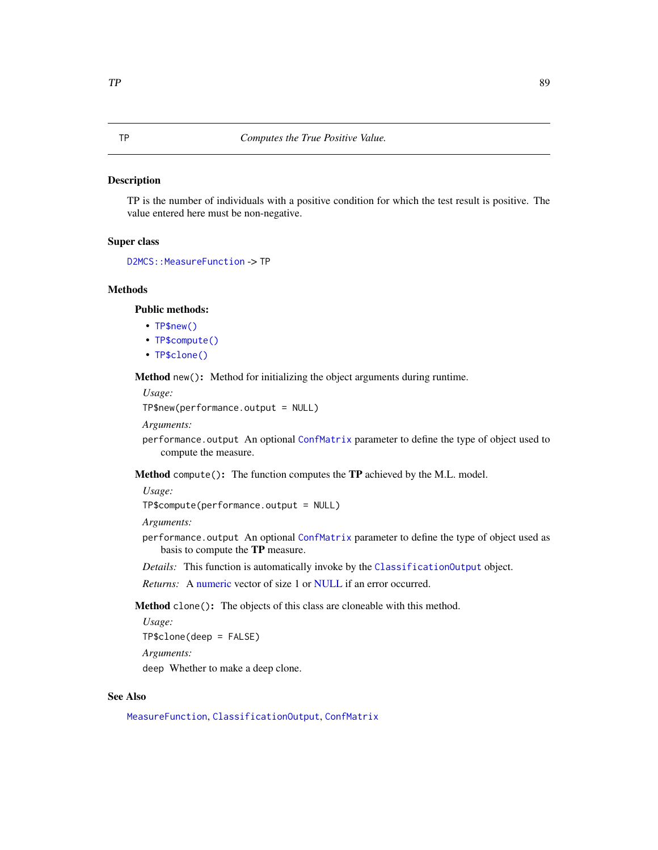<span id="page-88-0"></span>TP is the number of individuals with a positive condition for which the test result is positive. The value entered here must be non-negative.

# Super class

```
D2MCS::MeasureFunction -> TP
```
# Methods

Public methods:

- [TP\\$new\(\)](#page-3-0)
- [TP\\$compute\(\)](#page-3-1)
- [TP\\$clone\(\)](#page-3-2)

Method new(): Method for initializing the object arguments during runtime.

*Usage:*

TP\$new(performance.output = NULL)

*Arguments:*

performance.output An optional [ConfMatrix](#page-17-0) parameter to define the type of object used to compute the measure.

Method compute(): The function computes the TP achieved by the M.L. model.

*Usage:*

TP\$compute(performance.output = NULL)

*Arguments:*

- performance.output An optional [ConfMatrix](#page-17-0) parameter to define the type of object used as basis to compute the TP measure.
- *Details:* This function is automatically invoke by the [ClassificationOutput](#page-5-0) object.

*Returns:* A [numeric](#page-0-0) vector of size 1 or [NULL](#page-0-0) if an error occurred.

Method clone(): The objects of this class are cloneable with this method.

*Usage:* TP\$clone(deep = FALSE)

*Arguments:*

deep Whether to make a deep clone.

## See Also

[MeasureFunction](#page-53-0), [ClassificationOutput](#page-5-0), [ConfMatrix](#page-17-0)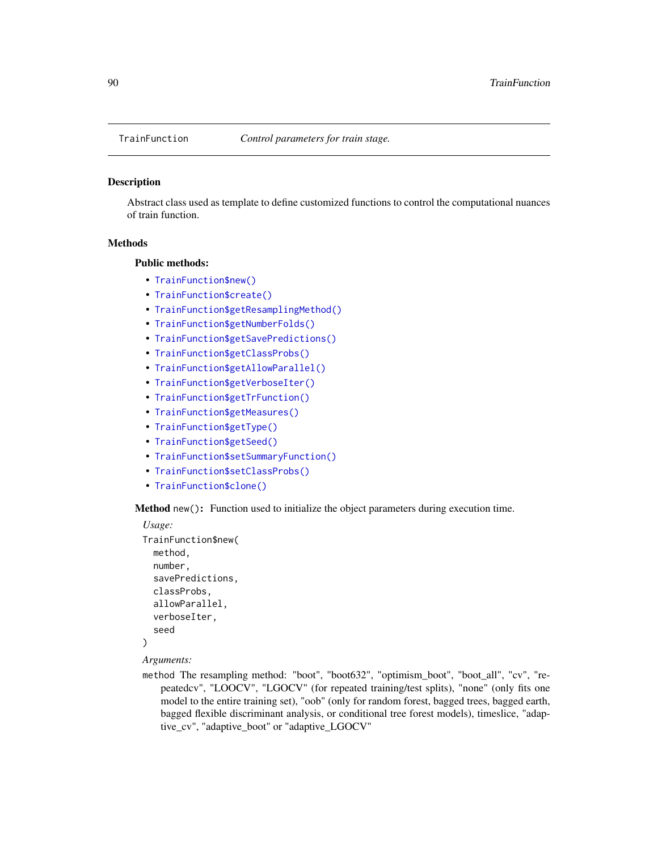<span id="page-89-1"></span><span id="page-89-0"></span>

Abstract class used as template to define customized functions to control the computational nuances of train function.

#### Methods

#### Public methods:

- [TrainFunction\\$new\(\)](#page-3-0)
- [TrainFunction\\$create\(\)](#page-90-0)
- [TrainFunction\\$getResamplingMethod\(\)](#page-90-1)
- [TrainFunction\\$getNumberFolds\(\)](#page-90-2)
- [TrainFunction\\$getSavePredictions\(\)](#page-90-3)
- [TrainFunction\\$getClassProbs\(\)](#page-90-4)
- [TrainFunction\\$getAllowParallel\(\)](#page-90-5)
- [TrainFunction\\$getVerboseIter\(\)](#page-91-0)
- [TrainFunction\\$getTrFunction\(\)](#page-91-1)
- [TrainFunction\\$getMeasures\(\)](#page-86-0)
- [TrainFunction\\$getType\(\)](#page-66-0)
- [TrainFunction\\$getSeed\(\)](#page-91-2)
- [TrainFunction\\$setSummaryFunction\(\)](#page-91-3)
- [TrainFunction\\$setClassProbs\(\)](#page-91-4)
- [TrainFunction\\$clone\(\)](#page-3-2)

Method new(): Function used to initialize the object parameters during execution time.

```
Usage:
TrainFunction$new(
  method,
  number,
  savePredictions,
  classProbs,
  allowParallel,
  verboseIter,
  seed
\lambda
```
*Arguments:*

method The resampling method: "boot", "boot632", "optimism\_boot", "boot\_all", "cv", "repeatedcv", "LOOCV", "LGOCV" (for repeated training/test splits), "none" (only fits one model to the entire training set), "oob" (only for random forest, bagged trees, bagged earth, bagged flexible discriminant analysis, or conditional tree forest models), timeslice, "adaptive\_cv", "adaptive\_boot" or "adaptive\_LGOCV"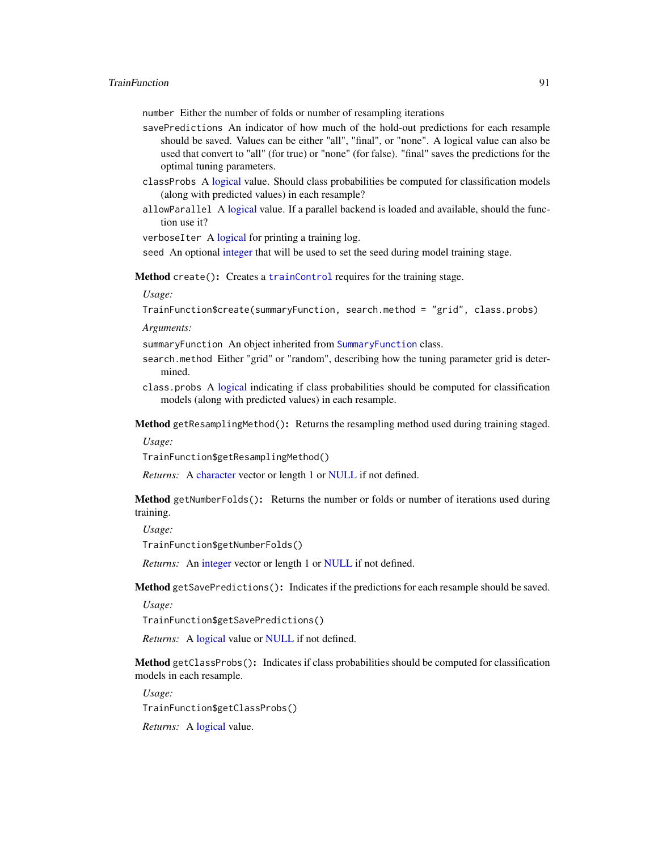<span id="page-90-6"></span>number Either the number of folds or number of resampling iterations

- savePredictions An indicator of how much of the hold-out predictions for each resample should be saved. Values can be either "all", "final", or "none". A logical value can also be used that convert to "all" (for true) or "none" (for false). "final" saves the predictions for the optimal tuning parameters.
- classProbs A [logical](#page-0-0) value. Should class probabilities be computed for classification models (along with predicted values) in each resample?
- allowParallel A [logical](#page-0-0) value. If a parallel backend is loaded and available, should the function use it?

verboseIter A [logical](#page-0-0) for printing a training log.

seed An optional [integer](#page-0-0) that will be used to set the seed during model training stage.

<span id="page-90-0"></span>Method create(): Creates a [trainControl](#page-0-0) requires for the training stage.

*Usage:*

TrainFunction\$create(summaryFunction, search.method = "grid", class.probs)

*Arguments:*

summaryFunction An object inherited from [SummaryFunction](#page-86-1) class.

- search.method Either "grid" or "random", describing how the tuning parameter grid is determined.
- class.probs A [logical](#page-0-0) indicating if class probabilities should be computed for classification models (along with predicted values) in each resample.

<span id="page-90-1"></span>Method getResamplingMethod(): Returns the resampling method used during training staged.

*Usage:*

TrainFunction\$getResamplingMethod()

*Returns:* A [character](#page-0-0) vector or length 1 or [NULL](#page-0-0) if not defined.

<span id="page-90-2"></span>Method getNumberFolds(): Returns the number or folds or number of iterations used during training.

*Usage:*

TrainFunction\$getNumberFolds()

*Returns:* An [integer](#page-0-0) vector or length 1 or [NULL](#page-0-0) if not defined.

<span id="page-90-3"></span>Method getSavePredictions(): Indicates if the predictions for each resample should be saved.

*Usage:*

TrainFunction\$getSavePredictions()

*Returns:* A [logical](#page-0-0) value or [NULL](#page-0-0) if not defined.

<span id="page-90-4"></span>Method getClassProbs(): Indicates if class probabilities should be computed for classification models in each resample.

*Usage:*

TrainFunction\$getClassProbs()

<span id="page-90-5"></span>*Returns:* A [logical](#page-0-0) value.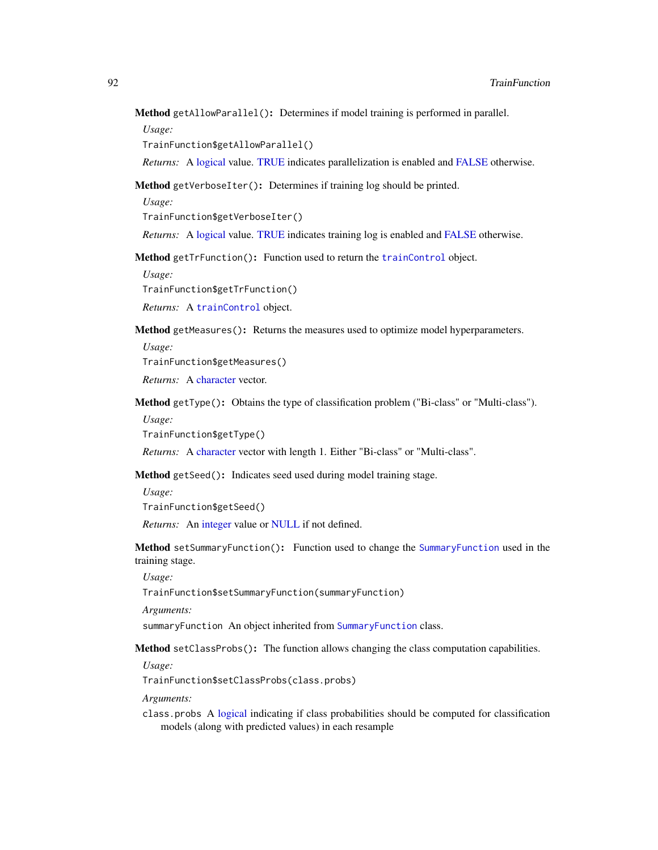# <span id="page-91-5"></span>Method getAllowParallel(): Determines if model training is performed in parallel.

*Usage:*

TrainFunction\$getAllowParallel()

*Returns:* A [logical](#page-0-0) value. [TRUE](#page-0-0) indicates parallelization is enabled and [FALSE](#page-0-0) otherwise.

<span id="page-91-0"></span>Method getVerboseIter(): Determines if training log should be printed.

*Usage:*

TrainFunction\$getVerboseIter()

*Returns:* A [logical](#page-0-0) value. [TRUE](#page-0-0) indicates training log is enabled and [FALSE](#page-0-0) otherwise.

<span id="page-91-1"></span>Method getTrFunction(): Function used to return the [trainControl](#page-0-0) object.

*Usage:*

TrainFunction\$getTrFunction()

*Returns:* A [trainControl](#page-0-0) object.

Method getMeasures(): Returns the measures used to optimize model hyperparameters. *Usage:*

TrainFunction\$getMeasures()

*Returns:* A [character](#page-0-0) vector.

Method getType(): Obtains the type of classification problem ("Bi-class" or "Multi-class"). *Usage:*

TrainFunction\$getType()

*Returns:* A [character](#page-0-0) vector with length 1. Either "Bi-class" or "Multi-class".

<span id="page-91-2"></span>Method getSeed(): Indicates seed used during model training stage.

*Usage:*

TrainFunction\$getSeed()

*Returns:* An [integer](#page-0-0) value or [NULL](#page-0-0) if not defined.

<span id="page-91-3"></span>Method setSummaryFunction(): Function used to change the [SummaryFunction](#page-86-1) used in the training stage.

*Usage:*

TrainFunction\$setSummaryFunction(summaryFunction)

*Arguments:*

summaryFunction An object inherited from [SummaryFunction](#page-86-1) class.

<span id="page-91-4"></span>Method setClassProbs(): The function allows changing the class computation capabilities.

*Usage:*

TrainFunction\$setClassProbs(class.probs)

*Arguments:*

class.probs A [logical](#page-0-0) indicating if class probabilities should be computed for classification models (along with predicted values) in each resample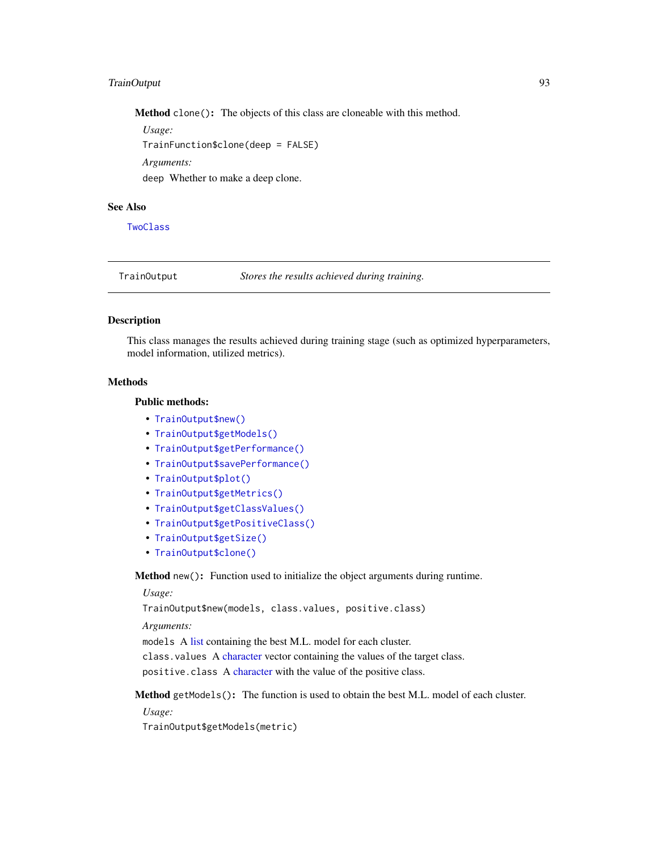# <span id="page-92-1"></span>TrainOutput 93

Method clone(): The objects of this class are cloneable with this method.

*Usage:*

TrainFunction\$clone(deep = FALSE)

*Arguments:*

deep Whether to make a deep clone.

# See Also

**[TwoClass](#page-96-0)** 

TrainOutput *Stores the results achieved during training.*

#### Description

This class manages the results achieved during training stage (such as optimized hyperparameters, model information, utilized metrics).

#### Methods

#### Public methods:

- [TrainOutput\\$new\(\)](#page-3-0)
- [TrainOutput\\$getModels\(\)](#page-92-0)
- [TrainOutput\\$getPerformance\(\)](#page-93-0)
- [TrainOutput\\$savePerformance\(\)](#page-93-1)
- [TrainOutput\\$plot\(\)](#page-4-0)
- [TrainOutput\\$getMetrics\(\)](#page-6-1)
- [TrainOutput\\$getClassValues\(\)](#page-14-0)
- [TrainOutput\\$getPositiveClass\(\)](#page-6-0)
- [TrainOutput\\$getSize\(\)](#page-94-1)
- [TrainOutput\\$clone\(\)](#page-3-2)

Method new(): Function used to initialize the object arguments during runtime.

*Usage:*

TrainOutput\$new(models, class.values, positive.class)

*Arguments:*

models A [list](#page-0-0) containing the best M.L. model for each cluster.

class.values A [character](#page-0-0) vector containing the values of the target class.

positive.class A [character](#page-0-0) with the value of the positive class.

<span id="page-92-0"></span>Method getModels(): The function is used to obtain the best M.L. model of each cluster.

*Usage:*

TrainOutput\$getModels(metric)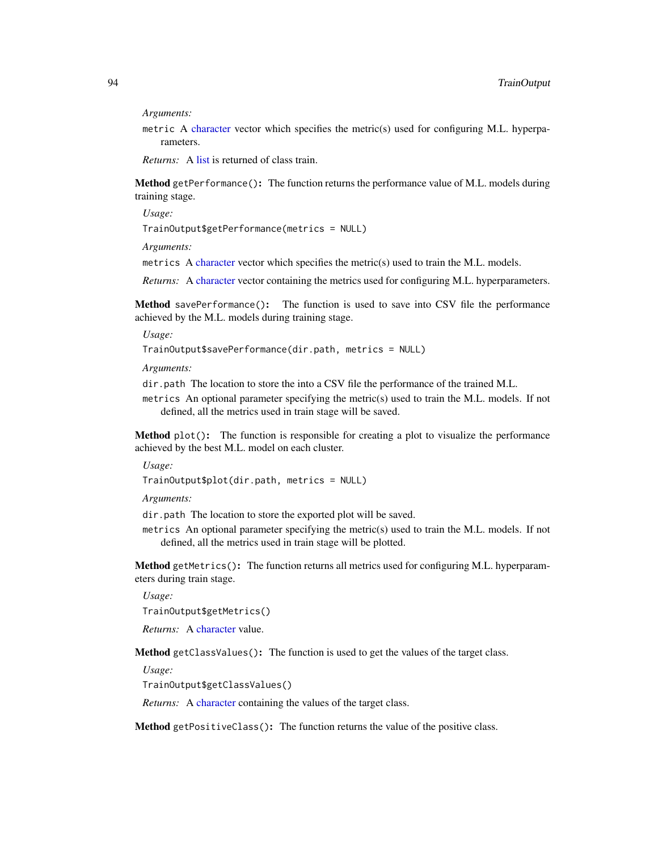<span id="page-93-2"></span>*Arguments:*

metric A [character](#page-0-0) vector which specifies the metric(s) used for configuring M.L. hyperparameters.

*Returns:* A [list](#page-0-0) is returned of class train.

<span id="page-93-0"></span>Method getPerformance(): The function returns the performance value of M.L. models during training stage.

*Usage:* TrainOutput\$getPerformance(metrics = NULL)

*Arguments:*

metrics A [character](#page-0-0) vector which specifies the metric(s) used to train the M.L. models.

*Returns:* A [character](#page-0-0) vector containing the metrics used for configuring M.L. hyperparameters.

<span id="page-93-1"></span>Method savePerformance(): The function is used to save into CSV file the performance achieved by the M.L. models during training stage.

*Usage:*

TrainOutput\$savePerformance(dir.path, metrics = NULL)

*Arguments:*

dir.path The location to store the into a CSV file the performance of the trained M.L.

metrics An optional parameter specifying the metric(s) used to train the M.L. models. If not defined, all the metrics used in train stage will be saved.

Method plot(): The function is responsible for creating a plot to visualize the performance achieved by the best M.L. model on each cluster.

*Usage:*

TrainOutput\$plot(dir.path, metrics = NULL)

*Arguments:*

dir.path The location to store the exported plot will be saved.

metrics An optional parameter specifying the metric(s) used to train the M.L. models. If not defined, all the metrics used in train stage will be plotted.

Method getMetrics(): The function returns all metrics used for configuring M.L. hyperparameters during train stage.

*Usage:*

TrainOutput\$getMetrics()

*Returns:* A [character](#page-0-0) value.

Method getClassValues(): The function is used to get the values of the target class.

*Usage:*

TrainOutput\$getClassValues()

*Returns:* A [character](#page-0-0) containing the values of the target class.

Method getPositiveClass(): The function returns the value of the positive class.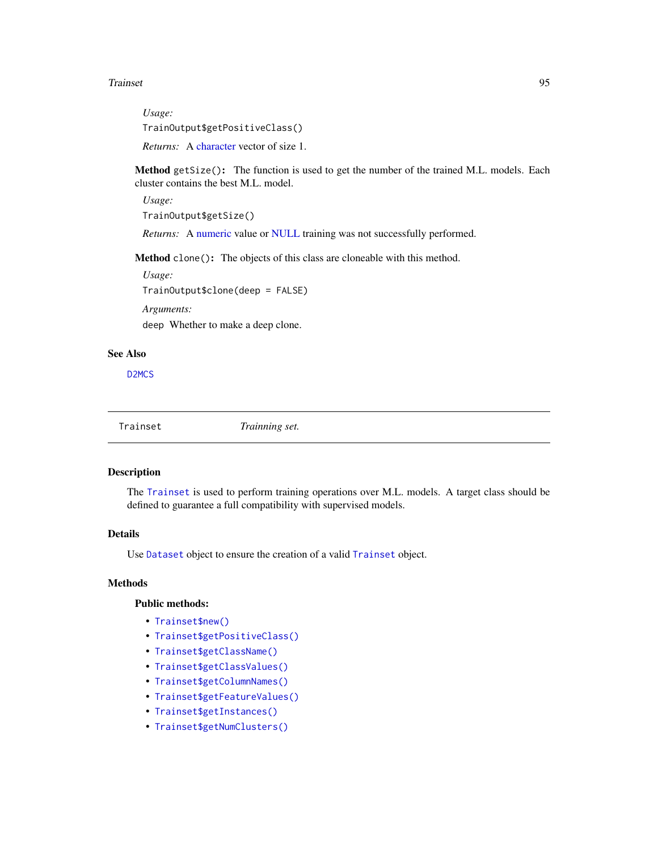#### <span id="page-94-2"></span>Trainset 95

*Usage:* TrainOutput\$getPositiveClass() *Returns:* A [character](#page-0-0) vector of size 1.

<span id="page-94-1"></span>Method getSize(): The function is used to get the number of the trained M.L. models. Each cluster contains the best M.L. model.

*Usage:*

TrainOutput\$getSize()

*Returns:* A [numeric](#page-0-0) value or [NULL](#page-0-0) training was not successfully performed.

Method clone(): The objects of this class are cloneable with this method.

*Usage:*

TrainOutput\$clone(deep = FALSE)

*Arguments:*

deep Whether to make a deep clone.

#### See Also

[D2MCS](#page-19-0)

<span id="page-94-0"></span>

Trainset *Trainning set.*

# Description

The [Trainset](#page-94-0) is used to perform training operations over M.L. models. A target class should be defined to guarantee a full compatibility with supervised models.

# Details

Use [Dataset](#page-23-0) object to ensure the creation of a valid [Trainset](#page-94-0) object.

# Methods

#### Public methods:

- [Trainset\\$new\(\)](#page-3-0)
- [Trainset\\$getPositiveClass\(\)](#page-6-0)
- [Trainset\\$getClassName\(\)](#page-85-0)
- [Trainset\\$getClassValues\(\)](#page-14-0)
- [Trainset\\$getColumnNames\(\)](#page-24-0)
- [Trainset\\$getFeatureValues\(\)](#page-95-0)
- [Trainset\\$getInstances\(\)](#page-95-1)
- [Trainset\\$getNumClusters\(\)](#page-96-1)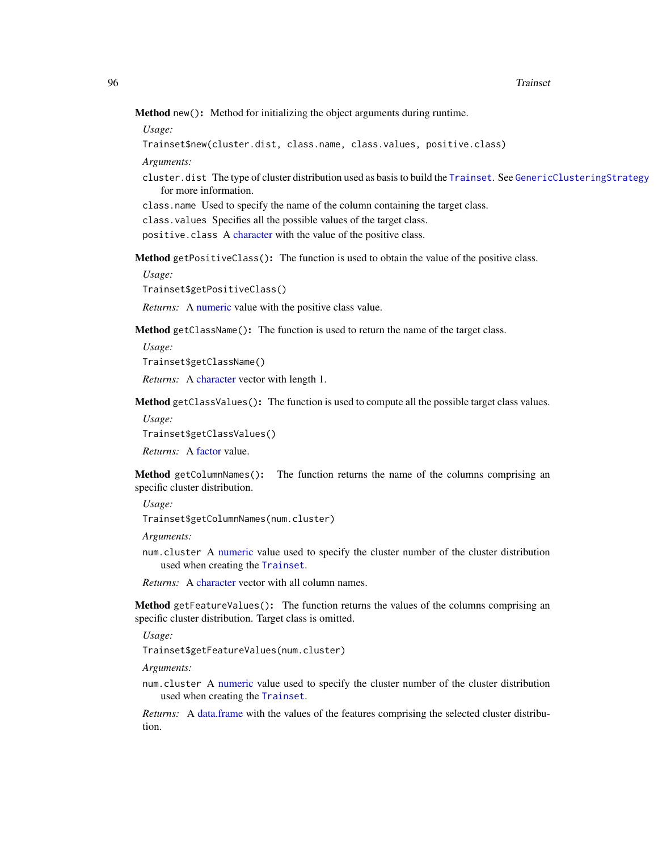#### <span id="page-95-2"></span>96 Trainset and the contract of the contract of the contract of the contract of the contract of the contract of the contract of the contract of the contract of the contract of the contract of the contract of the contract o

Method new(): Method for initializing the object arguments during runtime.

*Usage:*

```
Trainset$new(cluster.dist, class.name, class.values, positive.class)
```
*Arguments:*

cluster.dist The type of cluster distribution used as basis to build the [Trainset](#page-94-0). See [GenericClusteringStrategy](#page-39-0) for more information.

class.name Used to specify the name of the column containing the target class.

class.values Specifies all the possible values of the target class.

positive.class A [character](#page-0-0) with the value of the positive class.

Method getPositiveClass(): The function is used to obtain the value of the positive class.

*Usage:*

Trainset\$getPositiveClass()

*Returns:* A [numeric](#page-0-0) value with the positive class value.

Method getClassName(): The function is used to return the name of the target class.

*Usage:*

Trainset\$getClassName()

*Returns:* A [character](#page-0-0) vector with length 1.

Method getClassValues(): The function is used to compute all the possible target class values.

*Usage:*

Trainset\$getClassValues()

*Returns:* A [factor](#page-0-0) value.

Method getColumnNames(): The function returns the name of the columns comprising an specific cluster distribution.

*Usage:*

Trainset\$getColumnNames(num.cluster)

*Arguments:*

num.cluster A [numeric](#page-0-0) value used to specify the cluster number of the cluster distribution used when creating the [Trainset](#page-94-0).

*Returns:* A [character](#page-0-0) vector with all column names.

<span id="page-95-0"></span>Method getFeatureValues(): The function returns the values of the columns comprising an specific cluster distribution. Target class is omitted.

*Usage:*

Trainset\$getFeatureValues(num.cluster)

*Arguments:*

num.cluster A [numeric](#page-0-0) value used to specify the cluster number of the cluster distribution used when creating the [Trainset](#page-94-0).

<span id="page-95-1"></span>*Returns:* A [data.frame](#page-0-0) with the values of the features comprising the selected cluster distribution.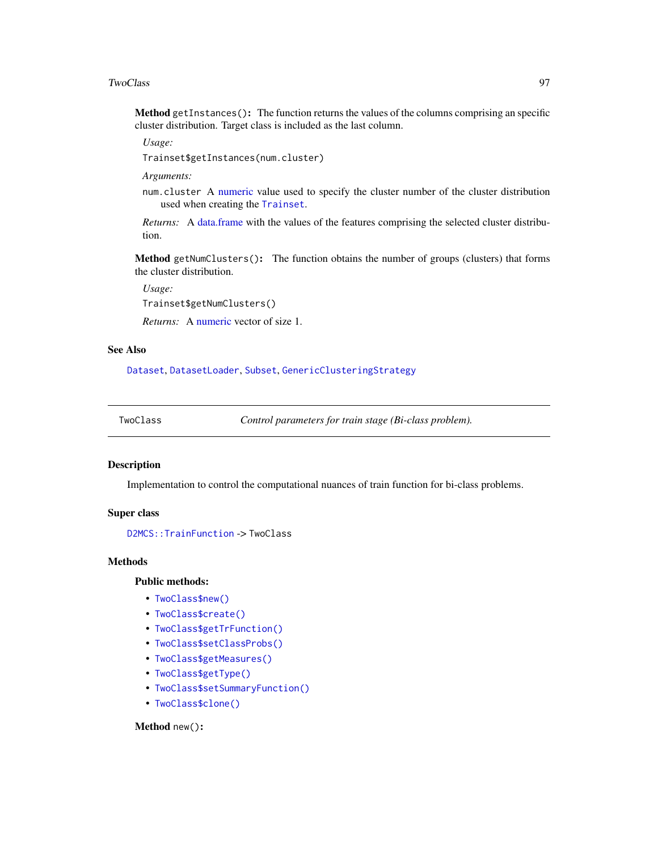#### <span id="page-96-2"></span>TwoClass 97

Method getInstances(): The function returns the values of the columns comprising an specific cluster distribution. Target class is included as the last column.

*Usage:*

Trainset\$getInstances(num.cluster)

*Arguments:*

num.cluster A [numeric](#page-0-0) value used to specify the cluster number of the cluster distribution used when creating the [Trainset](#page-94-0).

*Returns:* A [data.frame](#page-0-0) with the values of the features comprising the selected cluster distribution.

<span id="page-96-1"></span>Method getNumClusters(): The function obtains the number of groups (clusters) that forms the cluster distribution.

*Usage:*

Trainset\$getNumClusters()

*Returns:* A [numeric](#page-0-0) vector of size 1.

# See Also

[Dataset](#page-23-0), [DatasetLoader](#page-26-0), [Subset](#page-83-0), [GenericClusteringStrategy](#page-39-0)

<span id="page-96-0"></span>TwoClass *Control parameters for train stage (Bi-class problem).*

# Description

Implementation to control the computational nuances of train function for bi-class problems.

## Super class

[D2MCS::TrainFunction](#page-0-0) -> TwoClass

#### **Methods**

# Public methods:

- [TwoClass\\$new\(\)](#page-3-0)
- [TwoClass\\$create\(\)](#page-90-0)
- [TwoClass\\$getTrFunction\(\)](#page-91-1)
- [TwoClass\\$setClassProbs\(\)](#page-91-4)
- [TwoClass\\$getMeasures\(\)](#page-86-0)
- [TwoClass\\$getType\(\)](#page-66-0)
- [TwoClass\\$setSummaryFunction\(\)](#page-91-3)
- [TwoClass\\$clone\(\)](#page-3-2)

# Method new():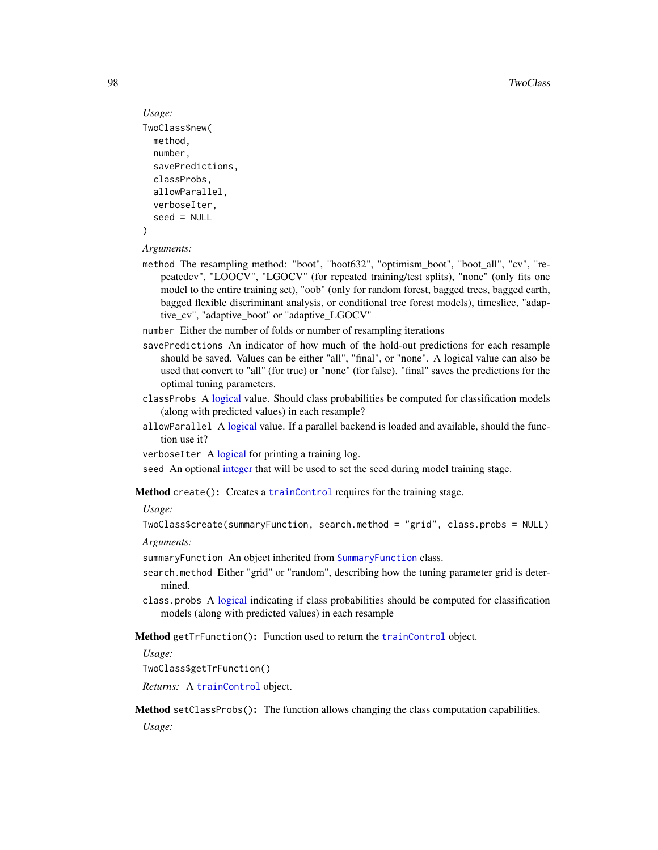```
Usage:
TwoClass$new(
 method,
  number,
  savePredictions,
  classProbs,
  allowParallel,
  verboseIter,
  seed = NULL
\lambda
```
#### *Arguments:*

method The resampling method: "boot", "boot632", "optimism\_boot", "boot\_all", "cv", "repeatedcv", "LOOCV", "LGOCV" (for repeated training/test splits), "none" (only fits one model to the entire training set), "oob" (only for random forest, bagged trees, bagged earth, bagged flexible discriminant analysis, or conditional tree forest models), timeslice, "adaptive\_cv", "adaptive\_boot" or "adaptive\_LGOCV"

number Either the number of folds or number of resampling iterations

- savePredictions An indicator of how much of the hold-out predictions for each resample should be saved. Values can be either "all", "final", or "none". A logical value can also be used that convert to "all" (for true) or "none" (for false). "final" saves the predictions for the optimal tuning parameters.
- classProbs A [logical](#page-0-0) value. Should class probabilities be computed for classification models (along with predicted values) in each resample?
- allowParallel A [logical](#page-0-0) value. If a parallel backend is loaded and available, should the function use it?
- verboseIter A [logical](#page-0-0) for printing a training log.

seed An optional [integer](#page-0-0) that will be used to set the seed during model training stage.

Method create(): Creates a [trainControl](#page-0-0) requires for the training stage.

#### *Usage:*

```
TwoClass$create(summaryFunction, search.method = "grid", class.probs = NULL)
```
#### *Arguments:*

summaryFunction An object inherited from [SummaryFunction](#page-86-1) class.

- search.method Either "grid" or "random", describing how the tuning parameter grid is determined.
- class.probs A [logical](#page-0-0) indicating if class probabilities should be computed for classification models (along with predicted values) in each resample

# Method getTrFunction(): Function used to return the [trainControl](#page-0-0) object.

*Usage:*

TwoClass\$getTrFunction()

*Returns:* A [trainControl](#page-0-0) object.

Method setClassProbs(): The function allows changing the class computation capabilities.

*Usage:*

<span id="page-97-0"></span>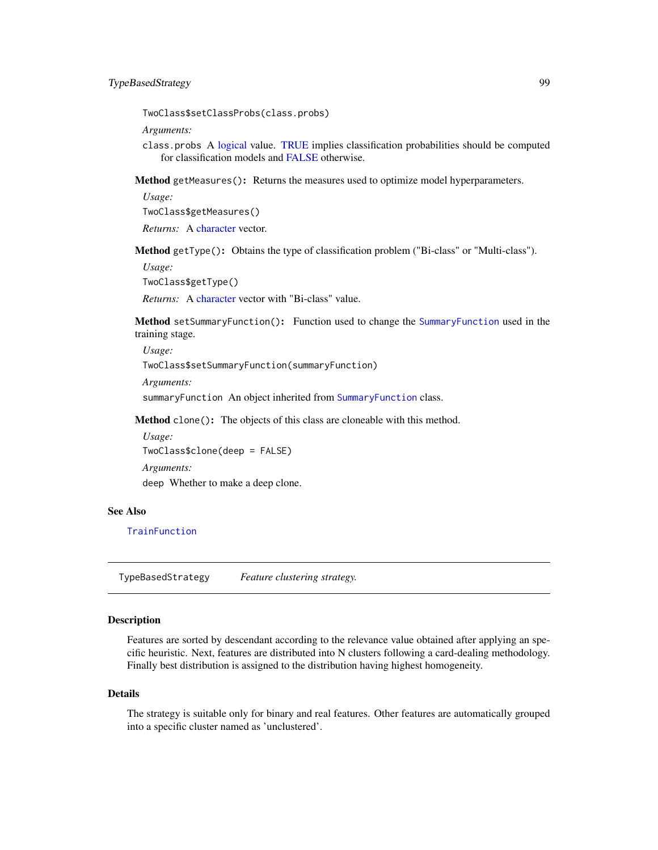<span id="page-98-0"></span>TwoClass\$setClassProbs(class.probs)

*Arguments:*

class.probs A [logical](#page-0-0) value. [TRUE](#page-0-0) implies classification probabilities should be computed for classification models and [FALSE](#page-0-0) otherwise.

Method getMeasures(): Returns the measures used to optimize model hyperparameters.

*Usage:*

TwoClass\$getMeasures()

*Returns:* A [character](#page-0-0) vector.

Method getType(): Obtains the type of classification problem ("Bi-class" or "Multi-class").

*Usage:*

TwoClass\$getType()

*Returns:* A [character](#page-0-0) vector with "Bi-class" value.

Method setSummaryFunction(): Function used to change the [SummaryFunction](#page-86-1) used in the training stage.

*Usage:* TwoClass\$setSummaryFunction(summaryFunction) *Arguments:* summaryFunction An object inherited from [SummaryFunction](#page-86-1) class.

Method clone(): The objects of this class are cloneable with this method.

*Usage:* TwoClass\$clone(deep = FALSE)

*Arguments:* deep Whether to make a deep clone.

#### See Also

**[TrainFunction](#page-89-0)** 

TypeBasedStrategy *Feature clustering strategy.*

# Description

Features are sorted by descendant according to the relevance value obtained after applying an specific heuristic. Next, features are distributed into N clusters following a card-dealing methodology. Finally best distribution is assigned to the distribution having highest homogeneity.

#### Details

The strategy is suitable only for binary and real features. Other features are automatically grouped into a specific cluster named as 'unclustered'.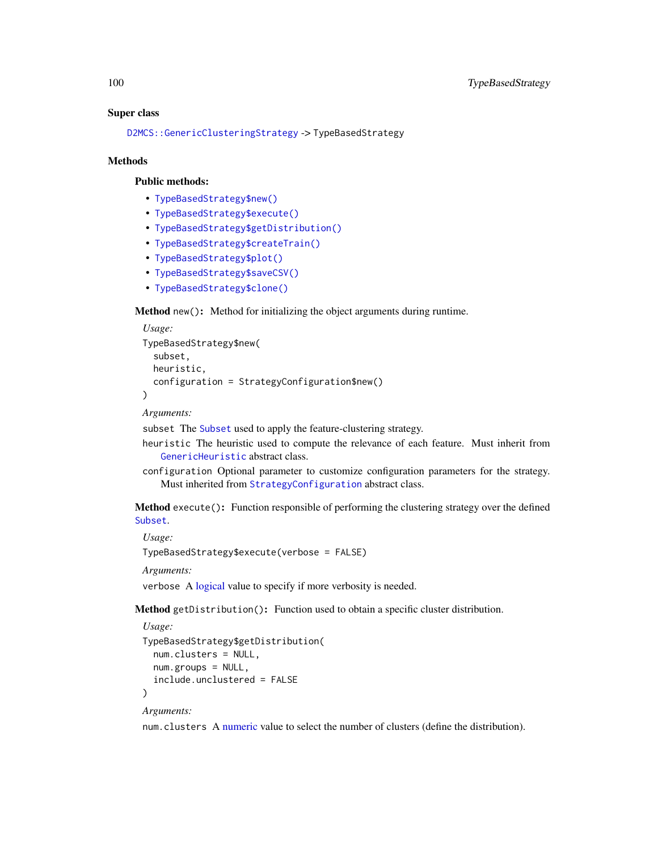#### Super class

[D2MCS::GenericClusteringStrategy](#page-0-0) -> TypeBasedStrategy

#### Methods

#### Public methods:

- [TypeBasedStrategy\\$new\(\)](#page-3-0)
- [TypeBasedStrategy\\$execute\(\)](#page-10-0)
- [TypeBasedStrategy\\$getDistribution\(\)](#page-30-0)
- [TypeBasedStrategy\\$createTrain\(\)](#page-25-0)
- [TypeBasedStrategy\\$plot\(\)](#page-4-0)
- [TypeBasedStrategy\\$saveCSV\(\)](#page-31-0)
- [TypeBasedStrategy\\$clone\(\)](#page-3-2)

#### Method new(): Method for initializing the object arguments during runtime.

```
Usage:
TypeBasedStrategy$new(
  subset,
 heuristic,
  configuration = StrategyConfiguration$new()
\lambda
```
*Arguments:*

subset The [Subset](#page-83-0) used to apply the feature-clustering strategy.

- heuristic The heuristic used to compute the relevance of each feature. Must inherit from [GenericHeuristic](#page-42-0) abstract class.
- configuration Optional parameter to customize configuration parameters for the strategy. Must inherited from [StrategyConfiguration](#page-81-0) abstract class.

Method execute(): Function responsible of performing the clustering strategy over the defined [Subset](#page-83-0).

*Usage:*

TypeBasedStrategy\$execute(verbose = FALSE)

*Arguments:*

verbose A [logical](#page-0-0) value to specify if more verbosity is needed.

Method getDistribution(): Function used to obtain a specific cluster distribution.

```
Usage:
TypeBasedStrategy$getDistribution(
 num.clusters = NULL,
 num.groups = NULL,
  include.unclustered = FALSE
\lambda
```
# *Arguments:*

num.clusters A [numeric](#page-0-0) value to select the number of clusters (define the distribution).

<span id="page-99-0"></span>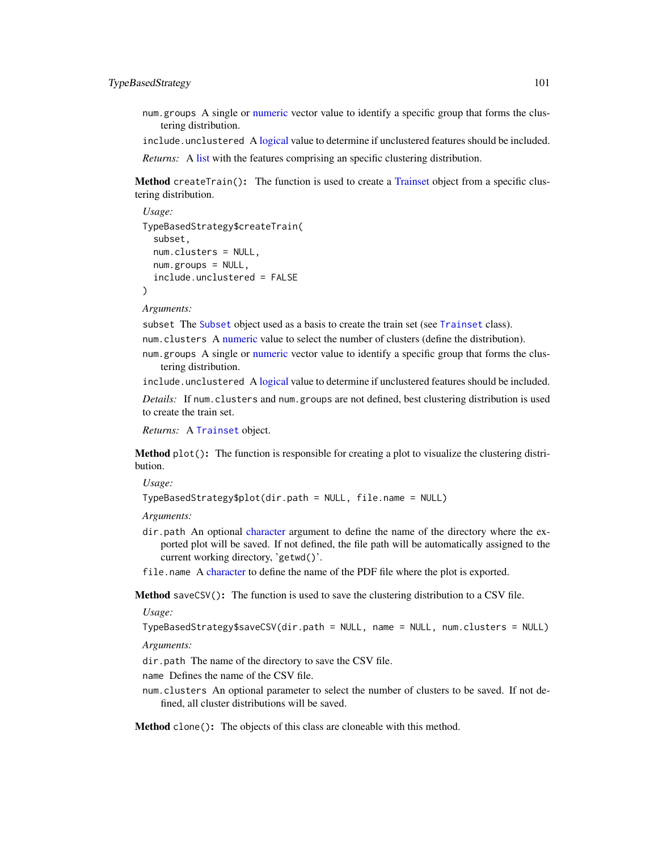# <span id="page-100-0"></span>TypeBasedStrategy 101

num.groups A single or [numeric](#page-0-0) vector value to identify a specific group that forms the clustering distribution.

include.unclustered A [logical](#page-0-0) value to determine if unclustered features should be included.

*Returns:* A [list](#page-0-0) with the features comprising an specific clustering distribution.

Method createTrain(): The function is used to create a [Trainset](#page-94-0) object from a specific clustering distribution.

```
Usage:
TypeBasedStrategy$createTrain(
  subset,
  num.clusters = NULL,
 num.groups = NULL,
  include.unclustered = FALSE
)
```
*Arguments:*

subset The [Subset](#page-83-0) object used as a basis to create the train set (see [Trainset](#page-94-0) class).

num.clusters A [numeric](#page-0-0) value to select the number of clusters (define the distribution).

num.groups A single or [numeric](#page-0-0) vector value to identify a specific group that forms the clustering distribution.

include.unclustered A [logical](#page-0-0) value to determine if unclustered features should be included.

*Details:* If num.clusters and num.groups are not defined, best clustering distribution is used to create the train set.

*Returns:* A [Trainset](#page-94-0) object.

Method plot(): The function is responsible for creating a plot to visualize the clustering distribution.

*Usage:*

TypeBasedStrategy\$plot(dir.path = NULL, file.name = NULL)

*Arguments:*

- dir.path An optional [character](#page-0-0) argument to define the name of the directory where the exported plot will be saved. If not defined, the file path will be automatically assigned to the current working directory, 'getwd()'.
- file.name A [character](#page-0-0) to define the name of the PDF file where the plot is exported.

Method saveCSV(): The function is used to save the clustering distribution to a CSV file.

*Usage:*

TypeBasedStrategy\$saveCSV(dir.path = NULL, name = NULL, num.clusters = NULL)

*Arguments:*

dir.path The name of the directory to save the CSV file.

name Defines the name of the CSV file.

num.clusters An optional parameter to select the number of clusters to be saved. If not defined, all cluster distributions will be saved.

Method clone(): The objects of this class are cloneable with this method.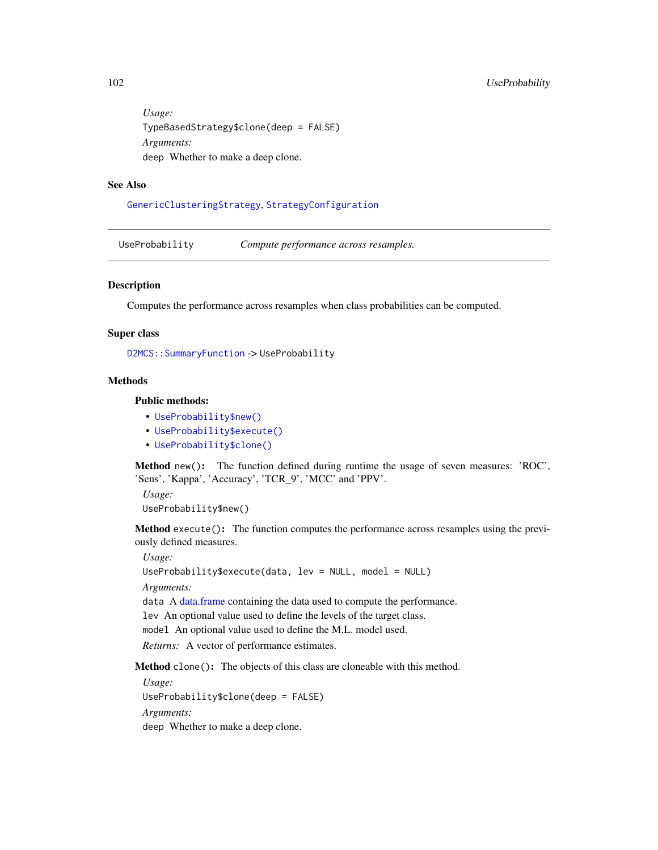*Usage:* TypeBasedStrategy\$clone(deep = FALSE) *Arguments:* deep Whether to make a deep clone.

# See Also

[GenericClusteringStrategy](#page-39-0), [StrategyConfiguration](#page-81-0)

<span id="page-101-0"></span>UseProbability *Compute performance across resamples.*

#### **Description**

Computes the performance across resamples when class probabilities can be computed.

#### Super class

[D2MCS::SummaryFunction](#page-0-0) -> UseProbability

# Methods

# Public methods:

- [UseProbability\\$new\(\)](#page-3-0)
- [UseProbability\\$execute\(\)](#page-10-0)
- [UseProbability\\$clone\(\)](#page-3-2)

Method new(): The function defined during runtime the usage of seven measures: 'ROC', 'Sens', 'Kappa', 'Accuracy', 'TCR\_9', 'MCC' and 'PPV'.

*Usage:* UseProbability\$new()

Method execute(): The function computes the performance across resamples using the previously defined measures.

*Usage:* UseProbability\$execute(data, lev = NULL, model = NULL) *Arguments:* data A [data.frame](#page-0-0) containing the data used to compute the performance. lev An optional value used to define the levels of the target class. model An optional value used to define the M.L. model used. *Returns:* A vector of performance estimates.

Method clone(): The objects of this class are cloneable with this method.

*Usage:* UseProbability\$clone(deep = FALSE) *Arguments:* deep Whether to make a deep clone.

<span id="page-101-1"></span>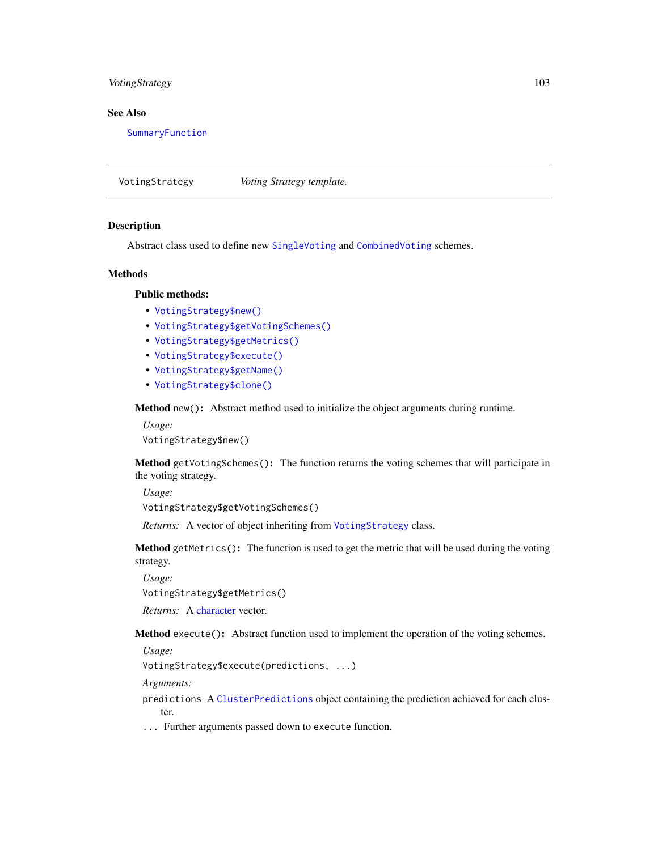# <span id="page-102-3"></span>VotingStrategy 103

# See Also

[SummaryFunction](#page-86-1)

<span id="page-102-2"></span>VotingStrategy *Voting Strategy template.*

#### Description

Abstract class used to define new [SingleVoting](#page-78-0) and [CombinedVoting](#page-15-0) schemes.

#### Methods

#### Public methods:

- [VotingStrategy\\$new\(\)](#page-3-0)
- [VotingStrategy\\$getVotingSchemes\(\)](#page-102-0)
- [VotingStrategy\\$getMetrics\(\)](#page-6-1)
- [VotingStrategy\\$execute\(\)](#page-10-0)
- [VotingStrategy\\$getName\(\)](#page-102-1)
- [VotingStrategy\\$clone\(\)](#page-3-2)

Method new(): Abstract method used to initialize the object arguments during runtime.

*Usage:* VotingStrategy\$new()

<span id="page-102-0"></span>Method getVotingSchemes(): The function returns the voting schemes that will participate in the voting strategy.

*Usage:* VotingStrategy\$getVotingSchemes()

*Returns:* A vector of object inheriting from [VotingStrategy](#page-102-2) class.

Method getMetrics(): The function is used to get the metric that will be used during the voting strategy.

*Usage:*

VotingStrategy\$getMetrics()

*Returns:* A [character](#page-0-0) vector.

Method execute(): Abstract function used to implement the operation of the voting schemes.

*Usage:*

VotingStrategy\$execute(predictions, ...)

*Arguments:*

predictions A [ClusterPredictions](#page-12-0) object containing the prediction achieved for each cluster.

<span id="page-102-1"></span>... Further arguments passed down to execute function.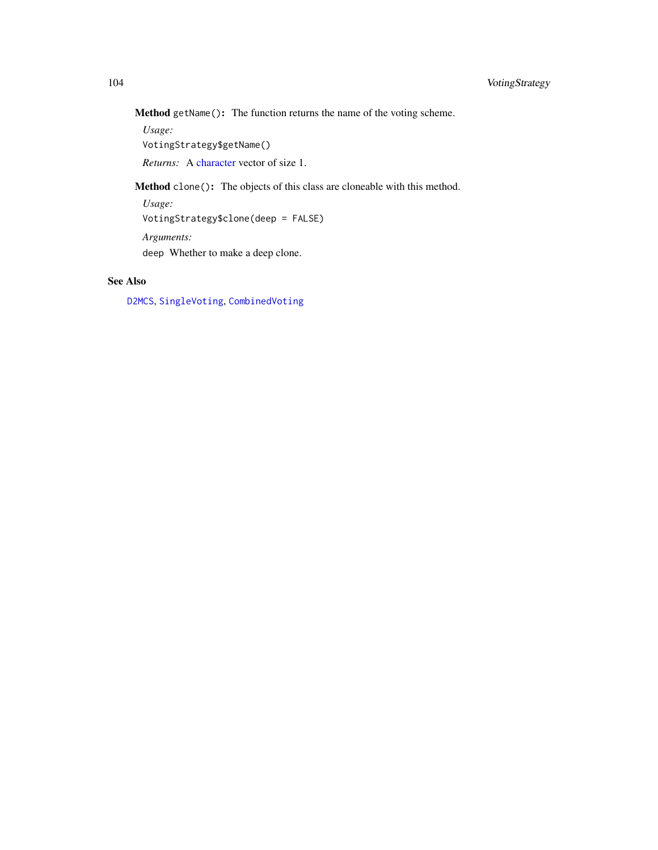<span id="page-103-0"></span>Method getName(): The function returns the name of the voting scheme.

*Usage:*

VotingStrategy\$getName()

*Returns:* A [character](#page-0-0) vector of size 1.

Method clone(): The objects of this class are cloneable with this method.

*Usage:*

VotingStrategy\$clone(deep = FALSE)

*Arguments:*

deep Whether to make a deep clone.

# See Also

[D2MCS](#page-19-0), [SingleVoting](#page-78-0), [CombinedVoting](#page-15-0)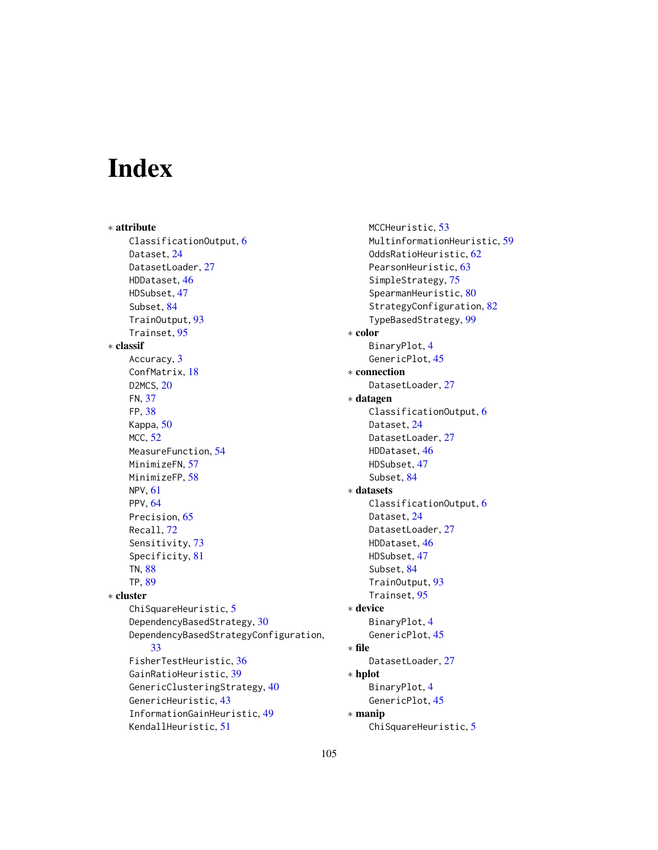# Index

∗ attribute ClassificationOutput, [6](#page-5-2) Dataset, [24](#page-23-1) DatasetLoader, [27](#page-26-1) HDDataset, [46](#page-45-0) HDSubset, [47](#page-46-0) Subset, [84](#page-83-1) TrainOutput, [93](#page-92-1) Trainset, [95](#page-94-2) ∗ classif Accuracy, [3](#page-2-0) ConfMatrix, [18](#page-17-1) D2MCS, [20](#page-19-1) FN, [37](#page-36-0) FP, [38](#page-37-0) Kappa, [50](#page-49-0) MCC, [52](#page-51-0) MeasureFunction, [54](#page-53-1) MinimizeFN, [57](#page-56-0) MinimizeFP, [58](#page-57-0) NPV, [61](#page-60-0) PPV, [64](#page-63-0) Precision, [65](#page-64-0) Recall, [72](#page-71-0) Sensitivity, [73](#page-72-0) Specificity, [81](#page-80-0) TN, [88](#page-87-0) TP, [89](#page-88-0) ∗ cluster ChiSquareHeuristic, [5](#page-4-1) DependencyBasedStrategy, [30](#page-29-0) DependencyBasedStrategyConfiguration, [33](#page-32-1) FisherTestHeuristic, [36](#page-35-0) GainRatioHeuristic, [39](#page-38-0) GenericClusteringStrategy, [40](#page-39-1) GenericHeuristic, [43](#page-42-1) InformationGainHeuristic, [49](#page-48-0) KendallHeuristic, [51](#page-50-0)

MCCHeuristic, [53](#page-52-0) MultinformationHeuristic, [59](#page-58-0) OddsRatioHeuristic, [62](#page-61-0) PearsonHeuristic, [63](#page-62-0) SimpleStrategy, [75](#page-74-0) SpearmanHeuristic, [80](#page-79-1) StrategyConfiguration, [82](#page-81-1) TypeBasedStrategy, [99](#page-98-0) ∗ color BinaryPlot, [4](#page-3-3) GenericPlot, [45](#page-44-0) ∗ connection DatasetLoader, [27](#page-26-1) ∗ datagen ClassificationOutput, [6](#page-5-2) Dataset, [24](#page-23-1) DatasetLoader, [27](#page-26-1) HDDataset, [46](#page-45-0) HDSubset, [47](#page-46-0) Subset, [84](#page-83-1) ∗ datasets ClassificationOutput, [6](#page-5-2) Dataset, [24](#page-23-1) DatasetLoader, [27](#page-26-1) HDDataset, [46](#page-45-0) HDSubset, [47](#page-46-0) Subset, [84](#page-83-1) TrainOutput, [93](#page-92-1) Trainset, [95](#page-94-2) ∗ device BinaryPlot, [4](#page-3-3) GenericPlot, [45](#page-44-0) ∗ file DatasetLoader, [27](#page-26-1) ∗ hplot BinaryPlot, [4](#page-3-3) GenericPlot, [45](#page-44-0) ∗ manip ChiSquareHeuristic, [5](#page-4-1)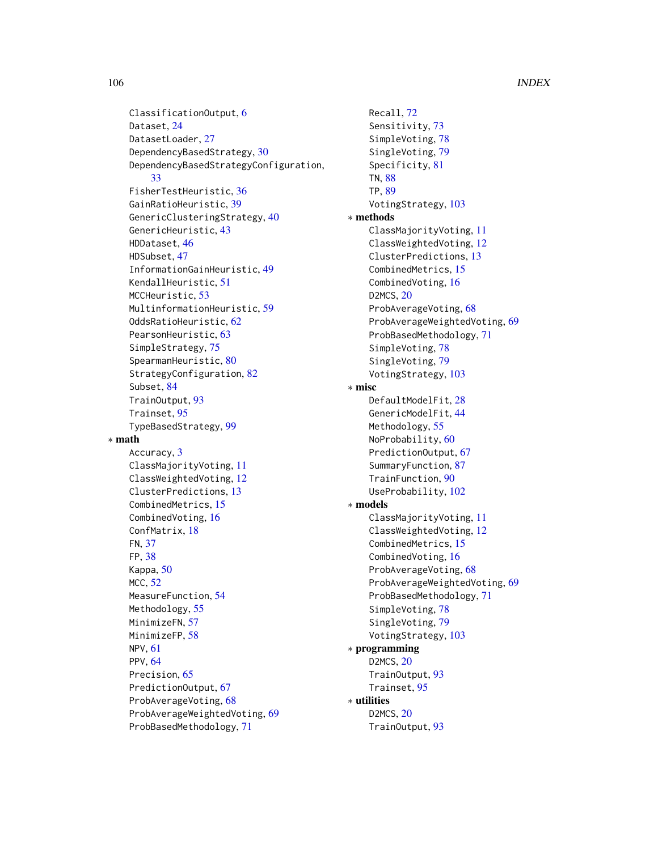ClassificationOutput, [6](#page-5-2) Dataset, [24](#page-23-1) DatasetLoader, [27](#page-26-1) DependencyBasedStrategy, [30](#page-29-0) DependencyBasedStrategyConfiguration, [33](#page-32-1) FisherTestHeuristic, [36](#page-35-0) GainRatioHeuristic, [39](#page-38-0) GenericClusteringStrategy, [40](#page-39-1) GenericHeuristic, [43](#page-42-1) HDDataset, [46](#page-45-0) HDSubset, [47](#page-46-0) InformationGainHeuristic, [49](#page-48-0) KendallHeuristic, [51](#page-50-0) MCCHeuristic, [53](#page-52-0) MultinformationHeuristic, [59](#page-58-0) OddsRatioHeuristic, [62](#page-61-0) PearsonHeuristic, [63](#page-62-0) SimpleStrategy, [75](#page-74-0) SpearmanHeuristic, [80](#page-79-1) StrategyConfiguration, [82](#page-81-1) Subset, [84](#page-83-1) TrainOutput, [93](#page-92-1) Trainset, [95](#page-94-2) TypeBasedStrategy, [99](#page-98-0) ∗ math Accuracy, [3](#page-2-0) ClassMajorityVoting, [11](#page-10-2) ClassWeightedVoting, [12](#page-11-1) ClusterPredictions, [13](#page-12-1) CombinedMetrics, [15](#page-14-1) CombinedVoting, [16](#page-15-1) ConfMatrix, [18](#page-17-1) FN, [37](#page-36-0) FP, [38](#page-37-0) Kappa, [50](#page-49-0) MCC, [52](#page-51-0) MeasureFunction, [54](#page-53-1) Methodology, [55](#page-54-0) MinimizeFN, [57](#page-56-0) MinimizeFP, [58](#page-57-0) NPV, [61](#page-60-0) PPV, [64](#page-63-0) Precision, [65](#page-64-0) PredictionOutput, [67](#page-66-1) ProbAverageVoting, [68](#page-67-1) ProbAverageWeightedVoting, [69](#page-68-1) ProbBasedMethodology, [71](#page-70-1)

Recall, [72](#page-71-0) Sensitivity, [73](#page-72-0) SimpleVoting, [78](#page-77-2) SingleVoting, [79](#page-78-1) Specificity, [81](#page-80-0) TN, [88](#page-87-0) TP, [89](#page-88-0) VotingStrategy, [103](#page-102-3) ∗ methods ClassMajorityVoting, [11](#page-10-2) ClassWeightedVoting, [12](#page-11-1) ClusterPredictions, [13](#page-12-1) CombinedMetrics, [15](#page-14-1) CombinedVoting, [16](#page-15-1) D2MCS, [20](#page-19-1) ProbAverageVoting, [68](#page-67-1) ProbAverageWeightedVoting, [69](#page-68-1) ProbBasedMethodology, [71](#page-70-1) SimpleVoting, [78](#page-77-2) SingleVoting, [79](#page-78-1) VotingStrategy, [103](#page-102-3) ∗ misc DefaultModelFit, [28](#page-27-0) GenericModelFit, [44](#page-43-0) Methodology, [55](#page-54-0) NoProbability, [60](#page-59-1) PredictionOutput, [67](#page-66-1) SummaryFunction, [87](#page-86-2) TrainFunction, [90](#page-89-1) UseProbability, [102](#page-101-1) ∗ models ClassMajorityVoting, [11](#page-10-2) ClassWeightedVoting, [12](#page-11-1) CombinedMetrics, [15](#page-14-1) CombinedVoting, [16](#page-15-1) ProbAverageVoting, [68](#page-67-1) ProbAverageWeightedVoting, [69](#page-68-1) ProbBasedMethodology, [71](#page-70-1) SimpleVoting, [78](#page-77-2) SingleVoting, [79](#page-78-1) VotingStrategy, [103](#page-102-3) ∗ programming D2MCS, [20](#page-19-1) TrainOutput, [93](#page-92-1) Trainset, [95](#page-94-2) ∗ utilities D2MCS, [20](#page-19-1) TrainOutput, [93](#page-92-1)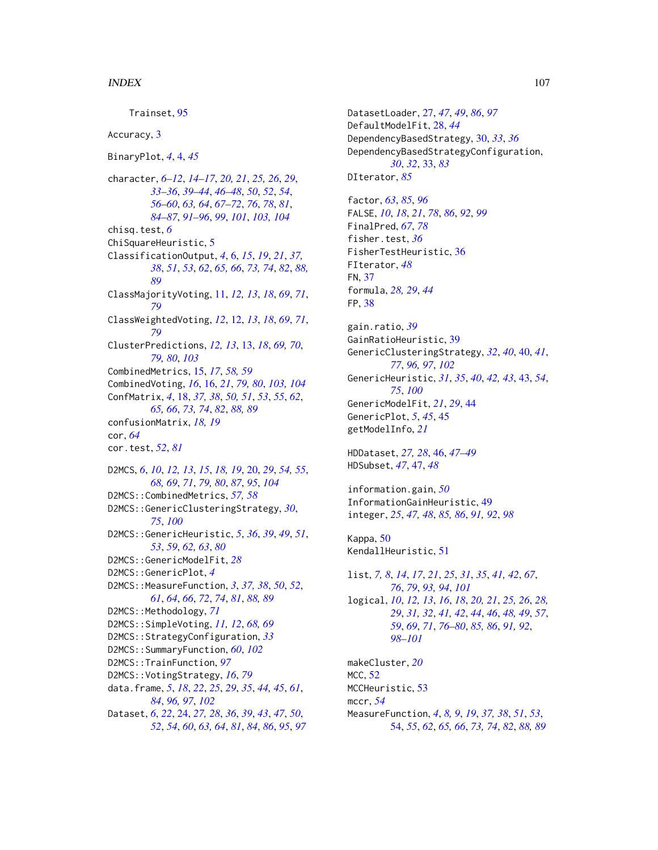Trainset, [95](#page-94-2) Accuracy, [3](#page-2-0) BinaryPlot, *[4](#page-3-3)*, [4,](#page-3-3) *[45](#page-44-0)* character, *[6](#page-5-2)[–12](#page-11-1)*, *[14](#page-13-0)[–17](#page-16-1)*, *[20,](#page-19-1) [21](#page-20-0)*, *[25,](#page-24-3) [26](#page-25-1)*, *[29](#page-28-0)*, *[33](#page-32-1)[–36](#page-35-0)*, *[39](#page-38-0)[–44](#page-43-0)*, *[46–](#page-45-0)[48](#page-47-3)*, *[50](#page-49-0)*, *[52](#page-51-0)*, *[54](#page-53-1)*, *[56](#page-55-0)[–60](#page-59-1)*, *[63,](#page-62-0) [64](#page-63-0)*, *[67–](#page-66-1)[72](#page-71-0)*, *[76](#page-75-0)*, *[78](#page-77-2)*, *[81](#page-80-0)*, *[84](#page-83-1)[–87](#page-86-2)*, *[91](#page-90-6)[–96](#page-95-2)*, *[99](#page-98-0)*, *[101](#page-100-0)*, *[103,](#page-102-3) [104](#page-103-0)* chisq.test, *[6](#page-5-2)* ChiSquareHeuristic, [5](#page-4-1) ClassificationOutput, *[4](#page-3-3)*, [6,](#page-5-2) *[15](#page-14-1)*, *[19](#page-18-0)*, *[21](#page-20-0)*, *[37,](#page-36-0) [38](#page-37-0)*, *[51](#page-50-0)*, *[53](#page-52-0)*, *[62](#page-61-0)*, *[65,](#page-64-0) [66](#page-65-0)*, *[73,](#page-72-0) [74](#page-73-0)*, *[82](#page-81-1)*, *[88,](#page-87-0) [89](#page-88-0)* ClassMajorityVoting, [11,](#page-10-2) *[12,](#page-11-1) [13](#page-12-1)*, *[18](#page-17-1)*, *[69](#page-68-1)*, *[71](#page-70-1)*, *[79](#page-78-1)* ClassWeightedVoting, *[12](#page-11-1)*, [12,](#page-11-1) *[13](#page-12-1)*, *[18](#page-17-1)*, *[69](#page-68-1)*, *[71](#page-70-1)*, *[79](#page-78-1)* ClusterPredictions, *[12,](#page-11-1) [13](#page-12-1)*, [13,](#page-12-1) *[18](#page-17-1)*, *[69,](#page-68-1) [70](#page-69-0)*, *[79,](#page-78-1) [80](#page-79-1)*, *[103](#page-102-3)* CombinedMetrics, [15,](#page-14-1) *[17](#page-16-1)*, *[58,](#page-57-0) [59](#page-58-0)* CombinedVoting, *[16](#page-15-1)*, [16,](#page-15-1) *[21](#page-20-0)*, *[79,](#page-78-1) [80](#page-79-1)*, *[103,](#page-102-3) [104](#page-103-0)* ConfMatrix, *[4](#page-3-3)*, [18,](#page-17-1) *[37,](#page-36-0) [38](#page-37-0)*, *[50,](#page-49-0) [51](#page-50-0)*, *[53](#page-52-0)*, *[55](#page-54-0)*, *[62](#page-61-0)*, *[65,](#page-64-0) [66](#page-65-0)*, *[73,](#page-72-0) [74](#page-73-0)*, *[82](#page-81-1)*, *[88,](#page-87-0) [89](#page-88-0)* confusionMatrix, *[18,](#page-17-1) [19](#page-18-0)* cor, *[64](#page-63-0)* cor.test, *[52](#page-51-0)*, *[81](#page-80-0)* D2MCS, *[6](#page-5-2)*, *[10](#page-9-0)*, *[12,](#page-11-1) [13](#page-12-1)*, *[15](#page-14-1)*, *[18,](#page-17-1) [19](#page-18-0)*, [20,](#page-19-1) *[29](#page-28-0)*, *[54,](#page-53-1) [55](#page-54-0)*, *[68,](#page-67-1) [69](#page-68-1)*, *[71](#page-70-1)*, *[79,](#page-78-1) [80](#page-79-1)*, *[87](#page-86-2)*, *[95](#page-94-2)*, *[104](#page-103-0)* D2MCS::CombinedMetrics, *[57,](#page-56-0) [58](#page-57-0)* D2MCS::GenericClusteringStrategy, *[30](#page-29-0)*, *[75](#page-74-0)*, *[100](#page-99-0)* D2MCS::GenericHeuristic, *[5](#page-4-1)*, *[36](#page-35-0)*, *[39](#page-38-0)*, *[49](#page-48-0)*, *[51](#page-50-0)*, *[53](#page-52-0)*, *[59](#page-58-0)*, *[62,](#page-61-0) [63](#page-62-0)*, *[80](#page-79-1)* D2MCS::GenericModelFit, *[28](#page-27-0)* D2MCS::GenericPlot, *[4](#page-3-3)* D2MCS::MeasureFunction, *[3](#page-2-0)*, *[37,](#page-36-0) [38](#page-37-0)*, *[50](#page-49-0)*, *[52](#page-51-0)*, *[61](#page-60-0)*, *[64](#page-63-0)*, *[66](#page-65-0)*, *[72](#page-71-0)*, *[74](#page-73-0)*, *[81](#page-80-0)*, *[88,](#page-87-0) [89](#page-88-0)* D2MCS::Methodology, [71](#page-70-1) D2MCS::SimpleVoting, *[11,](#page-10-2) [12](#page-11-1)*, *[68,](#page-67-1) [69](#page-68-1)* D2MCS::StrategyConfiguration, *[33](#page-32-1)* D2MCS::SummaryFunction, *[60](#page-59-1)*, *[102](#page-101-1)* D2MCS::TrainFunction, *[97](#page-96-2)* D2MCS::VotingStrategy, *[16](#page-15-1)*, *[79](#page-78-1)* data.frame, *[5](#page-4-1)*, *[18](#page-17-1)*, *[22](#page-21-0)*, *[25](#page-24-3)*, *[29](#page-28-0)*, *[35](#page-34-0)*, *[44,](#page-43-0) [45](#page-44-0)*, *[61](#page-60-0)*, *[84](#page-83-1)*, *[96,](#page-95-2) [97](#page-96-2)*, *[102](#page-101-1)* Dataset, *[6](#page-5-2)*, *[22](#page-21-0)*, [24,](#page-23-1) *[27,](#page-26-1) [28](#page-27-0)*, *[36](#page-35-0)*, *[39](#page-38-0)*, *[43](#page-42-1)*, *[47](#page-46-0)*, *[50](#page-49-0)*, *[52](#page-51-0)*, *[54](#page-53-1)*, *[60](#page-59-1)*, *[63,](#page-62-0) [64](#page-63-0)*, *[81](#page-80-0)*, *[84](#page-83-1)*, *[86](#page-85-1)*, *[95](#page-94-2)*, *[97](#page-96-2)*

DatasetLoader, [27,](#page-26-1) *[47](#page-46-0)*, *[49](#page-48-0)*, *[86](#page-85-1)*, *[97](#page-96-2)* DefaultModelFit, [28,](#page-27-0) *[44](#page-43-0)* DependencyBasedStrategy, [30,](#page-29-0) *[33](#page-32-1)*, *[36](#page-35-0)* DependencyBasedStrategyConfiguration, *[30](#page-29-0)*, *[32](#page-31-1)*, [33,](#page-32-1) *[83](#page-82-0)* DIterator, *[85](#page-84-3)* factor, *[63](#page-62-0)*, *[85](#page-84-3)*, *[96](#page-95-2)* FALSE, *[10](#page-9-0)*, *[18](#page-17-1)*, *[21](#page-20-0)*, *[78](#page-77-2)*, *[86](#page-85-1)*, *[92](#page-91-5)*, *[99](#page-98-0)* FinalPred, *[67](#page-66-1)*, *[78](#page-77-2)* fisher.test, *[36](#page-35-0)* FisherTestHeuristic, [36](#page-35-0) FIterator, *[48](#page-47-3)* FN, [37](#page-36-0) formula, *[28,](#page-27-0) [29](#page-28-0)*, *[44](#page-43-0)* FP, [38](#page-37-0) gain.ratio, *[39](#page-38-0)* GainRatioHeuristic, [39](#page-38-0) GenericClusteringStrategy, *[32](#page-31-1)*, *[40](#page-39-1)*, [40,](#page-39-1) *[41](#page-40-2)*, *[77](#page-76-0)*, *[96,](#page-95-2) [97](#page-96-2)*, *[102](#page-101-1)* GenericHeuristic, *[31](#page-30-1)*, *[35](#page-34-0)*, *[40](#page-39-1)*, *[42,](#page-41-0) [43](#page-42-1)*, [43,](#page-42-1) *[54](#page-53-1)*, *[75](#page-74-0)*, *[100](#page-99-0)* GenericModelFit, *[21](#page-20-0)*, *[29](#page-28-0)*, [44](#page-43-0) GenericPlot, *[5](#page-4-1)*, *[45](#page-44-0)*, [45](#page-44-0) getModelInfo, *[21](#page-20-0)* HDDataset, *[27,](#page-26-1) [28](#page-27-0)*, [46,](#page-45-0) *[47](#page-46-0)[–49](#page-48-0)* HDSubset, *[47](#page-46-0)*, [47,](#page-46-0) *[48](#page-47-3)* information.gain, *[50](#page-49-0)* InformationGainHeuristic, [49](#page-48-0) integer, *[25](#page-24-3)*, *[47,](#page-46-0) [48](#page-47-3)*, *[85,](#page-84-3) [86](#page-85-1)*, *[91,](#page-90-6) [92](#page-91-5)*, *[98](#page-97-0)* Kappa, [50](#page-49-0) KendallHeuristic, [51](#page-50-0) list, *[7,](#page-6-2) [8](#page-7-0)*, *[14](#page-13-0)*, *[17](#page-16-1)*, *[21](#page-20-0)*, *[25](#page-24-3)*, *[31](#page-30-1)*, *[35](#page-34-0)*, *[41,](#page-40-2) [42](#page-41-0)*, *[67](#page-66-1)*, *[76](#page-75-0)*, *[79](#page-78-1)*, *[93,](#page-92-1) [94](#page-93-2)*, *[101](#page-100-0)* logical, *[10](#page-9-0)*, *[12,](#page-11-1) [13](#page-12-1)*, *[16](#page-15-1)*, *[18](#page-17-1)*, *[20,](#page-19-1) [21](#page-20-0)*, *[25,](#page-24-3) [26](#page-25-1)*, *[28,](#page-27-0) [29](#page-28-0)*, *[31,](#page-30-1) [32](#page-31-1)*, *[41,](#page-40-2) [42](#page-41-0)*, *[44](#page-43-0)*, *[46](#page-45-0)*, *[48,](#page-47-3) [49](#page-48-0)*, *[57](#page-56-0)*, *[59](#page-58-0)*, *[69](#page-68-1)*, *[71](#page-70-1)*, *[76](#page-75-0)[–80](#page-79-1)*, *[85,](#page-84-3) [86](#page-85-1)*, *[91,](#page-90-6) [92](#page-91-5)*, *[98](#page-97-0)[–101](#page-100-0)* makeCluster, *[20](#page-19-1)* MCC, [52](#page-51-0) MCCHeuristic, [53](#page-52-0) mccr, *[54](#page-53-1)* MeasureFunction, *[4](#page-3-3)*, *[8,](#page-7-0) [9](#page-8-0)*, *[19](#page-18-0)*, *[37,](#page-36-0) [38](#page-37-0)*, *[51](#page-50-0)*, *[53](#page-52-0)*, [54,](#page-53-1) *[55](#page-54-0)*, *[62](#page-61-0)*, *[65,](#page-64-0) [66](#page-65-0)*, *[73,](#page-72-0) [74](#page-73-0)*, *[82](#page-81-1)*, *[88,](#page-87-0) [89](#page-88-0)*